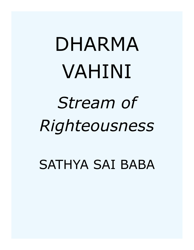# DHARMA VAHINI *Stream of Righteousness*

SATHYA SAI BABA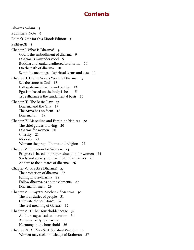# **Contents**

[Dharma Vahini 5](#page-4-0) [Publisher's Note 6](#page-5-0) [Editor's Note for this EBook Edition 7](#page-6-0) [PREFACE 8](#page-7-0) [Chapter I. What Is Dharma? 9](#page-8-0) [God is the embodiment of dharma 9](#page-8-0) [Dharma is misunderstood 9](#page-8-0) [Buddha and Sankara adhered to dharma 10](#page-9-0) [On the path of dharma 10](#page-9-0) [Symbolic meanings of spiritual terms and acts 11](#page-10-0) [Chapter II. Divine Versus Worldly Dharma 13](#page-12-0) [See the stone as God 13](#page-12-0) [Follow divine dharma and be free 13](#page-12-0) [Egotism based on the body is hell 15](#page-14-0) [True dharma is the fundamental basis 15](#page-14-0) [Chapter III. The Basic Flaw 17](#page-16-0) [Dharma and the Gita 17](#page-16-0) [The Atma has no form 18](#page-17-0) [Dharma is ... 19](#page-18-0) [Chapter IV. Masculine and Feminine Natures 20](#page-19-0) [The chief guides of living 20](#page-19-0) [Dharma for women 20](#page-19-0) [Chastity 21](#page-20-0) [Modesty 21](#page-20-0) [Woman: the prop of home and religion 22](#page-21-0) [Chapter V. Education for Women 24](#page-23-0) [Progress is based on proper education for women 24](#page-23-0) [Study and society not harmful in themselves 25](#page-24-0) [Adhere to the dictates of dharma 26](#page-25-0) [Chapter VI. Practise Dharma! 27](#page-26-0) [The protection of dharma 27](#page-26-0) [Falling into a-dharma 28](#page-27-0) [Follow dharma, as do the elements 29](#page-28-0) [Dharma for men 29](#page-28-0) [Chapter VII. Gayatri: Mother Of Mantras 30](#page-29-0) [The four duties of people 31](#page-30-0) [Cultivate the soul-force 32](#page-31-0) [The real meaning of Gayatri 32](#page-31-0) [Chapter VIII. The Householder Stage 34](#page-33-0) [All four stages lead to liberation 34](#page-33-0) [Adhere strictly to dharma 35](#page-34-0) [Harmony in the household 36](#page-35-0) [Chapter IX. All May Seek Spiritual Wisdom 37](#page-36-0) [Women may seek knowledge of Brahman 37](#page-36-0)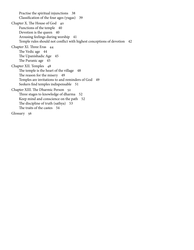[Practise the spiritual injunctions 38](#page-37-0) [Classification of the four ages \(yugas\) 39](#page-38-0) [Chapter X. The House of God 40](#page-39-0) [Functions of the temple 40](#page-39-0) [Devotion is the queen 40](#page-39-0) [Arousing feelings during worship 41](#page-40-0) [Temple rules should not conflict with highest conceptions of devotion 42](#page-41-0) [Chapter XI. Three Eras 44](#page-43-0) [The Vedic age 44](#page-43-0) [The Upanishadic Age 45](#page-44-0) [The Puranic age 45](#page-44-0) [Chapter XII. Temples 48](#page-47-0) [The temple is the heart of the village 48](#page-47-0) [The reason for the misery 49](#page-48-0) [Temples are invitations to and reminders of God 49](#page-48-0) [Seekers find temples indispensable 51](#page-50-0) [Chapter XIII. The Dharmic Person 52](#page-51-0) [Three stages to knowledge of dharma 52](#page-51-0) [Keep mind and conscience on the path 52](#page-51-0) [The discipline of truth \(sathya\) 53](#page-52-0) [The traits of the castes 54](#page-53-0) [Glossary 56](#page-55-0)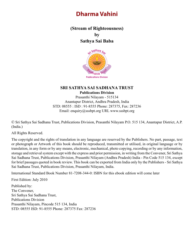# **Dharma Vahini**

## <span id="page-4-0"></span>**(Stream of Righteousness) by Sathya Sai Baba**



## **SRI SATHYA SAI SADHANA TRUST**

**Publications Division**

Prasanthi Nilayam - 515134 Anantapur District, Andhra Pradesh, India STD: 08555 : ISD : 91-8555 Phone: 287375, Fax: 287236 Email: enquiry@sssbpt.org URL www.sssbpt.org

© Sri Sathya Sai Sadhana Trust, Publications Division, Prasanthi Nilayam P.O. 515 134, Anantapur District, A.P. (India.)

All Rights Reserved.

The copyright and the rights of translation in any language are reserved by the Publishers. No part, passage, text or photograph or Artwork of this book should be reproduced, transmitted or utilised, in original language or by translation, in any form or by any means, electronic, mechanical, photo copying, recording or by any information, storage and retrieval system except with the express and prior permission, in writing from the Convener, Sri Sathya Sai Sadhana Trust, Publications Division, Prasanthi Nilayam (Andhra Pradesh) India - Pin Code 515 134, except for brief passages quoted in book review. This book can be exported from India only by the Publishers - Sri Sathya Sai Sadhana Trust, Publications Division, Prasanthi Nilayam, India.

International Standard Book Number 81-7208-344-0: ISBN for this ebook edition will come later

First Edition: July 2010

Published by: The Convener, Sri Sathya Sai Sadhana Trust, Publications Division Prasanthi Nilayam, Pincode 515 134, India STD: 08555 ISD: 91-8555 Phone: 287375 Fax: 287236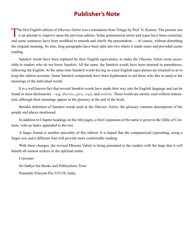## **Publisher's Note**

<span id="page-5-0"></span>The first English edition of *Dharma Vahini* was a translation from Telugu by Prof. N. Kasturi. The present one is an attempt to improve upon the previous edition. Some grammatical errors and typos have been corrected, and some sentences have been modified to smooth and clarify the presentation — of course, without disturbing the original meaning. So also, long paragraphs have been split into two where it made sense and provided easier reading.

Sanskrit words have been replaced by their English equivalents, to make the *Dharma Vahini* more accessible to readers who do not know Sanskrit. All the same, the Sanskrit words have been retained in parentheses, following the English. At the same time Sanskrit words having no exact English equivalensts are retained so as to keep the edition accurate. Some Sanskrit compounds have been hyphenated to aid those who like to analyse the meanings of the individual words.

It is a well known fact that several Sanskrit words have made their way into the English language and can be found in most dictionaries —e.g. *[dharma](#page-58-0)*, *[guru](#page-60-0)*, *yoga*, and *[moksha](#page-63-0)*. These words are mostly used without translation, although their meanings appear in the glossary at the end of the book.

Besides definition of Sanskrit words used in the *Dharma Vahini*, the glossary contains descriptions of the people and places mentioned.

In addition to Chapter headings on the title pages, a brief expansion of the same is given in the Table of Contents, with an Index appended to the text.

A larger format is another speciality of this edition. It is hoped that the computerized typesetting, using a larger size and a different font will provide more comfortable reading.

With these changes, the revised Dharma Vahini is being presented to the readers with the hope that it will benefit all earnest seekers in the spiritual realm.

Convener

Sri Sathya Sai Books and Publications Trust

Prasanthi Nilayam Pin 515134, India.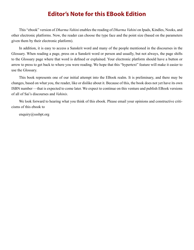## **Editor's Note for this EBook Edition**

<span id="page-6-0"></span>This "ebook" version of *Dharma Vahini* enables the reading of *Dharma Vahini* on Ipads, Kindles, Nooks, and other electronic platforms. Now, the reader can choose the type face and the point size (based on the parameters given them by their electronic platform).

In addition, it is easy to access a Sanskrit word and many of the people mentioned in the discourses in the Glossary. When reading a page, press on a Sanskrit word or person and usually, but not always, the page shifts to the Glossary page where that word is defined or explained. Your electronic platform should have a button or arrow to press to get back to where you were reading. We hope that this "hypertext" feature will make it easier to use the Glossary.

This book represents one of our initial attempt into the EBook realm. It is preliminary, and there may be changes, based on what you, the reader, like or dislike about it. Because of this, the book does not yet have its own ISBN number —that is expected to come later. We expect to continue on this venture and publish EBook versions of all of Sai's discourses and *Vahinis*.

We look forward to hearing what you think of this ebook. Please email your opinions and constructive criticisms of this ebook to

enquiry@sssbpt.org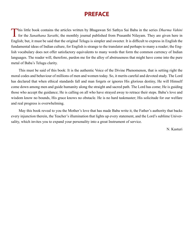## **PREFACE**

<span id="page-7-0"></span>This little book contains the articles written by Bhagawan Sri Sathya Sai Baba in the series *Dharma Vahini* for the *Sanathana Sarathi*, the monthly journal published from Prasanthi Nilayam. They are given here in English; but, it must be said that the original Telugu is simpler and sweeter. It is difficult to express in English the fundamental ideas of Indian culture, for English is strange to the translator and perhaps to many a reader; the English vocabulary does not offer satisfactory equivalents to many words that form the common currency of Indian languages. The reader will, therefore, pardon me for the alloy of abstruseness that might have come into the pure metal of Baba's Telugu clarity.

This must be said of this book: It is the authentic Voice of the Divine Phenomenon, that is setting right the moral codes and behaviour of millions of men and women today. So, it merits careful and devoted study. The Lord has declared that when ethical standards fall and man forgets or ignores His glorious destiny, He will Himself come down among men and guide humanity along the straight and sacred path. The Lord has come; He is guiding those who accept the guidance; He is calling on all who have strayed away to retrace their steps. Baba's love and wisdom know no bounds, His grace knows no obstacle. He is no hard taskmaster; His solicitude for our welfare and real progress is overwhelming.

May this book reveal to you the Mother's love that has made Baba write it, the Father's authority that backs every injunction therein, the Teacher's illumination that lights up every statement, and the Lord's sublime Universality, which invites you to expand your personality into a great Instrument of service.

N. Kasturi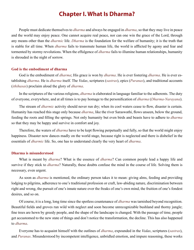## **Chapter I. What Is Dharma?**

<span id="page-8-0"></span>People must dedicate themselves to *[dharma](#page-58-0)* and always be engaged in *[dharma](#page-58-0)*, so that they may live in peace and the world may enjoy peace. One cannot acquire real peace, nor can one win the grace of the Lord, through any means other than the *[dharmic](#page-59-0)* life. *[Dharma](#page-58-0)* is the foundation for the welfare of humanity; it is the truth that is stable for all time. When *[dharma](#page-58-0)* fails to transmute human life, the world is afflicted by agony and fear and tormented by stormy revolutions. When the effulgence of *[dharma](#page-58-0)* fails to illumine human relationships, humanity is shrouded in the night of sorrow.

#### **God is the embodiment of dharma**

God is the embodiment of *[dharma](#page-58-0)*; His grace is won by *[dharma](#page-58-0)*. He is ever fostering *[dharma](#page-58-0)*. He is ever establishing *[dharma](#page-58-0)*. He is *[dharma](#page-58-0)* itself. The *[Vedas](#page-70-0)*, scriptures (*[sastras](#page-67-0)*), epics (*[Puranas](#page-65-0)*), and traditional accounts (*[ithihasas](#page-60-1)*) proclaim aloud the glory of *[dharma](#page-58-0)*.

In the scriptures of the various religions, *[dharma](#page-58-0)* is elaborated in language familiar to the adherents. The duty of everyone, everywhere, and at all times is to pay homage to the personification of *[dharma](#page-58-0)* (*Dharma-Narayana*).

The stream of *[dharmic](#page-59-0)* activity should never run dry; when its cool waters cease to flow, disaster is certain. Humanity has reached this stage only because *[dharma](#page-58-0)*, like the river [Saraswathi](#page-67-1), flows unseen, below the ground, feeding the roots and filling the springs. Not only humanity but even birds and beasts have to adhere to *[dharma](#page-58-0)* so that they may be happy and survive in comfort and joy.

Therefore, the waters of *[dharma](#page-58-0)* have to be kept flowing perpetually and fully, so that the world might enjoy happiness. Disaster now dances madly on the world stage, because right is neglected and there is disbelief in the essentials of *[dharmic](#page-59-0)* life. So, one has to understand clearly the very heart of *[dharma](#page-58-0)*.

#### **Dharma is misunderstood**

What is meant by *[dharma](#page-58-0)*? What is the essence of *[dharma](#page-58-0)*? Can common people lead a happy life and survive if they stick to *[dharma](#page-58-0)*? Naturally, these doubts confuse the mind in the course of life. Solving them is necessary, even urgent.

As soon as *[dharma](#page-58-0)* is mentioned, the ordinary person takes it to mean: giving alms, feeding and providing lodging to pilgrims, adherence to one's traditional profession or craft, law-abiding nature, discrimination between right and wrong, the pursuit of one's innate nature over the freaks of one's own mind, the fruition of one's fondest desires, and so on.

Of course, it is a long, long time since the spotless countenance of *[dharma](#page-58-0)* was tarnished beyond recognition. Beautiful fields and groves run wild with neglect and soon become unrecognizable bushland and thorny jungle; fine trees are hewn by greedy people, and the shape of the landscape is changed. With the passage of time, people get accustomed to the new state of things and don't notice the transformation, the decline. This has also happened to *[dharma](#page-58-0)*.

Everyone has to acquaint himself with the outlines of *[dharma](#page-58-0)*, expounded in the *[Vedas](#page-70-0)*, scriptures (*[sastras](#page-67-0)*), and *[Puranas](#page-65-0)*. Misunderstood by incompetent intelligence, unbridled emotion, and impure reasoning, these works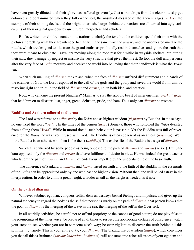<span id="page-9-0"></span>have been grossly diluted, and their glory has suffered grievously. Just as raindrops from the clear blue sky get coloured and contaminated when they fall on the soil, the unsullied message of the ancient sages (*[rishis](#page-66-0)*), the example of their shining deeds, and the bright untarnished urges behind their actions are all turned into ugly caricatures of their original grandeur by uncultured interpreters and scholars.

Books written for children contain illustrations to clarify the text, but the children spend their time with the pictures, forgetting what they are intended to clarify. In the same way, the unwary and the uneducated mistake the rituals, which are designed to illustrate the grand truths, as profoundly real in themselves and ignore the truth that they were meant to elucidate. Travellers moving along the road rest for a while in wayside shelters, but during their stay, they damage by neglect or misuse the very structure that gives them rest. So too, the dull and perverse alter the very face of *[Vedic](#page-70-1)* morality and deceive the world into believing that their handiwork is what the *[Vedas](#page-70-0)* teach!

When such mauling of *[dharma](#page-58-0)* took place, when the face of *[dharma](#page-58-0)* suffered disfigurement at the hands of the enemies of God, the Lord responded to the call of the gods and the godly and saved the world from ruin, by restoring right and truth in the field of *[dharma](#page-58-0)* and *[karma](#page-61-0)*, i.e. in both ideal and practice.

Now, who can cure the present blindness? Man has to slay the six-fold beast of inner enemies (*[arishadvarga](#page-56-0)*) that lead him on to disaster: lust, anger, greed, delusion, pride, and hate. Thus only can *[dharma](#page-58-0)* be restored.

#### **Buddha and Sankara adhered to dharma**

The Lord was referred to as *[dharma](#page-58-0)* by the *[Vedas](#page-70-0)* and as highest wisdom (*vi-jnana*) by [Buddha.](#page-58-1) In those days, no one liked the word "*Veda*". In the times of the demon (*[asura](#page-56-1)*) Somaka, those who followed the *[Vedas](#page-70-0)* desisted from calling them "*Veda*". While in mortal dread, such behaviour is passable. Yet the [Buddha](#page-58-1) was full of reverence for the *[Vedas](#page-70-0)*; he was ever infused with God. The [Buddha](#page-58-1) is often spoken of as an atheist (*[nasthika](#page-64-0)*)! Well, if the [Buddha](#page-58-1) is an atheist, who then is the theist (*[asthika](#page-56-2)*)? The entire life of the [Buddha](#page-58-1) is a saga of *[dharma](#page-58-0)*.

[Sankara](#page-67-2) is criticized by some people as being opposed to the path of *[dharma](#page-58-0)* and *[karma](#page-61-0)* (action). But [San](#page-67-2)[kara](#page-67-2) opposed only the *[dharma](#page-58-0)* and *[karma](#page-61-0)* that have fulfilment of desire in view. He was indeed the great teacher who taught the path of *[dharma](#page-58-0)* and *[karma](#page-61-0)*, of endeavour impelled by the understanding of the basic truth.

The adherence of [Sankara](#page-67-2) to *[dharma](#page-58-0)* and *[karma](#page-61-0)* based on truth and the faith of the [Buddha](#page-58-1) in the essentials of the *[Vedas](#page-70-0)* can be appreciated only by one who has the higher vision. Without that, one will be led astray in the interpretation. In order to climb a great height, a ladder as tall as the height is needed, is it not?

#### **On the path of dharma**

Whoever subdues egotism, conquers selfish desires, destroys bestial feelings and impulses, and gives up the natural tendency to regard the body as the self that person is surely on the path of *[dharma](#page-58-0)*; that person knows that the goal of *[dharma](#page-58-0)* is the merging of the wave in the sea, the merging of the self in the Over-self.

In all worldly activities, be careful not to offend propriety or the canons of good nature; do not play false to the promptings of the inner voice; be prepared at all times to respect the appropriate dictates of conscience; watch your steps to see whether you are in someone else's way; be ever vigilant to discover the truth behind all this scintillating variety. This is your entire duty, your *[dharma](#page-58-0)*. The blazing fire of wisdom (*[jnana](#page-61-1)*), which convinces you that all this is [Brahman](#page-57-0) (*sarvam khalvidam Brahmam*), will consume into ashes all traces of your egotism and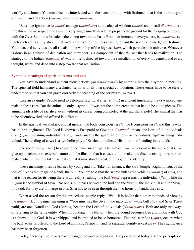<span id="page-10-0"></span>worldly attachment. You must become intoxicated with the nectar of union with [Brahman;](#page-57-0) that is the ultimate goal of *[dharma](#page-58-0)* and of action (*[karma](#page-61-0)*) inspired by *[dharma](#page-58-0)*.

"Sacrifice ignorance (*[a-jnana](#page-55-1)*) and ego (*[ahamkara](#page-55-2)*) at the altar of wisdom (*[jnana](#page-61-1)*) and install *[dharma](#page-58-0)* therein"; this is the message of the *[Vedas](#page-70-0)*. Every single unselfish act that prepares the ground for the merging of the soul with the Over-Soul, that broadens the vision toward the basic [Brahman](#page-57-0) immanent everywhere, is a *[dharmic](#page-59-0)* act. Each such act is a tiny stream that swells the river of holiness rushing toward the sea of knowledge of [Brahman.](#page-57-0) Your acts and activities are all rituals in the worship of the highest *[Atma](#page-56-3)*, which pervades the universe. Whatever is done in an attitude of dedication and surrender is a component of the *[dharma](#page-58-0)* that leads to realization. The strategy of the Indian (*[Bharathiya](#page-57-1)*) way of life is directed toward the sanctification of every movement and every thought, word, and deed into a step toward that realisation.

#### **Symbolic meanings of spiritual terms and acts**

You have to understand ancient pious actions (*[dharma-karmas](#page-58-2)*) by entering into their symbolic meaning. The spiritual field has many a technical term, with its own special connotation. These terms have to be clearly understood so that you can grasp correctly the teaching of the scriptures (*[sastras](#page-67-0)*).

Take an example. People used to celebrate sacrificial rites (*yajnas*) in ancient times, and they sacrificed animals in these rites. But the animal is only a symbol. It was not the dumb creature that had to be cut to pieces. The animal leads a life of sacrifice, even without its career being completed at the sacrificial pole! The animal that has to be disemboweled and offered is different.

In the spiritual vocabulary, animal means "the body consciousness", "the I-consciousness", and this is what has to be slaughtered. The Lord is known as [Pasupathi](#page-64-1) or [Govinda](#page-59-1). *[Pasupathi](#page-64-1)* means the Lord of all individuals (*[jivas](#page-60-2)*), *[pasu](#page-64-2)* meaning individual; and *[govinda](#page-59-1)* means the guardian of cows or individuals, "*go*" meaning individual. The tending of cows is a symbolic play of [Krishna](#page-61-2) to indicate His mission of tending individuals.

The scriptures (*[sastras](#page-67-0)*) have profound inner meanings. The aim of *[dharma](#page-58-0)* is to make the individual (*[jiva](#page-60-2)*) give up attachment to external nature and the illusion that it causes and to make it realise its reality or rather, unrealise what it has now taken as real so that it may stand revealed in its genuine identity.

These meanings must be learned by young and old. Take, for instance, the [Siva](#page-68-0) Temple. Right in front of the idol of [Siva](#page-68-0) is the image of [Nandi](#page-63-1), the bull. You are told that the sacred bull is the vehicle (*vahana*) of [Siva,](#page-68-0) and that is the reason for its being there. But, really speaking, the bull (*[pasu](#page-64-2)*) represents the individual (*[jiva](#page-60-2)*) while the *[lingam](#page-62-0)* is the symbol of [Siva](#page-68-0). "No one should pass between the bull and the *[lingam](#page-62-0)*, the individual and the [Siva,](#page-68-0)" it is said; for they are to merge in one. [Siva](#page-68-0) has to be seen through the two horns of [Nandi,](#page-63-1) they say.

When asked the reason for this procedure, people reply, "Well, it is holier than other methods of viewing the *[lingam](#page-62-0)*." But the inner meaning is, "You must see the [Siva](#page-68-0) in the individual" —the bull *[Pasu](#page-64-2)* and [Siva](#page-68-0) [\(Pasu](#page-64-1)[pathi](#page-64-1)) are one. [Nandi](#page-63-1) and God (*[Iswara](#page-60-3)*) become the Lord of individuals (*[Nandiswara](#page-63-2)*). Both are only two ways of referring to the same entity. When in bondage, it is [Nandi](#page-63-1); when the bound becomes free and union with God is achieved, it is God. It is worshipped and is entitled to be so honoured. The true sacrifice (*yajna*) occurs when the bull (*[pasu](#page-64-2)*) is offered to the Lord of animals, [Pasupathi,](#page-64-1) and its separate identity is cast away. The significance has now been forgotten.

Today, these symbolic acts have changed beyond recognition. The practices of today and the principles of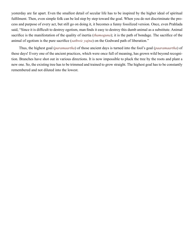yesterday are far apart. Even the smallest detail of secular life has to be inspired by the higher ideal of spiritual fulfilment. Then, even simple folk can be led step by step toward the goal. When you do not discriminate the process and purpose of every act, but still go on doing it, it becomes a funny fossilized version. Once, even [Prahlada](#page-65-1) said, "Since it is difficult to destroy egotism, man finds it easy to destroy this dumb animal as a substitute. Animal sacrifice is the manifestation of the quality of inertia (*thamoguna*); it is the path of bondage. The sacrifice of the animal of egotism is the pure sacrifice (*[sathwic](#page-67-3) yajna*) on the Godward path of liberation."

Thus, the highest goal (*[paramaartha](#page-64-3)*) of those ancient days is turned into the fool's goal (*[paaramaartha](#page-64-4)*) of these days! Every one of the ancient practices, which were once full of meaning, has grown wild beyond recognition. Branches have shot out in various directions. It is now impossible to pluck the tree by the roots and plant a new one. So, the existing tree has to be trimmed and trained to grow straight. The highest goal has to be constantly remembered and not diluted into the lowest.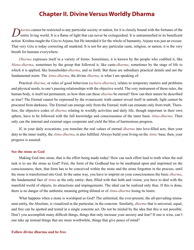## **Chapter II. Divine Versus Worldly Dharma**

<span id="page-12-0"></span>*Dharma* cannot be restricted to any particular society or nation, for it is closely bound with the fortunes of the entire living world. It is a flame of light that can never be extinguished. It is untrammelled in its bene action. [Krishna](#page-61-2) taught the *[Gita](#page-57-2)* to [Arjuna](#page-56-4), but He intended it for the whole of humanity. [Arjuna](#page-56-4) was just an excuse. That very *[Gita](#page-57-2)* is today correcting all mankind. It is not for any particular caste, religion, or nation; it is the very breath for humans everywhere.

*[Dharma](#page-58-0)* expresses itself in a variety of forms. Sometimes, it is known by the people who codified it, like *[Manu-dharma](#page-62-1)*, sometimes by the group that followed it, like [caste](#page-58-3)-*[dharma](#page-58-0)*, sometimes by the stage of life to which it is applied, like householder-*[dharma](#page-58-0)*, and so forth. But these are subsidiary practical details and not the fundamental norm. The *[Atma-dharma](#page-56-5)*, the divine *[dharma](#page-58-0)*, is what I am speaking of.

Practical *[dharma](#page-58-0)*, or rules of good behaviour (*[achara-dharma](#page-55-3)*), relates to temporary matters and problems and physical needs, to one's passing relationships with the objective world. The very instrument of those rules, the human body, is itself not permanent, so how then can these *[dharma](#page-58-0)* be eternal? How can their nature be described as true? The Eternal cannot be expressed by the evanescent; truth cannot reveal itself in untruth; light cannot be procured from darkness. The Eternal can emerge only from the Eternal; truth can emanate only from truth. Therefore, the objective codes of *[dharma](#page-58-0)* relating to worldly activities and daily life, though important in their own sphere, have to be followed with the full knowledge and consciousness of the inner basic *[Atma-dharma](#page-56-5)*. Then only can the internal and external urges cooperate and yield the bliss of harmonious progress.

If, in your daily avocations, you translate the real values of eternal *[dharma](#page-58-0)* into love-filled acts, then your duty to the inner reality, the *[Atma-dharma](#page-56-5)*, is also fulfilled. Always build your living on the *[Atmic](#page-56-6)* base; then, your progress is assured.

#### **See the stone as God**

Making God into stone, that is the effort being made today! How can such effort lead to truth when the real task is to see the stone as God? First, the form of the Godhead has to be meditated upon and imprinted on the consciousness; then, that form has to be conceived within the stone and the stone forgotten in the process, until the stone is transformed into God. In the same way, you have to imprint on your consciousness the basic *[dharma](#page-58-0)*, the fundamental fact of *[Atma](#page-56-3)* as the only entity; then, filled with that faith and vision, you have to deal with the manifold world of objects, its attractions and impingements. The ideal can be realized only thus. If this is done, there is no danger of the authentic meaning getting diluted or of *[Atma-dharma](#page-56-5)* losing its lustre.

What happens when a stone is worshiped as God? The unlimited, the ever-present, the all-pervading-immanent entity, the Absolute, is visualized in the particular, in the concrete. Similarly, *[dharma](#page-58-0)* that is universal, equal, and free can be spotted and tested in a single concrete act. Do not be misled by the idea that this is not possible. Don't you accomplish many difficult things, things that only increase your anxiety and fear? If one is wise, can't one take up instead things that are more worthwhile, things that give peace of mind?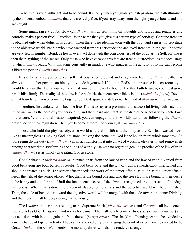To be free is your birthright, not to be bound. It is only when you guide your steps along the path illumined by the universal unbound *[dharma](#page-58-0)* that you are really free; if you stray away from the light, you get bound and you are caught.

Some might raise a doubt: How can *[dharma](#page-58-0)*, which sets limits on thoughts and words and regulates and controls, make a person free? "Freedom" is the name that you give to a certain type of bondage. Genuine freedom is obtained only when delusion is absent, when there is no identification with the body and senses, no servitude to the objective world. People who have escaped from this servitude and achieved freedom in the genuine sense are very few in number. Bondage lies in every act done with the consciousness of the body as the Self, for one is then the plaything of the senses. Only those who have escaped this fate are free; this "freedom" is the ideal stage to which *[dharma](#page-58-0)* leads. With this stage constantly in mind, one who engages in the activity of living can become a liberated person (*[muktha-purusha](#page-63-3)*).

It is only because you bind yourself that you become bound and stray away from the *[dharmic](#page-59-0)* path. It is always so; no other person can bind you; you do it yourself. If faith in God's omnipresence is deep-rooted, you would be aware that He is your self and that you could never be bound! For that faith to grow, you must grasp *[Atmic](#page-56-6)* bliss firmly. The reality of the *[Atma](#page-56-3)* is the bedrock, the incontrovertible wisdom (*[nishchitha-jnana](#page-64-5)*). Devoid of that foundation, you become the target of doubt, despair, and delusion. The maid of *[dharma](#page-58-0)* will not wed such.

Therefore, first endeavour to become free. That is to say, as a preliminary to successful living, cultivate faith in the *[dharma](#page-58-0)* as the core of your personality and then learn and practise the discipline necessary to reach down to that core. With that qualification acquired, you can engage fully in worldly activities, following the *[dharma](#page-58-0)* prescribed for their regulation. Then you become a moral individual (*[dharma-purusha](#page-59-2)*).

Those who hold the physical objective world as the all of life and the body as the Self lead wasted lives, live as meaningless as making God into stone. Making the stone into God is the holier, more wholesome task. So too, seeing divine duty (*[Atma-dharma](#page-56-5)*) in an act transforms it into an act of worship, elevates it, and removes its binding characteristic. Performing the duties of worldly life with no regard to genuine practice of the law of truth (*[sathya-dharma](#page-67-4)*) is as unholy as treating God as stone.

Good behaviour (*[achara-dharma](#page-55-3)*) pursued apart from the law of truth and the law of truth divorced from good behaviour are both barren of results. Good behaviour and the law of truth are inextricably intertwined and should be treated as such. The senior officer needs the work of the junior official as much as the junior official needs the help of the senior officer. Who, then, is the bound one and who the free? Both are bound to their desire to be happy and comfortable. Until the fundamental secret of the *[Atma](#page-56-3)* is recognized, the outer state of bondage will persist. When that is done, the burden of slavery to the senses and the objective world will be diminished. Then, the code of behaviour toward the objective world will be merged with the code toward the inner Divinity, and the urges will all be cooperating harmoniously.

The *[Vedanta](#page-70-2)*, the scriptures relating to the Supreme Spirit (*[adi-Atmic](#page-55-4) [sastras](#page-67-0)*), and *[dharma](#page-58-0)* —all invite one to live and act as God ([Bhagavan\)](#page-57-3) and not as bondsman. Then, all acts become virtuous acts (*[dharma-karmas](#page-58-2)*) and not acts done with intent to gain the fruits thereof (*[kamya-karma](#page-61-3)*). The shackles of bondage cannot be avoided by a mere change of type of activity. They can be avoided only by changing the point of view from the created to the Creator (*[deha](#page-58-4)* to the *[Deva](#page-58-5)*). Thereby, the moral qualities will also be rendered stronger.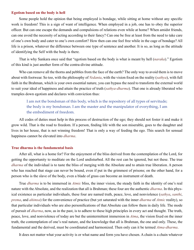#### <span id="page-14-0"></span>**Egotism based on the body is hell**

Some people hold the opinion that being employed is bondage, while sitting at home without any specific work is freedom! This is a sign of want of intelligence. When employed in a job, one has to obey the superior officer. But can one escape the demands and compulsions of relations even while at home? When amidst friends, can one avoid the necessity of acting according to their fancy? Can one be free at least from the need to take care of one's own body and cater to one's own comfort? How then can one feel free while in the cage of bondage? All life is a prison, whatever the difference between one type of sentence and another. It is so, as long as the attitude of identifying the Self with the body is there.

That is why [Sankara](#page-67-2) once said that "egotism based on the body is what is meant by hell (*[naraka](#page-63-4)*)." Egotism of this kind is just another form of the contra-divine attitude.

Who can remove all the thorns and pebbles from the face of the earth? The only way to avoid them is to move about with footwear. So too, with the philosophy of *[Vedanta](#page-70-2)*, with the vision fixed on the reality (*[sathya](#page-67-3)*), with full faith in the [Brahman](#page-57-0), which is your own essential nature, you can bypass the need to transform the external world to suit your ideal of happiness and attain the practice of truth (*[sathya-dharma](#page-67-4)*). That one is already liberated who tramples down egotism and declares with conviction thus:

I am not the bondsman of this body, which is the repository of all types of servitude; the body is my bondsman. I am the master and the manipulator of everything, I am the embodiment of freedom.

All codes of duties must help in this process of destruction of the ego; they should not foster it and make it grow wild. That is the road to freedom. If a person, finding life with the son miserable, goes to the daughter and lives in her house, that is not winning freedom! That is only a way of feeding the ego. This search for sensual happiness cannot be elevated into *[dharma](#page-58-0)*.

#### **True dharma is the fundamental basis**

After all, what is a home for? For the enjoyment of the bliss derived from the contemplation of the Lord, for getting the opportunity to meditate on the Lord undisturbed. All the rest can be ignored, but not these. The true *[dharma](#page-58-0)* of the individual is to taste the bliss of merging with the Absolute and to attain true liberation. A person who has reached that stage can never be bound, even if put in the grimmest of prisons; on the other hand, for a person who is the slave of the body, even a blade of grass can become an instrument of death.

True *[dharma](#page-58-0)* is to be immersed in *[Atmic](#page-56-6)* bliss, the inner vision, the steady faith in the identity of one's real nature with the Absolute, and the realization that all is [Brahman;](#page-57-0) these four are the authentic *[dharma](#page-58-0)*. In this physical existence as particular individuals, these four are named truth, peace, love, and nonviolence (*[sathya](#page-67-3)*, *[santhi](#page-67-5)*, *[prema](#page-65-2)*, and *[ahimsa](#page-55-5)*) for the convenience of practice (but yet saturated with the inner *[dharma](#page-58-0)* of *[Atmic](#page-56-6)* reality), so that particular individuals who are also personifications of that Absolute can follow them in daily life. The mode of pursuit of *[dharma](#page-58-0)*, now, as in the past, is to adhere to these high principles in every act and thought. The truth, peace, love, and nonviolence of today are but the unintermittent immersion in *[Atma](#page-56-3)*, the vision fixed on the inner truth, the contemplation of one's real nature, and the knowledge that all is [Brahman](#page-57-0), the one and only. These, the fundamental and the derived, must be coordinated and harmonized. Then only can it be termed *[Atma-dharma](#page-56-5)*.

It does not matter what your activity is or what name and form you have chosen. A chain is a chain whatever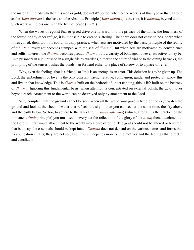the material; it binds whether it is iron or gold, doesn't it? So too, whether the work is of this type or that, as long as the *[Atma-dharma](#page-56-5)* is the base and the Absolute Principle (*[Atma-thathwa](#page-56-7)*) is the root, it is *[dharma](#page-58-0)*, beyond doubt. Such work will bless one with the fruit of peace (*[santhi](#page-67-5)*).

When the waves of egotist fear or greed drive one forward, into the privacy of the home, the loneliness of the forest, or any other refuge, it is impossible to escape suffering. The cobra does not cease to be a cobra when it lies coiled; then, too, it is cobra. In daily practice, when acts are motivated by the basic principle of the reality of the *[Atma](#page-56-3)*, every act becomes stamped with the seal of *[dharma](#page-58-0)*. But when acts are motivated by convenience and selfish interest, the *[dharma](#page-58-0)* becomes pseudo-*[dharma](#page-58-0)*. It is a variety of bondage, however attractive it may be. Like prisoners in a jail pushed in a single file by wardens, either to the court of trial or to the dining barracks, the prompting of the senses pushes the bondsman forward either to a place of sorrow or to a place of relief.

Why, even the feeling "that is a friend" or "this is an enemy" is an error. This delusion has to be given up. The Lord, the embodiment of love, is the only constant friend, relative, companion, guide, and protector. Know this and live in that knowledge. This is *[dharma](#page-58-0)* built on the bedrock of understanding, this is life built on the bedrock of *[dharma](#page-58-0)*. Ignoring this fundamental basis, when attention is concentrated on external polish, the goal moves beyond reach. Attachment to the world can be destroyed only by attachment to the Lord.

Why complain that the ground cannot be seen when all the while your gaze is fixed on the sky? Watch the ground and look at the sheet of water that reflects the sky —then you can see, at the same time, the sky above and the earth below. So too, to adhere to the law of truth (*[sathya-dharma](#page-67-4)*) (which, after all, is the practice of the immanent *[Atmic](#page-56-6)* principle) you must see in every act the reflection of the glory of the *[Atma](#page-56-3)*; then, attachment to the Lord will transmute attachment to the world into a pure offering. The goal should not be altered or lowered; that is to say, the essentials should be kept intact. *[Dharma](#page-58-0)* does not depend on the various names and forms that its application entails; they are not so basic; *[dharma](#page-58-0)* depends more on the motives and the feelings that direct it and canalize it.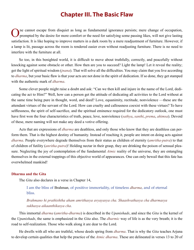## **Chapter III. The Basic Flaw**

<span id="page-16-0"></span>One cannot escape from disquiet as long as fundamental ignorance persists; mere change of occupation, prompted by the desire for more comfort or the need for satisfying some passing likes, will not give lasting satisfaction. It is like hoping to improve matters in a dark room by a mere readjustment of furniture. However, if a lamp is lit, passage across the room is rendered easier even without readjusting furniture. There is no need to interfere with the furniture at all.

So too, in this benighted world, it is difficult to move about truthfully, correctly, and peacefully without knocking against some obstacle or other. How then are you to succeed? Light the lamp! Let it reveal the reality; get the light of spiritual wisdom (*[jnana](#page-61-1)*). That will solve all the difficulties. You may claim that you live according to *[dharma](#page-58-0)*, but your basic flaw is that your acts are not done in the spirit of dedication. If so done, they get stamped with the authentic mark of *[dharma](#page-58-0)*.

Some clever people might raise a doubt and ask: "Can we then kill and injure in the name of the Lord, dedicating the act to Him?" Well, how can a person get the attitude of dedicating all activities to the Lord without at the same time being pure in thought, word, and deed? Love, equanimity, rectitude, nonviolence —these are the attendant virtues of the servant of the Lord. How can cruelty and callousness coexist with these virtues? To have selflessness, the spirit of self-sacrifice, and the spiritual eminence required for the dedicatory outlook, one must have first won the four characteristics of truth, peace, love, nonviolence (*[sathya](#page-67-3)*, *[santhi](#page-67-5)*, *[prema](#page-65-2)*, *[ahimsa](#page-55-5)*). Devoid of these, mere naming will not make any deed a votive offering.

Acts that are expressions of *[dharma](#page-58-0)* are deathless, and only those who know that they are deathless can perform them. That is the highest destiny of humanity. Instead of reaching it, people are intent on doing acts against *[dharma](#page-58-0)*. People everywhere degrade themselves from their status as children of eternity (*[amritha-putra](#page-55-6)*) to that of children of futility (*[anritha-putra](#page-55-6)*)! Holding nectar in their grasp, they are drinking the poison of sensual pleasure. Neglecting the joy of contemplation of the fundamental *[Atmic](#page-56-6)* reality of the universe, they are entangling themselves in the external trappings of this objective world of appearances. One can only bewail that this fate has overwhelmed mankind!

#### **Dharma and the Gita**

The *[Gita](#page-57-2)* also declares in a verse in Chapter 14,

I am the bliss of [Brahman](#page-57-0), of positive immortality, of timeless *[dharma](#page-58-0)*, and of eternal bliss.

*Brahmano hi prathishtha aham amrithasya avyayasya cha. Shaashvathasya cha dharmasya sukhasya aikaanthikasya cha*.

This immortal *[dharma](#page-58-0)* (*[amritha-dharma](#page-55-7)*) is described in the *[Upanishads](#page-69-0)*, and since the *[Gita](#page-57-2)* is the kernel of the *[Upanishads](#page-69-0)*, the same is emphasized in the *[Gita](#page-57-2)* also. The *[dharmic](#page-59-0)* way of life is as the very breath; it is the road to self-realization. Those who walk along it are dear to the Lord.

He dwells with all who are truthful, whose deeds spring from *[dharma](#page-58-0)*. That is why the *[Gita](#page-57-2)* teaches [Arjuna](#page-56-4)  to develop certain qualities that help the practice of the *[Atmic](#page-56-6) dharma*. These are delineated in verses 13 to 20 of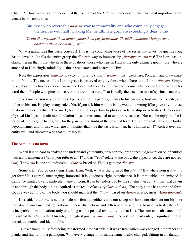<span id="page-17-0"></span>Chap. 12. Those who have drunk deep at the fountain of the *[Gita](#page-57-2)* will remember them. The most important of the verses in this context is:

## But those who revere this *[dharmic](#page-59-0)* way to immortality and who completely engage themselves with faith, making Me the ultimate goal, are exceedingly dear to me.

## *Ye thu dharmyaamritham idham yathoktham paryupaasathe. Shraddhadhaanaa Math parama bhakthaasthe atheeva me priyah*.

What a grand idea this verse conveys! This is the concluding verse of the series that gives the qualities one has to develop. It calls the entire group the *[dharmic](#page-59-0)* way to immortality (*[dharmya-amritham](#page-59-3)*)! The Lord has declared therein that those who have these qualities, those who trust in Him as the only ultimate goal, those who are attached to Him single-mindedly —those are dearest and nearest to Him.

Note the expression "*[dharmic](#page-59-0)* way to immortality (*[dharmya-amritham](#page-59-3)*)" used here. Ponder it and draw inspiration from it. The nectar of the Lord's grace is deserved only by those who adhere to the Lord's *[dharma](#page-58-0)*. Simple folk believe they have devotion toward the Lord, but they do not pause to inquire whether the Lord has love toward them. People who pine to discover this are rather rare. That is really the true measure of spiritual success.

The same person is king to his subjects, son to his parents, enemy to his enemies, husband to his wife, and father to his son. He plays many roles. Yet, if you ask him who he is, he would be wrong if he gave any of these relationships as his distinctive mark, for these marks pertain to physical relationship or activities. They denote physical kinships or professional relationships, names attached to temporary statuses. Nor can he reply that he is the head, the feet, the hands, etc., for they are but the limbs of the physical form. He is more real than all the limbs, beyond names and forms, which are all falsities that hide the basic [Brahman](#page-57-0); he is known as "I". Reflect over that entity well and discover who that "I" really is.

#### **The Atma has no form**

When it is so hard to analyse and understand your entity, how can you pronounce judgement on other entities with any definiteness? What you refer to as "I" and as "You" relate to the body, the appearance; they are not real (*[sat](#page-67-6)*). The *[Atma](#page-56-3)* is one and indivisible; *[dharma](#page-58-0)* based on That is genuine *[dharma](#page-58-0)*.

Some ask, "You go on saying *[Atma](#page-56-3)*, *[Atma](#page-56-3)*. Well, what is the form of this *[Atma](#page-56-3)*?" But wherefrom is *[Atma](#page-56-3)* to get form? It is eternal, unchanging, immortal. It is goodness, right, beneficence. It is immutable, unblemished. It cannot be limited by any particular name or form. It can be understood by the spiritual wisdom (*[jnana](#page-61-1)*) that dawns in and through the body, i.e. as acquired as the result of activity (*[karma-deha](#page-61-4)*). The body alone has name and form, so, in every activity of the body, you should manifest the *[dharma](#page-58-0)* based on *[Atma](#page-56-3)*-consciousness (*[Atma-dharma](#page-56-5)*).

It is said, "the *[Atma](#page-56-3)* is neither male nor female; neither cattle nor sheep nor horse nor elephant nor bird nor tree; it is beyond such categorizations." These distinctions and differences arise on the basis of activity; the *[Atma](#page-56-3)* is incapable of modification; only one thing can be posited about it, viz., that It is. The sum and substance of all this is that the *[Atma](#page-56-3)* is the Absolute, the highest goal (*[paramaartha](#page-64-3)*). The rest is all particular, insignificant, false, unreal, denotable, and identifiable.

Take a palanquin. Before being transformed into that article, it was a tree, which was changed into timber and planks and finally into a palanquin. With every change in form, the name is also changed. Sitting in a palanquin,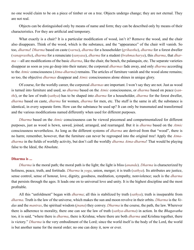<span id="page-18-0"></span>no one would claim to be on a piece of timber or on a tree. Objects undergo change; they are not eternal. They are not real.

Objects can be distinguished only by means of name and form; they can be described only by means of their characteristics. For they are artificial and temporary.

What exactly is a chair? It is a particular modification of wood, isn't it? Remove the wood, and the chair also disappears. Think of the wood, which is the substance, and the "appearance" of the chair will vanish. So too, *[dharma](#page-58-0)*! *[Dharma](#page-58-0)* based on [caste](#page-58-3) (*varna*), *[dharma](#page-58-0)* for a householder (*[grihastha](#page-60-4)*), *[dharma](#page-58-0)* for a forest dweller (*vanaprastha*), *[dharma](#page-58-0)* for a renunciate (*[sanyasa](#page-67-7)*), *[dharma](#page-58-0)* for a student (*[brahmacharya](#page-57-4)*), this *[dharma](#page-58-0)*, that *[dhar](#page-58-0)[ma](#page-58-0)* —all are modifications of the basic *[dharma](#page-58-0)*, like the chair, the bench, the palanquin, etc. The separate varieties disappear as soon as you go deep into their nature; the corporeal *[dharmas](#page-58-0)* fade away, and only *[dharma](#page-58-0)* according to the *[Atmic](#page-56-6)* consciousness (*[Atma-dharma](#page-56-5)*) remains. The articles of furniture vanish and the wood alone remains; so too, the objective *[dharmas](#page-58-0)* disappear and *[Atmic](#page-56-6)* consciousness alone shines in unique glory.

Of course, for the worldly career, the corporeal *[dharma](#page-58-0)s* are important. I won't say they are not. Just as wood is turned into furniture and used, so *[dharma](#page-58-0)* based on the *[Atmic](#page-56-6)* consciousness, or *[dharma](#page-58-0)* based on peace (*[san](#page-67-5)[thi](#page-67-5)*), or the law of truth (*[sathya](#page-67-3)*) has to be shaped into *[dharma](#page-58-0)* for a householder, *[dharma](#page-58-0)* for the forest dweller, *[dharma](#page-58-0)* based on [caste,](#page-58-3) *[dharma](#page-58-0)* for women, *[dharma](#page-58-0)* for men, etc. The stuff is the same in all; the substance is identical, in every separate form. How can the substance be used up? It can only be transmuted and transformed and the various modifications named differently when used for different purposes.

*[Dharma](#page-58-0)* based on the *[Atmic](#page-56-6)* consciousness can be viewed piecemeal and compartmentalized for different purposes, just as wood is hewn, sawed, joined, arranged, and rearranged. But it is *[dharma](#page-58-0)* based on the *[Atmic](#page-56-6)* consciousness nevertheless. As long as the different systems of *[dharma](#page-58-0)* are derived from that "wood", there is no harm; remember, however, that the furniture can never be regrouped into the original tree! Apply the *[Atma](#page-56-5)[dharma](#page-56-5)* in the fields of worldly activity, but don't call the worldly *[dharma](#page-58-0) [Atma-dharma](#page-56-5)*! That would be playing false to the Ideal, the Absolute.

#### **Dharma is ...**

*[Dharma](#page-58-0)* is the moral path; the moral path is the light; the light is bliss (*[ananda](#page-55-8)*). *[Dharma](#page-58-0)* is characterized by holiness, peace, truth, and fortitude. *[Dharma](#page-58-0)* is *yoga*, union, merger; it is truth (*[sathya](#page-67-3)*). Its attributes are justice, sense control, sense of honour, love, dignity, goodness, meditation, sympathy, nonviolence; such is the *[dharma](#page-58-0)* that persists through the ages. It leads one on to universal love and unity. It is the highest discipline and the most profitable.

All this "unfoldment" began with *[dharma](#page-58-0)*; all this is stabilized by truth (*[sathya](#page-67-3)*); truth is inseparable from *[dharma](#page-58-0)*. Truth is the law of the universe, which makes the sun and moon revolve in their orbits. *[Dharma](#page-58-0)* is the *[Ve](#page-70-0)[das](#page-70-0)* and the *[mantras](#page-62-2)*, the spiritual wisdom (*[jnana](#page-61-1)*) they convey. *[Dharma](#page-58-0)* is the course, the path, the law. Wherever there is adherence to morality, there one can see the law of truth (*[sathya-dharma](#page-67-4)*) in action. In the *[Bhagavatha](#page-57-5)* too, it is said, "where there is *[dharma](#page-58-0)*, there is [Krishna](#page-61-2); where there are both *[dharma](#page-58-0)* and [Krishna](#page-61-2) together, there is victory." *[Dharma](#page-58-0)* is the very embodiment of the Lord; since the world itself is the body of the Lord, the world is but another name for the moral order; no one can deny it, now or ever.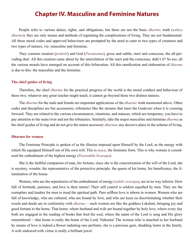## **Chapter IV. Masculine and Feminine Natures**

<span id="page-19-0"></span>People refer to various duties, rights, and obligations, but these are not the basic *[dharmic](#page-59-0)* truth (*[sathya](#page-67-3) dharma*); they are only means and methods of regulating the complications of living. They are not fundamental. All these moral codes and approved behaviours are prompted by the need to cater to two types of creatures and two types of natures, viz. masculine and feminine.

They connote creation (*[prakriti](#page-65-3)*) and God (*[Paramatma](#page-64-6)*), gross and subtle, inert and conscious, the all-pervading duet. All this creation came about by the interrelation of the inert and the conscious, didn't it? So too, all the various morals have emerged on account of this bifurcation. All this ramification and elaboration of *[dharma](#page-58-0)* is due to this: the masculine and the feminine.

#### **The chief guides of living**

Therefore, the chief *[dharma](#page-58-0)* for the practical progress of the world is the moral conduct and behaviour of these two; whatever any great teacher might teach, it cannot go beyond these two distinct natures.

The *[dharma](#page-58-0)* for the male and female are important applications of the *[dharmic](#page-59-0)* truth mentioned above. Other codes and disciplines are but accessories, tributaries like the streams that meet the [Godavari](#page-59-4) when it is coursing forward. They are related to the various circumstances, situations, and statuses, which are temporary; you have to pay attention to the main river and not the tributaries. Similarly, take the major masculine and feminine *[dharma](#page-58-0)* as the chief guides of living and do not give the minor accessory *[dharmas](#page-58-0)* any decisive place in the scheme of living.

#### **Dharma for women**

The Feminine Principle is spoken of as the illusion imposed upon Himself by the Lord, as the energy with which He equipped Himself out of His own will. This is *[maya](#page-63-5)*, the feminine form. This is why woman is considered the embodiment of the highest energy (*[Parasakthi](#page-64-7) Swarupa*).

She is the faithful companion of man, his fortune; since she is the concretization of the will of the Lord, she is mystery, wonder, the representative of the protective principle, the queen of his home, his beneficence, the illumination of the house.

Women, who are the repositories of the embodiment of energy (*[sakthi](#page-66-1) swarupa*), are in no way inferior. How full of fortitude, patience, and love is their nature! Their self control is seldom equalled by men. They are the exemplars and leaders for men to tread the spiritual path. Pure selfless love is inborn in women. Women who are full of knowledge, who are cultured, who are bound by love, and who are keen on discriminating whether their words and deeds are in conformity with *[dharma](#page-58-0)* —such women are like the goddess [Lakshmi,](#page-62-3) bringing joy and good fortune to the home. That home, where husband and wife are bound together by holy love, where every day both are engaged in the reading of books that feed the soul, where the name of the Lord is sung and His glory remembered —that home is really the home of the Lord, [Vaikunta](#page-70-3)! The woman who is attached to her husband by means of love is indeed a flower radiating rare perfume; she is a precious gem, shedding lustre in the family. A wife endowed with virtue is really a brilliant jewel.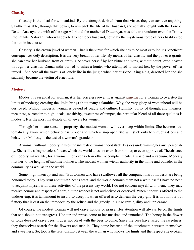#### <span id="page-20-0"></span>**Chastity**

Chastity is the ideal for womankind. By the strength derived from that virtue, they can achieve anything. [Savithri](#page-68-1) was able, through that power, to win back the life of her husband; she actually fought with the Lord of Death. [Anasuya](#page-55-9), the wife of the sage [Athri](#page-56-8) and the mother of [Dattatreya,](#page-58-6) was able to transform even the Trinity into infants. [Nalayani,](#page-63-6) who was devoted to her leper husband, could by the mysterious force of her chastity stop the sun in its course.

Chastity is the crown jewel of women. That is the virtue for which she has to be most extolled. Its beneficent consequences defy description. It is the very breath of her life. By means of her chastity and the power it grants, she can save her husband from calamity. She saves herself by her virtue and wins, without doubt, even heaven through her chastity. [Damayanthi](#page-58-7) burned to ashes a hunter who attempted to molest her, by the power of her "word". She bore all the travails of lonely life in the jungle when her husband, King Nala, deserted her and she suddenly became the victim of cruel fate.

#### **Modesty**

Modesty is essential for woman; it is her priceless jewel. It is against *[dharma](#page-58-0)* for a woman to overstep the limits of modesty; crossing the limits brings about many calamities. Why, the very glory of womanhood will be destroyed. Without modesty, woman is devoid of beauty and culture. Humility, purity of thought and manners, meekness, surrender to high ideals, sensitivity, sweetness of temper, the particular blend of all these qualities is modesty. It is the most invaluable of all jewels for women.

Through her innate sense of propriety, the modest woman will ever keep within limits. She becomes automatically aware which behaviour is proper and which is improper. She will stick only to virtuous deeds and behaviour. Modesty is the test of a woman's grandeur.

A woman without modesty injures the interests of womanhood itself, besides undermining her own personality. She is like a fragranceless flower, which the world does not cherish or honour, or even approve of. The absence of modesty makes life, for a woman, however rich in other accomplishments, a waste and a vacuum. Modesty lifts her to the heights of sublime holiness. The modest woman wields authority in the home and outside, in the community as well as in the world.

Some might interrupt and ask, "But women who have swallowed all the compunctions of modesty are being honoured today! They strut about with heads erect, and the world honours them not a whit less." I have no need to acquaint myself with these activities of the present-day world. I do not concern myself with them. They may receive honour and respect of a sort, but the respect is not authorized or deserved. When honour is offered to the undeserving, it is tantamount to insult; to accept it when offered is to demean the very gift. It is not honour but flattery that is cast on the immodest by the selfish and the greedy. It is like spittle, dirty and unpleasant.

Of course, the modest woman will not crave honour or praise. Her attention will always be on the limits that she should not transgress. Honour and praise come to her unasked and unnoticed. The honey in the flower or lotus does not crave bees; it does not plead with the bees to come. Since the bees have tasted the sweetness, they themselves search for the flowers and rush in. They come because of the attachment between themselves and sweetness. So, too, is the relationship between the woman who knows the limits and the respect she evokes.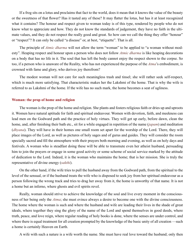<span id="page-21-0"></span>If a frog sits on a lotus and proclaims that fact to the world, does it mean that it knows the value of the beauty or the sweetness of that flower? Has it tasted any of these? It may flatter the lotus, but has it at least recognized what it contains? The honour and respect given to woman today is of this type, rendered by people who do not know what to appreciate and how. They do not know the standards of judgement, they have no faith in the ultimate values, and they do not respect the really good and great. So how can we call the thing they offer "honour" or "respect"? It can only be called "a disease" or, at best, "etiquette". That is all.

The principle of *[Atmic](#page-56-6) [dharma](#page-58-0)* will not allow the term "woman" to be applied to "a woman without modesty". Heaping respect and honour upon a person who does not follow *[Atmic](#page-56-6) [dharma](#page-58-0)* is like heaping decorations on a body that has no life in it. The soul that has left the body cannot enjoy the respect shown to the corpse. So too, if a person who is unaware of the Reality, who has not experienced the purpose of the *[Atma](#page-56-3)*'s embodiment, is crowned with fame and glory, who derives joy therefrom?

The modest woman will not care for such meaningless trash and tinsel; she will rather seek self-respect, which is much more satisfying. That characteristic makes her the [Lakshmi](#page-62-3) of the home. That is why the wife is referred to as [Lakshmi](#page-62-3) of the home. If the wife has no such mark, the home becomes a seat of ugliness.

#### **Woman: the prop of home and religion**

The woman is the prop of the home and religion. She plants and fosters religious faith or dries up and uproots it. Women have natural aptitude for faith and spiritual endeavour. Women with devotion, faith, and meekness can lead men on the Godward path and the practice of holy virtues. They will get up early, before dawn, clean the home, and, after finishing their bath etc., sit for a while engaged in repetition of the name (*[japam](#page-60-5)*) and meditation (*[dhyana](#page-59-5)*). They will have in their homes one small room set apart for the worship of the Lord. There, they will place images of the Lord, as well as pictures of holy sages and of gurus and guides. They will consider the room specially sacred and fill the atmosphere with their prayers both morning and evening, as well as on holy days and festivals. A woman who is steadfast doing these will be able to transmute even her atheist husband, persuading him to join the prayers or engage in some good activity or some scheme of social service marked by the attitude of dedication to the Lord. Indeed, it is the woman who maintains the home; that is her mission. She is truly the representative of divine energy (*[sakthi](#page-66-1)*).

On the other hand, if the wife tries to pull the husband away from the Godward path, from the spiritual to the level of the sensual, or if the husband treats the wife who is disposed to seek joy from her spiritual endeavour as a person following the wrong track and tries to drag her away from it, the home is unworthy of that name. It is not a home but an inferno, where ghosts and evil spirits revel.

Really, woman should strive to achieve the knowledge of the soul and live every moment in the consciousness of her being only the *[Atma](#page-56-3)*; she must evince always a desire to become one with the divine consciousness. The home where the woman is such and where the husband and wife are leading their lives in the shade of great ideals, where together they sing the glory of the name of the Lord and spend themselves in good deeds, where truth, peace, and love reign, where regular reading of holy books is done, where the senses are under control, and where there is equal treatment for all creation prompted by the knowledge of the basic unity of all creation —such a home is certainly Heaven on Earth.

A wife with such a nature is a wife worth the name. She must have real love toward the husband; only then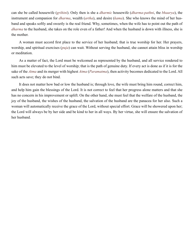can she be called housewife (*[grihini](#page-60-6)*). Only then is she a *[dharmic](#page-59-0)* housewife (*[dharma-pathni](#page-59-6)*, the *[bhaarya](#page-56-9)*), the instrument and companion for *[dharma](#page-58-0)*, wealth (*[artha](#page-56-10)*), and desire (*[kama](#page-61-5)*). She who knows the mind of her husband and speaks softly and sweetly is the real friend. Why, sometimes, when the wife has to point out the path of *[dharma](#page-58-0)* to the husband, she takes on the role even of a father! And when the husband is down with illness, she is the mother.

A woman must accord first place to the service of her husband; that is true worship for her. Her prayers, worship, and spiritual exercises (*[puja](#page-65-4)*) can wait. Without serving the husband, she cannot attain bliss in worship or meditation.

As a matter of fact, the Lord must be welcomed as represented by the husband, and all service rendered to him must be elevated to the level of worship; that is the path of genuine duty. If every act is done as if it is for the sake of the *[Atma](#page-56-3)* and its merger with highest *[Atma](#page-56-3)* (*[Paramatma](#page-64-6)*), then activity becomes dedicated to the Lord. All such acts save; they do not bind.

It does not matter how bad or low the husband is; through love, the wife must bring him round, correct him, and help him gain the blessings of the Lord. It is not correct to feel that her progress alone matters and that she has no concern in his improvement or uplift. On the other hand, she must feel that the welfare of the husband, the joy of the husband, the wishes of the husband, the salvation of the husband are the panacea for her also. Such a woman will automatically receive the grace of the Lord, without special effort. Grace will be showered upon her; the Lord will always be by her side and be kind to her in all ways. By her virtue, she will ensure the salvation of her husband.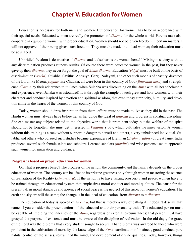## **Chapter V. Education for Women**

<span id="page-23-0"></span>Education is necessary for both men and women. But education for women has to be in accordance with their special needs. Educated women are really the promoters of *[dharma](#page-58-0)* for the whole world. Parents must also cooperate in equipping women with proper education. Women should not be given freedom in certain matters. I will not approve of their being given such freedom. They must be made into ideal women; their education must be so shaped.

Unbridled freedom is destructive of *[dharma](#page-58-0)*, and it also harms the woman herself. Mixing in society without any discrimination produces ruinous results. Of course there were educated women in the past, but they never gave up their *[dharma](#page-58-0)*, they never forgot the goal of *[Atmic](#page-56-6) [dharma](#page-58-0)*. Education (*vidya*) must be built on the basis of discrimination (*viveka*). [Sulabha](#page-68-2), [Savithri,](#page-68-1) [Anasuya,](#page-55-9) [Gargi,](#page-59-7) [Nalayani,](#page-63-6) and other such models of chastity, devotees of the Lord like [Meera,](#page-63-7) *yoginis* like [Chudala](#page-58-8), all were born in this country of God (*[Bharatha-desa](#page-57-6)*) and strengthened *[dharma](#page-58-0)* by their adherence to it. Once, when [Sulabha](#page-68-2) was discoursing on the *[Atma](#page-56-3)* with all her scholarship and experience, even [Janaka](#page-60-7) was astounded! It is through the example of such great and holy women, with their character and conduct inspired by devotion and spiritual wisdom, that even today simplicity, humility, and devotion shine in the hearts of the women of this country of God.

Today, women should draw inspiration from them; efforts must be made to live as they did in the past. The Hindu woman must always have before her as her guide the ideal of *[dharma](#page-58-0)* and progress in spiritual discipline. She can master any subject related to the objective world that is prominent today, but the welfare of the spirit should not be forgotten; she must get interested in *[Vedantic](#page-70-4)* study, which cultivates the inner vision. A woman without this training is a rock without support, a danger to herself and others, a very unbalanced individual. [Su](#page-68-2)[labha](#page-68-2) and others who pursued such studies became expounders of [Brahman](#page-57-0) (*[Brahmavadins](#page-57-7)*) of great fame. India produced several such female saints and scholars. Learned scholars (*[pundits](#page-65-5)*) and wise persons used to approach such women for inspiration and guidance.

#### **Progress is based on proper education for women**

On what is progress based? The progress of the nation, the community, and the family depends on the proper education of women. The country can be lifted to its pristine greatness only through women mastering the science of realization of the Reality (*[Atma-vidya](#page-56-11)*). If the nation is to have lasting prosperity and peace, women have to be trained through an educational system that emphasizes moral conduct and moral qualities. The cause for the present fall in moral standards and absence of social peace is the neglect of this aspect of women's education. The earth and sky are still the same; the change is in the ideal of education, from *[dharma](#page-58-0)* to *[a-dharma](#page-55-10)*.

The education of today is spoken of as *vidya*, but that is merely a way of calling it. It doesn't deserve that name, if you consider the present actions of the educated and their personality traits. The educated person must be capable of imbibing the inner joy of the *[Atma](#page-56-3)*, regardless of external circumstances; that person must have grasped the purpose of existence and must be aware of the discipline of realization. In the old days, the grace of the Lord was the diploma that every student sought to secure. That diploma was awarded to those who were proficient in the cultivation of morality, the knowledge of the *[Atma](#page-56-3)*, sublimation of instincts, good conduct, pure habits, control of the senses, restraint of the mind, and development of divine qualities. Today, however, things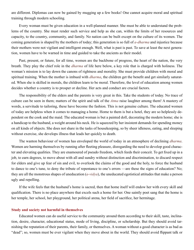<span id="page-24-0"></span>are different. Diplomas can now be gained by mugging up a few books! One cannot acquire moral and spiritual training through modern schooling.

Every woman must be given education in a well-planned manner. She must be able to understand the problems of the country. She must render such service and help as she can, within the limits of her resources and capacity, to the country, community, and family. No nation can be built except on the culture of its women. The coming generation is shaped by the mothers of today; this generation is so full of *[a-dharma](#page-55-10)* and injustice because their mothers were not vigilant and intelligent enough. Well, what is past is past. To save at least the next generation, women have to be warned in time and guided to take the ancients as their model.

Past, present, or future, for all time, women are the backbone of progress, the heart of the nation, the very breath. They play the chief role in the *[dharma](#page-58-0)* of life here below, a key role that is charged with holiness. The woman's mission is to lay down the canons of rightness and morality. She must provide children with moral and spiritual training. When the mother is imbued with *[dharma](#page-58-0)*, the children get the benefit and get similarly saturated. When she is skilled in morals, the children learn to be moral. Therefore, the level of education among women decides whether a country is to prosper or decline. Her acts and conduct are crucial factors.

The responsibility of the elders and the parents is very great in this. Take the students of today. No trace of culture can be seen in them; matters of the spirit and talk of the *[Atma](#page-56-3)* raise laughter among them! A mastery of words, a servitude to tailoring, these have become the fashion. This is not genuine culture. The educated women of today are helpless when it comes to managing a home. Home to them is but a hotel, they are so helplessly dependent on the cook and the maid. The educated woman is but a painted doll, decorating the modern home; she is a handicap to the husband, a weight around his neck. He is squeezed by her insistent demands for spending money on all kinds of objects. She does not share in the tasks of housekeeping, so by sheer idleness, eating, and sleeping without exercise, she develops illness that leads her quickly to death.

The wanton behaviour of women has enveloped the world of today in an atmosphere of declining *[dharma](#page-58-0)*. Women are harming themselves by running after fleeting pleasure, disregarding the need to develop good character and elevating qualities. They are enamoured of pseudo freedom, which feeds their conceit. To get fixed up in a job, to earn degrees, to move about with all and sundry without distinction and discrimination, to discard respect for elders and give up fear of sin and evil, to overlook the claims of the good and the holy, to force the husband to dance to one's tune, to deny the tribute of repentance to one's errors —are these the signs of education? No; they are all the monstrous shapes of uneducation (*[a-vidya](#page-56-12)*), the uneducated egotistical attitudes that make a person ugly and repelling.

If the wife feels that the husband's home is sacred, then that home itself will endow her with every skill and qualification. There is no place anywhere that excels such a home for her. One saintly poet sang that the home is her temple, her school, her playground, her political arena, her field of sacrifice, her hermitage.

#### **Study and society not harmful in themselves**

Educated women can do useful service to the community around them according to their skill, taste, inclination, desire, character, educational status, mode of living, discipline, or scholarship. But they should avoid tarnishing the reputation of their parents, their family, or themselves. A woman without a good character is as bad as "dead"; so, women must be ever vigilant when they move about in the world. They should avoid flippant talk or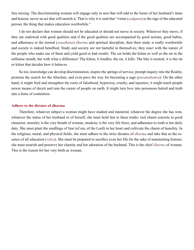<span id="page-25-0"></span>free mixing. The discriminating woman will engage only in acts that will add to the lustre of her husband's fame and honour, never an act that will tarnish it. That is why it is said that "virtue (*[sadguna](#page-66-2)*) is the sign of the educated person, the thing that makes education worthwhile."

I do not declare that women should not be educated or should not move in society. Wherever they move, if they are endowed with good qualities and if the good qualities are accompanied by good actions, good habits, and adherence to the eternal (*[sanathana](#page-67-8)*) *[dharma](#page-58-0)* and spiritual discipline, then their study is really worthwhile and society is indeed benefited. Study and society are not harmful in themselves; they react with the nature of the people who make use of them and yield good or bad results. The cat holds the kitten as well as the rat in the selfsame mouth, but with what a difference! The kitten, it fondles; the rat, it kills. The bite is neutral, it is the rat or kitten that decides how it behaves.

So too, knowledge can develop discrimination, inspire the springs of service, prompt inquiry into the Reality, promote the search for the Absolute, and even pave the way for becoming a sage (*[paramahamsa](#page-64-8)*). On the other hand, it might feed and strengthen the roots of falsehood, hypocrisy, cruelty, and injustice; it might teach people newer means of deceit and ruin the career of people on earth. It might turn love into poisonous hatred and truth into a bone of contention.

#### **Adhere to the dictates of dharma**

Therefore, whatever subject a woman might have studied and mastered, whatever the degree she has won, whatever the status of her husband or of herself, she must hold fast to these truths: real charm consists in good character, morality is the very breath of woman, modesty is the very life force, and adherence to truth is her daily duty. She must plant the seedlings of fear (of sin, of the Lord) in her heart and cultivate the charm of humility. In the religious, moral, and physical fields, she must adhere to the strict dictates of *[dharma](#page-58-0)* and take that as the essence of all education (*vidya*). She must be prepared to sacrifice even her life for the sake of maintaining honour; she must nourish and preserve her chastity and her adoration of the husband. This is the chief *[dharma](#page-58-0)* of woman. This is the reason for her very birth as woman.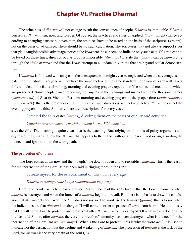## **Chapter VI. Practise Dharma!**

<span id="page-26-0"></span>The principles of *[dharma](#page-58-0)* will not change to suit the convenience of people. *[Dharma](#page-58-0)* is immutable. *[Dharma](#page-58-0)* persists as *[dharma](#page-58-0)* then, now, and forever. Of course, the practices and rules of applied *[dharma](#page-58-0)* might change according to changing causes; but even then, the practices have to be tested on the basis of the scriptures (*[sastras](#page-67-0)*), not on the basis of advantage. There should be no such calculation. The scriptures may not always support rules that yield tangible visible advantage, nor can the *[Vedas](#page-70-0)* etc. be expected to indicate only such acts. *[Dharma](#page-58-0)* cannot be tested on those lines; direct or ocular proof is impossible. *[Mimamsakas](#page-63-8)* state that *[dharma](#page-58-0)* can be known only through the *[Vedic](#page-70-1) [mantras](#page-62-2)* and that the *[Vedas](#page-70-0)* attempt to elucidate only truths that are beyond ocular demonstration.

If *[dharma](#page-58-0)* is followed with an eye on the consequences, it might even be neglected when the advantage is not patent or immediate. Everyone will not have the same motive or the same standard. For example, each will have a different idea of the fruits of bathing, morning and evening prayers, repetition of the name, and meditation, which are prescribed. Some people cancel repeating the *[Gayatri](#page-59-8)* in the evenings and instead recite the thousand names (*[sahasranama](#page-66-3)*) of [Siva](#page-68-0) or [Vishnu](#page-71-0). "Perform morning and evening prayers at the proper time (*kaale sandhyaa samaachareth*); that is the prescription." But, in spite of such directions, is it not a breach of *[dharma](#page-58-0)* to cancel the evening prayers like this? Similarly there are prescriptions for every [caste.](#page-58-3)

I created the four [caste](#page-58-3)s (*varnas*), dividing them on the basis of quality and activities.

#### *Chaathurvarnyam mayaa shrishtham guna karma Vibhaagashah*

says the *[Gita](#page-57-2)*. The meaning is quite clear; that is the teaching. But, relying on all kinds of paltry arguments and dry reasonings, many follow the *[dharma](#page-58-0)* that appeals to them and, without any fear of God or sin, also drag the innocent and ignorant onto the wrong path.

#### **The protection of dharma**

The Lord comes down now and then to uplift the downtrodden and to reestablish *[dharma](#page-58-0)*. This is the reason for the incarnation of the Lord, as has been said in ringing tones in the *[Gita](#page-57-2)*.

#### I create myself for the establishment of *[dharma](#page-58-0)* in every age.

#### *Dharma samsthapanaarthaaya sambhavaami yuge yuge*.

Here, one point has to be clearly grasped. Many who read the *[Gita](#page-57-2)* take it that the Lord incarnates when *[dharma](#page-58-0)* is destroyed and when the forces of *[a-dharma](#page-55-10)* begin to prevail. But there is no basis to draw the conclusion that *[dharma](#page-58-0)* gets destroyed. The *[Gita](#page-57-2)* does not say so. The word used is diminish (*[glaani](#page-59-9)*); that is to say, when the indications are that *[dharma](#page-58-0)* is in danger, "I will come in order to protect *[dharma](#page-58-0)* from harm." He did not say that He will come down to protect it and preserve it after *[dharma](#page-58-0)* has been destroyed! Of what use is a doctor after life has left? So too, after *[dharma](#page-58-0)*, the very life-breath of humanity, has been destroyed, what is the need for the incarnation of the Lord (*[Bhavarogavaidya](#page-57-8)*)? What is the Lord to protect? This is why the word *decline* is used to indicate not the destruction but the decline and weakening of *[dharma](#page-58-0)*. The protection of *[dharma](#page-58-0)* is the task of the Lord, for *[dharma](#page-58-0)* is the very breath of the soul (*[jivi](#page-61-6)*).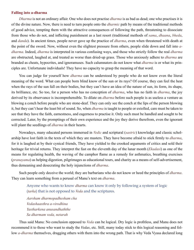#### <span id="page-27-0"></span>**Falling into a-dharma**

*[Dharma](#page-58-0)* is not an ordinary affair. One who does not practise *[dharma](#page-58-0)* is as bad as dead; one who practises it is of the divine nature. Now, there is need to turn people onto the *[dharmic](#page-59-0)* path by means of the traditional methods of good advice, tempting them with the attractive consequences of following the path, threatening to dissociate from those who do not, and inflicting punishment as a last resort (traditional methods of *[sama](#page-66-4)*, *[dhaana](#page-58-9)*, *[bheda](#page-57-9)*, and *[danda](#page-58-10)*). In ancient times, people never gave up the practice of *[dharma](#page-58-0)*, even when threatened with death at the point of the sword. Now, without even the slightest pressure from others, people slide down and fall into *[a](#page-55-10)[dharma](#page-55-10)*. Indeed, *[dharma](#page-58-0)* is interpreted in various confusing ways, and those who strictly follow the real *[dharma](#page-58-0)* are obstructed, laughed at, and treated as worse than dried-up grass. Those who anxiously adhere to *[dharma](#page-58-0)* are branded as cheats, hypocrites, and ignoramuses. Such calumnators do not know what *[dharma](#page-58-0)* is or what its principles are. Unfortunate individuals! They have no capacity to grasp the meaning of that word.

You can judge for yourself how *[dharma](#page-58-0)* can be understood by people who do not know even the literal meaning of the word. What can people born blind know of the sun or its rays? Of course, they can feel the heat when the rays of the sun fall on their bodies, but they can't have an idea of the nature of sun, its form, its shape, its brilliance, etc. So too, for a person who has no conception of *[dharma](#page-58-0)*, who has no faith in *[dharma](#page-58-0)*, the joy derived by its observance is incomprehensible. To dilate on *[dharma](#page-58-0)* before such people is as useless a venture as blowing a conch before people who are stone-deaf. They can only see the conch at the lips of the person blowing it, but they can't hear the least bit of sound. So, when *[dharma](#page-58-0)* is taught to people or extolled, care must be taken to see that they have the faith, earnestness, and eagerness to practise it. Only such must be handled and sought to be corrected. Later, by the promptings of their own experience and the joy they derive therefrom, even the ignorant will plant the seedlings of *[dharma](#page-58-0)* in their hearts.

Nowadays, many educated persons immersed in *[Vedic](#page-70-1)* and scriptural (*[sastric](#page-67-0)*) knowledge and classic scholarship have lost faith in the texts of which they are masters. They have become afraid to stick firmly to *[dharma](#page-58-0)*, for it is laughed at by their cynical friends, They have yielded to the crooked arguments of critics and sold their heritage for trivial returns. They interpret the fast on the eleventh day of the lunar month (*[Ekadasi](#page-59-10)*) as one of the means for regulating health, the waving of the camphor flame as a remedy for asthmatics, breathing exercises (*[pranayama](#page-65-6)*) as helping digestion, pilgrimages as educational tours, and charity as a means of self-advertisement, thus demeaning and desecrating the holy injunctions of *[dharma](#page-58-0)*.

Such people only deceive the world; they are barbarians who do not know or heed the principles of *[dharma](#page-58-0)*. They can learn something from a perusal of [Manu'](#page-62-4)s text on *[dharma](#page-58-0)*.

Anyone who wants to know *[dharma](#page-58-0)* can know it only by following a system of logic (*tarka*) that is not opposed to *[Veda](#page-70-5)* and the scriptures.

*Aarsham dharmopadhesham cha Vedashaasthra a-virodhina Yastharkena anusandhaththe Sa dharmam veda, netarah*

Thus said [Manu:](#page-62-4) No conclusion opposed to *[Veda](#page-70-5)* can be logical. Dry logic is profitless, and [Manu](#page-62-4) does not recommend it to those who want to study the *[Vedas](#page-70-0)*, etc. Still, many today stick to this logical reasoning and follow *[a-dharma](#page-55-10)* themselves, dragging others with them into the wrong path. That is why [Veda Vyasa](#page-71-1) declared long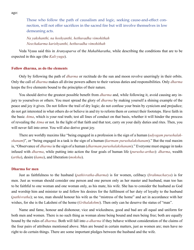Those who follow the path of causalism and logic, seeking cause-and-effect connection, will not offer sacrifices in the sacred fire but will involve themselves in low demeaning acts.

*Na yakshanthi, na hoshyanthi, hethuvadha vimohithah Neechakarma karishyanthi, hethuvadha vimohithah*

[Veda Vyasa](#page-71-1) said this in *[Aranyaparva](#page-56-13)* of the *[Mahabharatha](#page-62-5)*, while describing the conditions that are to be expected in this age (the *[Kali-yuga](#page-61-7)*).

#### **Follow dharma, as do the elements**

Only by following the path of *[dharma](#page-58-0)* or rectitude do the sun and moon revolve unerringly in their orbits. Only the call of *[dharma](#page-58-0)* makes all divine powers adhere to their various duties and responsibilities. Only *[dharma](#page-58-0)* keeps the five elements bound to the principles of their nature.

You should derive the greatest possible benefit from *[dharma](#page-58-0)* and, while following it, avoid causing any injury to yourselves or others. You must spread the glory of *[dharma](#page-58-0)* by making yourself a shining example of the peace and joy it gives. Do not follow the trail of dry logic; do not confuse your brain by cynicism and prejudice; do not get interested in what others do or believe in and try to reform them or correct their footsteps. Have faith in the basic *[Atma](#page-56-3)*, which is your real truth; test all lines of conduct on that basis, whether it will hinder the process of revealing the *[Atma](#page-56-3)* or not. In the light of that faith and that test, carry on your daily duties and rites. Then, you will never fall into error. You will also derive great joy.

There are worldly maxims like "being engaged in a profession is the sign of a human (*udyogam purushalakshanam*)", or "being engaged in a task is the sign of a human (*karmam purushalakshanam*)." But the real maxim is, "Observance of *[dharma](#page-58-0)* is the sign of a human (*dharmam purushalakshanam*)." Everyone must engage in tasks infused with *[dharma](#page-58-0)*, while putting into action the four goals of human life (*[purusha-arthas](#page-65-7)*): *[dharma](#page-58-0)*, wealth (*[artha](#page-56-10)*), desire (*[kama](#page-61-5)*), and liberation (*[moksha](#page-63-0)*).

#### **Dharma for men**

Just as faithfulness to the husband (*[pathivratha-dharma](#page-64-9)*) is for women, celibacy (*[brahmacharya](#page-57-4)*) is for men. Just as woman should consider one person and one person only as her master and husband, man too has to be faithful to one woman and one woman only, as his mate, his wife. She has to consider the husband as God and worship him and minister to and follow his desires for the fulfilment of her duty of loyalty to the husband (*[pathivratha](#page-64-10)*); so too, man should honour his wife as the "mistress of the home" and act in accordance with her wishes, for she is the [Lakshmi](#page-62-3) of the home (*[Grihalakshmi](#page-59-11)*). Then only can he deserve the status of "man".

Name and fame, honour and dishonour, vice and wickedness, good and bad are all equal and uniform for both men and women. There is no such thing as woman alone being bound and men being free; both are equally bound by the rules of *[dharma](#page-58-0)*. Both will fall into *[a-dharma](#page-55-10)* if they behave without consideration of the claims of the four pairs of attributes mentioned above. Men are bound in certain matters, just as women are; men have no right to do certain things. There are some important pledges between the husband and the wife.

<span id="page-28-0"></span>ago: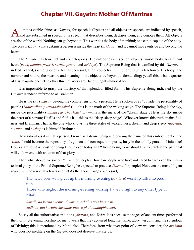## **Chapter VII. Gayatri: Mother Of Mantras**

<span id="page-29-0"></span>All that is visible shines as *[Gayatri](#page-59-8)*, for speech is *Gayatri* and all objects are speech, are indicated by speech, and are subsumed in speech. It is speech that describes them, declares them, and denotes them. All objec are also of the world. Nothing can go beyond it. This world is the body of mankind; one can't leap out of the body. The breath (*[prana](#page-65-8)*) that sustains a person is inside the heart (*[hridaya](#page-60-8)*), and it cannot move outside and beyond the heart.

The *[Gayatri](#page-59-8)* has four feet and six categories. The categories are speech, objects, world, body, breath, and heart (*vaak*, *[bhutha](#page-57-10)*, *[prithvi](#page-65-9)*, *[sarira](#page-67-9), [prana](#page-65-8)*, and *[hridaya](#page-60-8)*). The Supreme Being that is extolled by this *[Gayatri](#page-59-8)* is indeed exalted, sacred, glorious. As has been said, all this objective multiplicity is but a fraction of His body. The number and nature, the measure and meaning of the objects are beyond understanding; yet all this is but a quarter of His magnificence. The other three quarters are His effulgent immortal form.

It is impossible to grasp the mystery of that splendour-filled form. This Supreme Being indicated by the *[Gayatri](#page-59-8)* is indeed referred to as [Brahman](#page-57-0).

He is the sky (*[akasa](#page-55-11)*), beyond the comprehension of a person; He is spoken of as "outside the personality of people (*bahirardhaa purushaakaashah*)" —this is the mark of the waking stage. The Supreme Being is the sky, inside the personality (*anthah purushaakaashah*) —this is the mark of the "dream stage". He is the sky inside the heart of a person; He fills and fulfils it —this is the "deep-sleep stage". Whoever knows this truth attains fullness and [Brahman.](#page-57-0) That is, the one who knows the three states of wakefulness, dream, and deep sleep (*[jaagrath](#page-60-9)*, *swapna*, and *sushupti*) is himself [Brahman.](#page-57-0)

How ridiculous it is that a person, known as a divine being and bearing the name of this embodiment of the *[Atma](#page-56-3)*, should become the repository of egotism and consequent impurity, busy in the unholy pursuit of injustice! How calamitous! At least for being known even today as a "divine being", one should try to practise the path that will endow one with an atom of that glory.

Then what should we say of *[dharma](#page-58-0)* for people? How can people who have not cared to earn even the infinitesimal glory of the Primal Supreme Being be expected to practise *[dharma](#page-58-0)* for people? Not even the most diligent search will now reveal a fraction of it! As the ancient sage (*[rishi](#page-66-0)*) said,

The twice-born who gives up the morning-evening (*[sandhya](#page-67-10)*) worship falls into perdition.

Those who neglect the morning-evening worship have no right to any other type of ritual.

*Samdhyaa heeno suchirnithyam, anarhah sarva karmasu Yadh anyath kuruthe karmano thasya phala bhaagbhaveth*.

So say all the authoritative traditions (*[dharma](#page-58-0)*) and *[Vedas](#page-70-0)*. It is because the sages of ancient times performed the morning-evening worship for many years that they acquired long life, fame, glory, wisdom, and the splendour of Divinity; this is mentioned by [Manu](#page-62-4) also. Therefore, from whatever point of view we consider, the *[brahmin](#page-57-11)* who does not meditate on the *[Gayatri](#page-59-8)* does not deserve that status.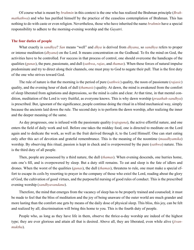<span id="page-30-0"></span>Of course what is meant by *[brahmin](#page-57-11)* in this context is the one who has realized the [Brahman](#page-57-0) principle (*[Brah](#page-57-12)[mathathwa](#page-57-12)*) and who has purified himself by the practice of the ceaseless contemplation of [Brahman](#page-57-0). This has nothing to do with [caste](#page-58-3) or even religion. Nevertheless, those who have inherited the name *[brahmin](#page-57-11)* have a special responsibility to adhere to the morning-evening worship and the *[Gayatri](#page-59-8)*.

#### **The four duties of people**

What exactly is *[sandhya](#page-67-10)*? *San* means "well" and *dhya* is derived from *[dhyana](#page-59-5)*, so *[sandhya](#page-67-10)* refers to proper or intense meditation (*[dhyana](#page-59-5)*) on the Lord. It means concentration on the Godhead. To fix the mind on God, the activities have to be controlled. For success in that process of control, one should overcome the handicaps of the qualities (*[gunas](#page-60-10)*), the pure, passionate, and dull (*[sathwa](#page-67-11)*, *[rajas](#page-65-10)*, and *thamas*). When these forces of natural impulse predominate and try to direct along their channels, one must pray to God to negate their pull. That is the first duty of the one who strives toward God.

The rule of nature is that the morning is the period of pure (*[sathwic](#page-67-3)*) quality, the noon of passionate (*[rajasic](#page-65-11)*) quality, and the evening hour of dusk of dull (*thamasic*) quality. At dawn, the mind is awakened from the comfort of sleep liberated from agitations and depressions, so the mind is calm and clear. At that time, in that mental condition, meditation of the Lord is very fruitful, as everyone knows. This is why dawn worship (*[praathah-sandhya](#page-64-11)*) is prescribed. But, ignorant of the significance, people continue doing the ritual in a blind mechanical way, simply because the ancients laid down the rule. The second duty is to perform the dawn worship, after realizing the inner and the deeper meaning of the same.

As day progresses, one is infused with the passionate quality (*[rajoguna](#page-65-12)*), the active effortful nature, and one enters the field of daily work and toil. Before one takes the midday food, one is directed to meditate on the Lord again and to dedicate the work, as well as the fruit derived through it, to the Lord Himself. One can start eating only after this act of devotion and grateful remembrance. This is the meaning of the noontime (*[maadhyamika](#page-62-6)*) worship. By observing this ritual, passion is kept in check and is overpowered by the pure (*[sathwa](#page-67-11)*) nature. This is the third duty of all people.

Then, people are possessed by a third nature, the dull (*thamas*). When evening descends, one hurries home, eats one's fill, and is overpowered by sleep. But a duty still remains. To eat and sleep is the fate of idlers and drones. When the worst of the qualities (*[gunas](#page-60-10)*), the dull (*thamas*), threatens to rule, one must make a special effort to escape its coils by resorting to prayer in the company of those who extol the Lord, reading about the glory of God, the cultivation of good virtues, and the purposeful nursing of good rules of conduct. This is the prescribed evening worship (*[sandhyavandana](#page-67-12)*).

Therefore, the mind that emerges from the vacancy of sleep has to be properly trained and counseled; it must be made to feel that the bliss of meditation and the joy of being unaware of the outer world are much grander and more lasting than the comfort one gets by means of the daily dose of physical sleep. This bliss, this joy, can be felt and realized by all; discrimination will bring this home to you. This is the fourth duty of people.

People who, as long as they have life in them, observe the thrice-a-day worship are indeed of the highest type; they are ever glorious and attain all that is desired. Above all, they are liberated, even while alive (*[jivan](#page-60-11)[muktha](#page-60-11)*).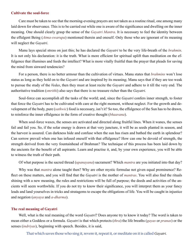#### <span id="page-31-0"></span>**Cultivate the soul-force**

Care must be taken to see that the morning-evening prayers are not taken as a routine ritual, one among many laid down for observance. This is to be carried out while one is aware of the significance and dwelling on the inner meaning. One should clearly grasp the sense of the *[Gayatri Mantra](#page-59-8)*. It is necessary to feel the identity between the effulgent Being (*[Atma-swarupa](#page-56-14)*) mentioned therein and oneself. Only those who are ignorant of its meaning will neglect the *[Gayatri](#page-59-8)*.

[Manu](#page-62-4) lays special stress on just this; he has declared the *[Gayatri](#page-59-8)* to be the very life-breath of the *[brahmin](#page-57-11)*. It is not only his declaration: it is the truth. What is more efficient for spiritual uplift than meditation on the effulgence that illumines and feeds the intellect? What is more vitally fruitful than the prayer that pleads for saving the mind from sinward tendencies?

For a person, there is no better armour than the cultivation of virtues. [Manu](#page-62-4) states that *[brahmins](#page-57-11)* won't lose status as long as they hold on to the *[Gayatri](#page-59-8)* and are inspired by its meaning; [Manu](#page-62-4) says that if they are too weak to pursue the study of the *[Vedas](#page-70-0)*, then they must at least recite the *[Gayatri](#page-59-8)* and adhere to it till the very end. The authoritative tradition (*[smrithi](#page-68-3)*) also says that there is no treasure richer than the *[Gayatri](#page-59-8)*.

Soul-force can accomplish all the tasks of the world; and, since the *[Gayatri](#page-59-8)* confers inner strength, to foster that force the *[Gayatri](#page-59-8)* has to be cultivated with care at the right moment, without neglect. For the growth and development of the body, pure (*[sathwic](#page-67-3)*) food is necessary, isn't it? So too, the effulgence of the Sun has to be drawn, to reinforce the inner effulgence in the form of creative thought (*[bhaavana](#page-56-15)*).

When soul-force waxes, the senses are activated and directed along fruitful lines. When it wanes, the senses fail and fail you. So, if the solar energy is drawn at that very juncture, it will be as seeds planted in season, and the harvest is assured. Can darkness hide and confuse when the sun has risen and bathed the earth in splendour? Can sorrow prevail when one has infused oneself with that effulgence? How can one be devoid of strength, the strength derived from the very fountainhead of [Brahman](#page-57-0)? The technique of this process has been laid down by the ancients for the benefit of all aspirants. Learn and practise it, and, by your own experience, you will be able to witness the truth of their path.

Of what purpose is the sacred thread (*upanayana*) sacrament? Which *[mantra](#page-62-2)* are you initiated into that day?

Why was that *[mantra](#page-62-2)* alone taught then? Why are other mystic formulae not given equal prominence? Reflect on these matters, and you will find that the *[Gayatri](#page-59-8)* is the mother of *[mantras](#page-62-2)*. You will also find the rituals shining with a new meaning, the rules and restrictions will be full of purpose; the deeds and activities of the ancients will seem worthwhile. If you do not try to know their significance, you will interpret them as your fancy leads and land yourselves in tricks and stratagems to escape the obligations of life. You will be caught in injustice and negation (*[anyaya](#page-55-12)* and *[a-dharma](#page-55-10)*).

#### **The real meaning of Gayatri**

Well, what is the real meaning of the word *[Gayatri](#page-59-8)*? Does anyone try to know it today? The word is taken to mean either a Goddess or a formula. *[Gayatri](#page-59-8)* is that which protects (*thra*) the life breaths (*[gayas](#page-59-12)* or *[prana](#page-65-8)s*) or the senses (*[indriyas](#page-60-12)*), beginning with speech. Besides, it is said,

That which saves those who sing it, revere it, repeat it, or meditate on it is called *[Gayatri](#page-59-8)*.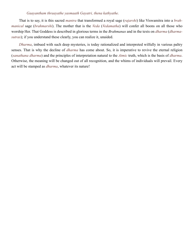#### *Gaayantham thraayathe yasmaath Gayatri, thena kathyathe.*

That is to say, it is this sacred *[mantra](#page-62-2)* that transformed a royal sage (*[rajarshi](#page-65-13)*) like [Viswamitra](#page-71-2) into a *brahmanical* sage (*[brahmarshi](#page-57-13)*). The mother that is the *[Veda](#page-70-5)* (*[Vedamatha](#page-70-6)*) will confer all boons on all those who worship Her. That Goddess is described in glorious terms in the *[Brahmanas](#page-57-14)* and in the texts on *[dharma](#page-58-0)* (*[dharma](#page-59-13)[sutras](#page-59-13)*); if you understand these clearly, you can realize it, unaided.

*[Dharma](#page-58-0)*, imbued with such deep mysteries, is today rationalized and interpreted wilfully in various paltry senses. That is why the decline of *[dharma](#page-58-0)* has come about. So, it is imperative to revive the eternal religion (*[sanathana dharma](#page-67-13)*) and the principles of interpretation natural to the *[Atmic](#page-56-6)* truth, which is the basis of *[dharma](#page-58-0)*. Otherwise, the meaning will be changed out of all recognition, and the whims of individuals will prevail. Every act will be stamped as *[dharma](#page-58-0)*, whatever its nature!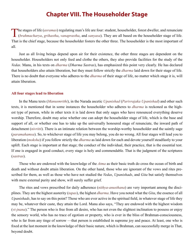## **Chapter VIII. The Householder Stage**

<span id="page-33-0"></span>Thestages of life ([asramas](#page-56-16)) regulating man's life are four: student, householder, forest dweller, and renunciate (brahmacharya, [grihastha](#page-60-4), vanaprastha, and [sanyasa](#page-67-7)). They are all based on the householder stage of life. That is the chief stage, because the householder fosters the other three. The householder is the most important of all.

Just as all living beings depend upon air for their existence, the other three stages are dependent on the householder. Householders not only feed and clothe the others, they also provide facilities for the study of the *[Vedas](#page-70-0)*. [Manu](#page-62-4), in his texts on *[dharma](#page-58-0)* (*[Dharma Sastras](#page-59-14)*), has emphasized this point very clearly. He has declared that householders also attain liberation, but they must follow strictly the *[dharma](#page-58-0)* laid down for their stage of life. There is no doubt that everyone who adheres to the *[dharma](#page-58-0)* of their stage of life, no matter which stage it is, will attain liberation.

#### **All four stages lead to liberation**

In the [Manu](#page-62-4) texts (*[Manusmrithi](#page-63-9)*), in the [Narada](#page-63-10) ascetic *[Upanishad](#page-69-0)* (*[Parivrajaka Upanishad](#page-64-12)*) and other such texts, it is mentioned that in some instances the householder who adheres to *[dharma](#page-58-0)* is reckoned as the highest type of person, while in other texts it is laid down that only sages who have renounced everything deserve worship. Therefore, doubt may arise whether one can adopt the householder stage of life, which is the base and support of all, or whether one has to take up the universally honoured stage of renunciate, the inward path of detachment (*[nivritti](#page-64-13)*). There is an intimate relation between the worship-worthy householder and the saintly sage (*[paramahamsa](#page-64-8)*). So, to whichever stage of life you may belong, you do no wrong. All four stages will lead you to liberation (*[moksha](#page-63-0)*) if you follow strictly the *[dharma](#page-58-0)* as laid down for each and devote yourself steadfastly to your uplift. Each stage is important at that stage; the conduct of the individual, their practice, that is the essential test. If one is engaged in good conduct, every stage is holy and commendable. That is the judgment of the scriptures (*[sastras](#page-67-0)*).

Those who are endowed with the knowledge of the *[Atma](#page-56-3)* as their basic truth do cross the ocean of birth and death and without doubt attain liberation. On the other hand, those who are ignorant of the vows and rites prescribed for them, as well as those who have not studied the *[Vedas](#page-70-0)*, *[Upanishads](#page-69-0)*, and *[Gita](#page-57-2)* but satisfy themselves with mere external purity and show, will surely suffer grief.

The rites and vows prescribed for daily adherence (*[nithya-anusthana](#page-64-14)*) are very important among the disciplines. They are the highest austerity (*tapas*), the highest *[dharma](#page-58-0)*. Have you noted what the *[Gita](#page-57-2)*, the essence of all *[Upanishads](#page-69-0)*, has to say on this point? Those who are ever active in the spiritual field, in whatever stage of life they may be, whatever their [caste](#page-58-3), they attain the Lord. [Manu](#page-62-4) also says, "They are endowed with the highest wisdom (*vi-jnana*)." The person who is free from all desire, who has not even the slightest inclination to possess or enjoy the sensory world, who has no trace of egotism or property, who is ever in the bliss of [Brahman-](#page-57-0)consciousness, who is far from any tinge of sorrow —that person is established in supreme joy and peace. At least, one who is fixed at the last moment in the knowledge of their basic nature, which is [Brahman](#page-57-0), can successfully merge in That, beyond doubt.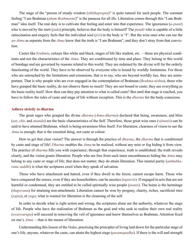<span id="page-34-0"></span>The stage of the "person of steady wisdom (*sthithaprajna*)" is quite natural for such people. The constant feeling "I am [Brahman](#page-57-0) (*[aham Brahmasmi](#page-55-13)*)" is the panacea for all ills. Liberation comes through this "I am [Brah](#page-57-0)[man"](#page-57-0) idea itself. The real duty is to cultivate that feeling and enter into that experience. The ignoramus (*[a-jnani](#page-55-14)*) who is moved by the inert (*[jada](#page-60-13)*) principle, believes that the body is himself! The *[pundit](#page-65-5)* who is capable of a little ratiocination and enquiry feels that the individual soul (*[jivi](#page-61-6)*) in the body is "I". But the wise ones who can see the *[an-Atma](#page-55-15)* as separate from the *[Atma](#page-56-3)* know that the truth is "I am [Brahman](#page-57-0)", and they don't stray from that conviction.

[Castes](#page-58-3) like *[brahmin](#page-57-11)*, colours like white and black, stages of life like student, etc. —these are physical conditions and not the characteristics of the *[Atma](#page-56-3)*. They are conditioned by time and place. They belong to this world of bondage and are governed by reasons related to this world. They are ordained by the divine will for the orderly functioning of the world. They have to be observed by everyone who is bound by worldly limitations. For those who are untouched by the limitations and extensions, that is to say, who are beyond worldly ties, they are unimportant. That is why people who are ever engaged in the contemplation of [Brahman](#page-57-0) (*[Brahma-nishta](#page-57-15)*), those who have grasped the basic reality, do not observe them so much! They are not bound to [caste](#page-58-3); they see everything as the basic reality itself. How then can they pay attention to what is called [caste?](#page-58-3) But until that stage is reached, you have to follow the rules of [caste](#page-58-3) and stage of life without exception. This is the *[dharma](#page-58-0)* for the body-conscious.

#### **Adhere strictly to dharma**

The great sages who grasped the divine *[dharma](#page-58-0)* (*[Atma-dharma](#page-56-5)*) declared that being, awareness, and bliss (*[sat](#page-67-6)*, *[chit](#page-58-11)*, and *[ananda](#page-55-8)*) are the basic characteristics of the Self. Therefore, those great wise ones (*vijnanis*) can be said to have attained [Brahman](#page-57-0), which is being-awareness-bliss Itself. For liberation, clearness of vision to see the *[Atma](#page-56-3)* is enough; that is the essential thing, not [caste](#page-58-3) or colour.

How to get that clear vision? The answer is through the practice of *[dharma](#page-58-0)*, the *[dharma](#page-58-0)* that is conditioned by [caste](#page-58-3) and stage of life! *[Dharma](#page-58-0)* enables the *[Atma](#page-56-3)* to be realized, without any mist or fog hiding it from view. The practice of *[dharma](#page-58-0)* fills you with experience; through that experience, truth is established; the truth reveals clearly, and the vision grants liberation. People who are free from such inner encumbrances hiding the *[Atma](#page-56-3)* may belong to any [caste](#page-58-3) or stage of life; that does not matter; they do attain liberation. This mental purity (*[anthahka](#page-55-16)[rana](#page-55-16) suddhi*) is what the scriptures extol when they speak of salvation.

Those who have attachment and hatred, even if they dwell in the forest, cannot escape harm. Those who have conquered the senses, even if they are householders, can be ascetics (*tapasvis*). If engaged in acts that are not harmful or condemned, they are entitled to be called spiritually wise people (*[jnanis](#page-61-8)*). The home is the hermitage (*thapovana*) for attaining non-attachment. Liberation cannot be won by progeny, charity, riches, sacrificial rites (*yajna*), or *yoga*; what is wanted for liberation is the cleansing of the self.

In order to decide what is right action and wrong, the scriptures alone are the authority, whatever the stage of life. People who have the realization of [Brahman](#page-57-0) as the goal and who seek to realize their own real reality (*swaswarupa*) will succeed in removing the veil of ignorance and know themselves as [Brahman](#page-57-0). Attention fixed on one's *[Atma](#page-56-3)* —that is the means of liberation.

Understanding this lesson of the *[Vedas](#page-70-0)*, practising the principles of living laid down for the particular stage of one's life, anyone, whatever the [caste,](#page-58-3) can attain the highest stage (*[paramapadha](#page-64-15)*). If there is the will and strength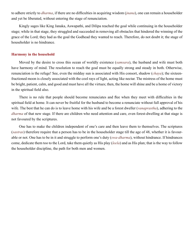<span id="page-35-0"></span>to adhere strictly to *[dharma](#page-58-0)*, if there are no difficulties in acquiring wisdom (*[jnana](#page-61-1)*), one can remain a householder and yet be liberated, without entering the stage of renunciation.

Kingly sages like King [Janaka,](#page-60-7) [Aswapathi,](#page-56-17) and [Dilipa](#page-59-15) reached the goal while continuing in the householder stage; while in that stage, they struggled and succeeded in removing all obstacles that hindered the winning of the grace of the Lord; they had as the goal the Godhead they wanted to reach. Therefore, do not doubt it; the stage of householder is no hindrance.

#### **Harmony in the household**

Moved by the desire to cross this ocean of worldly existence (*[samsara](#page-67-14)*), the husband and wife must both have harmony of mind. The resolution to reach the goal must be equally strong and steady in both. Otherwise, renunciation is the refuge! See, even the midday sun is associated with His consort, shadow (*[chaya](#page-58-12)*); the sixteenfractioned moon is closely associated with the cool rays of light, acting like nectar. The mistress of the home must be bright, patient, calm, and good and must have all the virtues; then, the home will shine and be a home of victory in the spiritual field also.

There is no rule that people should become renunciates and flee when they meet with difficulties in the spiritual field at home. It can never be fruitful for the husband to become a renunciate without full approval of his wife. The best that he can do is to leave home with his wife and be a forest dweller (*vanaprastha*), adhering to the *[dharma](#page-58-0)* of that new stage. If there are children who need attention and care, even forest-dwelling at that stage is not favoured by the scriptures.

One has to make the children independent of one's care and then leave them to themselves. The scriptures (*[sastras](#page-67-0)*) therefore require that a person has to be in the householder stage till the age of 48, whether it is favourable or not. One has to be in it and struggle to perform one's duty (*swa-dharma*), without hindrance. If hindrances come, dedicate them too to the Lord, take them quietly as His play (*[leela](#page-62-7)*) and as His plan; that is the way to follow the householder discipline, the path for both men and women.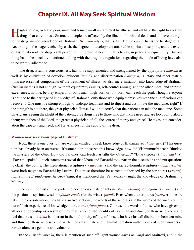## **Chapter IX. All May Seek Spiritual Wisdom**

I speak that cure illness. So too, all people are affected by the illness, and all have the right do seek the drugs that cure illness. So too, all people are affected by the illness of birth and death and all have the righ to the drug, named knowledge of [Brahman](#page-57-0) (*[Brahma-vidya](#page-57-1)*), that is its effective cure. That is the heritage of all. According to the stage reached by each, the degree of development attained in spiritual discipline, and the extent of assimilation of the drug, each person will improve in health, that is to say, in peace and equanimity. But one thing has to be specially mentioned: along with the drug, the regulations regarding the mode of living have also to be strictly adhered to.

The drug, [Brahma](#page-57-2)-consciousness, has to be supplemented and strengthened by the appropriate *[dharma](#page-58-0)* as well as by cultivation of devotion, wisdom (*[jnana](#page-61-0)*), and discrimination (*vairagya*). Dietary and other restrictions are essential components of the treatment of illness; so also mere initiation into knowledge of [Brahman](#page-57-0)  (*[Brahmajnana](#page-57-3)*) is not enough. Without equanimity (*[sama](#page-66-0)*), self-control (*[dama](#page-58-1)*), and the other moral and spiritual excellences, no one, be they emperor or bondsman, high-born or low-born, can reach the goal. Though everyone is entitled to the heritage of knowledge of [Brahman](#page-57-0), only those who equip themselves with the qualifications can receive it. One must be strong enough to undergo treatment and to digest and assimilate the medicine, right? If the strength is not there, the great physician Himself will not certify that the patient can take the medicine. Some physicians, seeing the plight of the patient, give drugs free to those who are in dire need and are too poor to afford them; what then of the Lord, the greatest physician of all, the source of mercy and grace? He takes into consideration the capacity and need, and He arranges for the supply of the drug.

#### **Women may seek knowledge of Brahman**

Now, there is one question: are women entitled to seek knowledge of [Brahman](#page-57-0) (*[Brahma-vidya](#page-57-1)*)? This question has already been answered. If women don't deserve this knowledge, how did [Vishnumurthi](#page-71-0) teach [Bhudevi](#page-57-4) the mystery of the *[Gita](#page-57-5)*? How did [Parameswara](#page-64-0) teach [Parvathi](#page-64-1) the *[Guru-gita](#page-60-0)*? ["Dhara](#page-58-2) spoke (*Dharovaacha*)", ["Parvathi](#page-64-1) spoke" —such statements reveal that [Dhara](#page-58-2) and [Parvathi](#page-64-1) took part in the discussions and put questions to clarify the points. The meditational scriptures (*[yoga-sastra](#page-71-1)*) and the sacred-formula scriptures (*[mantra-sastra](#page-62-0)*) were both taught to [Parvathi](#page-64-1) by [Iswara](#page-60-1). This must therefore be correct, authorized by the scriptures (*[sastras](#page-67-0)*), right? In the *[Brihadaranyaka Upanishad](#page-57-6)*, it is mentioned that [Yajnavalkya](#page-71-2) taught the knowledge of [Brahman](#page-57-0) to [Maitreyi](#page-62-1).

The *[Vedas](#page-70-0)* consist of two parts: the portion on rituals or actions (*[Karma-kanda](#page-61-1)*) for beginners (*[a-jnani](#page-55-0)*) and the portion on spiritual wisdom (*[Jnana-kanda](#page-61-2)*) for the wise (*vijnani*). Even when the scriptures (*[sastras](#page-67-0)*) alone are taken into consideration, they have also two sections; the words of the scholars and the words of the wise, coming out of their experience of knowledge of the *[Atma](#page-56-0)* (*[Atma-jnana](#page-56-1)*). Of these, the words of those who have given up all idea of doer-ship as a result of their realization of the identity of [Brahman](#page-57-0) and *[Atma](#page-56-0)*, of those who know and feel that the same *[Atma](#page-56-0)* is inherent in the multiplicity of life, of those who have lost all distinction between mine and thine, of those who seek the welfare of all animate and inanimate creation —the words of such knowers of *[Atman](#page-56-0)* alone are genuine and valuable.

In the *[Brihadaranyaka](#page-57-6)*, there is mention of such effulgent women-sages as [Gargi](#page-59-0) and [Maitreyi,](#page-62-1) and in the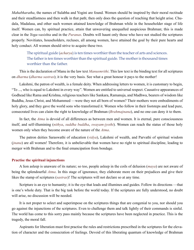*Mahabharatha*, the names of [Sulabha](#page-68-0) and [Yogini](#page-71-3) are found. Women should be inspired by their moral rectitude and their steadfastness and then walk in that path; then only does the question of reaching that height arise. [Chu](#page-58-3)[dala,](#page-58-3) [Madalasa,](#page-62-2) and other such women attained knowledge of [Brahman](#page-57-0) while in the householder stage of life itself. Women can, by spiritual practice, attain that unwavering unequalled auspicious [Brahman](#page-57-0); this is made clear in the *[Yoga-vasishta](#page-71-4)* and in the *[Puranas](#page-65-0)*. Doubts will haunt only those who have not studied the scriptures properly. Novitiates, householders, recluses, all among women, have attained the goal by their pure hearts and holy conduct. All women should strive to acquire these two.

The spiritual guide (*[acharya](#page-55-1)*) is ten times worthier than the teacher of arts and sciences. The father is ten times worthier than the spiritual guide. The mother is thousand times worthier than the father.

This is the declaration of [Manu](#page-62-3) in the law text *[Manusmrithi](#page-63-0)*. This law text is the binding text for all scriptures on *[dharma](#page-58-0)* (*[dharma sastras](#page-59-1)*); it is the very basis. See what a great honour it pays to the mother!

[Lakshmi,](#page-62-4) the patron of wealth, is a female deity. When addressing letters to women, it is customary to begin, "To ..., who is equal to [Lakshmi](#page-62-4) in every way". Women are entitled to universal respect. Causative appearances of Godhead like [Rama](#page-65-1) and [Krishna](#page-61-3), religious teachers like [Sankara](#page-67-1), [Ramanuja](#page-66-1), and [Madhwa,](#page-62-5) bearers of wisdom like [Buddha](#page-58-4), [Jesus Christ](#page-60-2), and [Mohammed](#page-63-1) —were they not all born of women? Their mothers were embodiments of holy glory, and they gave the world sons who transformed it. Women who follow in their footsteps and lead pure, consecrated lives can claim the right to knowledge of [Brahman](#page-57-0) (*[Brahmajnana](#page-57-3)*), and no one can deny it to them.

In fact, the *[Atma](#page-56-0)* is devoid of all differences as between men and women. It is eternal, pure consciousness itself, and self-illumining (*[nithya](#page-64-2)*, *suddha [buddha](#page-58-5)*, *swayam-jyothi*). Women can reach the status of those holy women only when they become aware of the nature of the *[Atma](#page-56-0)*.

The patron deities [Saraswathi](#page-67-2) of education (*vidya*), [Lakshmi](#page-62-4) of wealth, and [Parvathi](#page-64-1) of spiritual wisdom (*[jnana](#page-61-0)*) are all women! Therefore, it is unbelievable that women have no right to spiritual discipline, leading to merger with [Brahman](#page-57-0) and to the final emancipation from bondage.

#### **Practise the spiritual injunctions**

A lion asleep is unaware of its nature; so too, people asleep in the coils of delusion (*[maya](#page-63-2)*) are not aware of being the splendourful *[Atma](#page-56-0)*. In this stage of ignorance, they elaborate more on their prejudices and give their likes the stamp of scriptures (*[sastras](#page-67-0)*)! The scriptures will not declare so at any time.

Scripture is an eye to humanity; it is the eye that leads and illumines and guides. Follow its directions —that is one's whole duty. That is the big task before the world today. If the scriptures are fully understood, no doubt will arise, no discussion will be needed.

It is not proper to select and superimpose on the scriptures things that are congenial to you, nor should you go against the injunctions of the scriptures. Even to challenge them and talk lightly of their commands is sinful. The world has come to this sorry pass mainly because the scriptures have been neglected in practice. This is the tragedy, the moral fall.

Aspirants for liberation must first practise the rules and restrictions prescribed in the scriptures for the elevation of character and the consecration of feelings. Devoid of this liberating quantum of knowledge of [Brahman](#page-57-0)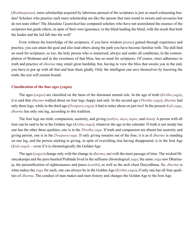(*[Brahmajnana](#page-57-3)*), mere scholarship acquired by laborious perusal of the scriptures is just so much exhausting burden! Scholars who practise such mere scholarship are like the spoons that turn round in sweets and savouries but do not taste either! The *[Mundaka Upanishad](#page-63-3)* has compared scholars who have not assimilated the essence of the scriptures but guide others, in spite of their own ignorance, to the blind leading the blind, with the result that both the leader and the led fall into the well!

Even without the knowledge of the scriptures, if you have wisdom (*[jnana](#page-61-0)*) gained through experience and practice, you can attain the goal and also lead others along the path you have become familiar with. The dull find no need for scriptures; so too, the holy person who is immersed, always and under all conditions, in the contemplation of [Brahman](#page-57-0) and in the sweetness of that bliss, has no need for scriptures. Of course, strict adherence to truth and practice of *[dharma](#page-58-0)* may entail great hardship, but, having in view the bliss that awaits you in the end, you have to put up with all that and bear them gladly. Only the intelligent can save themselves by knowing the truth; the rest will remain bound.

## **Classification of the four ages (yugas)**

The ages (*yugas*) are classified on the basis of the dominant mental role. In the age of truth (*[Kritha-yuga](#page-61-4)*), it is said that *[dharma](#page-58-0)* walked about on four legs, happy and safe. In the second age (*[Thretha-yuga](#page-69-0)*), *[dharma](#page-58-0)* had only three legs, while in the third age (*[Dwapara-yuga](#page-59-2)*), it had to totter about on just two! In the present *[Kali-yuga](#page-61-5)*, *[dharma](#page-58-0)* has only one leg, according to this tradition.

The four legs are truth, compassion, austerity, and giving (*[sathya](#page-67-3)*, *[daya](#page-58-6)*, *tapas*, and *[dana](#page-58-7)*). A person with all four can be said to be in the Golden Age (*[Kritha-yuga](#page-61-4)*), whatever the age in the calendar. If truth is not steady but one has the other three qualities, one is in the *[Thretha-yuga](#page-69-0)*. If truth and compassion are absent but austerity and giving persist, one is in the *[Dwapara-yuga](#page-59-2)*. If only giving remains out of the four, it is as if *[dharma](#page-58-0)* is standing on one leg, and the person sticking to giving, in spite of everything else having disappeared, is in the Iron Age (*[Kali-yuga](#page-61-5)*) —even if it is chronologically the Golden Age.

The ages (*yugas*) change only with the change in *[dharma](#page-58-0)*, not with the mere passage of time. The wicked [Hi](#page-60-3)[ranyakasipu](#page-60-3) and the pure-hearted [Prahlada](#page-65-2) lived in the selfsame chronological *yuga*; the same *yuga* saw [Dharma](#page-59-3)[ja,](#page-59-3) the personification of righteousness and peace (*[santhi](#page-67-4)*), as well as the arch cheat [Duryodhana.](#page-59-4) So, *[dharma](#page-58-0)* is what makes the *yuga* for each; one can always be in the Golden Age (*[Kritha-yuga](#page-61-4)*), if only one has all four qualities of *[dharma](#page-58-0)*. The conduct of man makes and mars history and changes the Golden Age to the Iron Age.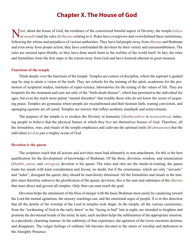## **Chapter X. The House of God**

ext, about the house of God, the residence of the concretized formful aspect of Divinity, the temple ([alaya](#page-55-2) or *mandir*) and the rules of *dharma* relating to it. Rules have overgrown and overwhelmed these institutions, following the whims and prejudices of various authorities. They have led people away from *[dharma](#page-58-0)* and [Brahman](#page-57-0)  and even away from proper action; they have confounded the devotees by their variety and unreasonableness. The rules are insisted upon blindly, so they have done much harm to the welfare of the world itself. In fact, the rules and formalities form the first steps in the retreat away from God and have fostered atheism in great measure.

#### **Functions of the temple**

Think deeply over the functions of the temple. Temples are centres of discipline, where the aspirant is guided step by step to attain a vision of the truth. They are schools for the training of the spirit, academies for the promotion of scriptural studies, institutes of super-science, laboratories for the testing of the values of life. They are hospitals for the treatment and cure not only of the "birth-death disease", which has persisted in the individual for ages, but even the much more patent "mental disorders" that trouble those who do not know the secret of acquiring peace. Temples are gymnasia where people are reconditioned and their hesitant faith, waning conviction, and upsurging egotism are all cured. Temples are mirrors that reflect aesthetic standards and achievements.

The purpose of the temple is to awaken the Divinity in humanity (*[Madhavathwa](#page-62-7)* in *[manavathwa](#page-62-8)*), inducing people to believe that the physical frames in which they live are themselves houses of God. Therefore, all the formalities, rites, and rituals of the temple emphasize and cultivate the spiritual truth (*[Brahmajnana](#page-57-3)*) that the individual (*[jivi](#page-61-6)*) is just a mighty ocean of God.

#### **Devotion is the queen**

The scriptures teach that all actions and activities must lead ultimately to non-attachment, for this is the best qualification for the development of knowledge of [Brahman](#page-57-0). Of the three, devotion, wisdom, and renunciation (*[bhakthi](#page-57-7)*, *[jnana](#page-61-0)*, and *vairagya*), devotion is the queen. The rules and rites are the maids-in-waiting; the queen treats her maids with kind consideration and favour, no doubt, but if the ceremonies, which are only "servants" and "aides", disregard the queen, they should be mercilessly dismissed. All the formalities and rituals in the temples must therefore subserve the glorification of the queen, devotion; this is the sum and substance of the *[dharma](#page-58-0)* that must direct and govern all temples. Only then can man reach the goal.

Devotion helps the attainment of the bliss of merger with the basic [Brahman](#page-57-0) most easily by canalizing toward the Lord the mental agitations, the sensory reachings-out, and the emotional urges of people. It is in this direction that all the details of the worship of the Lord in temples took shape. In the temple, all the various ceremonies, from the "awakening of God in the early dawn" to the "laying in bed" late at night, are intended to heighten and promote the devotional trends of the mind. In turn, each incident helps the sublimation of the appropriate emotion, in a peculiarly charming manner. In the sublimity of that experience, the agitation of the lower emotions declines and disappears. The vulgar feelings of ordinary life become elevated to the status of worship and dedication to the Almighty Presence.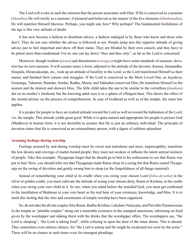The Lord will evoke in each the emotion that the person associates with Him. If He is conceived as a monster (*[bhuutha](#page-57-8)*), He will terrify as a monster; if pictured and believed as the master of the five elements (*[bhuthanatha](#page-57-9)*), He will manifest Himself likewise. Perhaps, you might ask, how? Why perhaps? The fundamental foolishness of the age is this very attitude of doubt.

It has now become a fashion to distribute advice, a fashion indulged in by those who know and those who don't. They do not care whether the advice is followed or not. People jump into this superior attitude of giving advice just to feel important and show off their status. They are blinded by their own conceit, and they have to be pitied more than condemned. For no one can lay down "thus and thus only", as far as the Lord is concerned.

Moreover, though wisdom (*[jnana](#page-61-0)*) and detachment (*vairagya*) might have some standards of measure, devotion has its own measure. It will assume many a form, adjusted to the attitude of the devotee. [Kamsa,](#page-61-7) [Jarasandha](#page-60-4), [Sisupala,](#page-68-1) [Hiranyakasipu](#page-60-3), etc., took up an attitude of hostility to the Lord, so the Lord manifested Himself as their enemy and finished their careers and struggles. If the Lord is conceived as the Most Loved One, as [Jayadeva](#page-60-5), [Gouranga](#page-59-5), [Tukaram,](#page-69-1) [Ramdas,](#page-66-2) [Surdas](#page-68-2), [Radha,](#page-65-3) [Meera](#page-63-4), and [Sakkubai](#page-66-3) conceived Him, He manifests Himself as the nearest and the dearest and showers bliss. The little child takes the sun to be similar to the vermillion (*[kumkum](#page-61-8)*) dot on its mother's forehead, but the knowing adult sees it as a sphere of effulgent heat. This shows the effect of the mental picture on the process of comprehension. In case of Godhead as well as of the temple, the same law applies.

It is proper for people to have an exalted attitude toward the Lord as well as toward the habitation of the Lord, viz. the temple. This attitude yields great good. While it is quite natural and appropriate for people to picture God ([Madhava\)](#page-62-9) in human form, it is not desirable to assume that He is just an ordinary individual. The principle of devotion states that He is conceived as an extraordinary person, with a figure of sublime splendour.

#### **Arousing feelings during worship**

Feelings aroused by and during worship must be sweet and melodious and must, imperceptibly, transform the low desires and cravings of matter-bound people; they must not awaken or inflame the latent animal instincts of people. Take this example: [Thyagaraja](#page-69-2) forgot that he should go to bed in his enthusiasm to see that [Rama](#page-65-1) was put to bed. Here, you should infer not that [Thyagaraja](#page-69-2) made [Rama](#page-65-1) sleep in a swing but that [Rama](#page-65-1) seated [Thyaga](#page-69-2)[raja](#page-69-2) on the swing of devotion and gently swung him to sleep (or the forgetfulness of all things material).

Instead of remembering your child in its cradle when you swing your chosen Lord (*[Ishta-devatha](#page-60-6)*) in the silver or golden cradle, you must cultivate the attitude of seeing your chosen deity, [Rama](#page-65-1) or [Krishna,](#page-61-3) in the cradle when you swing your own child in it. So too, when you stand before the installed God, you must get confirmed in the installation of [Brahman](#page-57-0) in your own heart as the real base of your existence, knowledge, and bliss. It is to instil this feeling that the rites and ceremonies of temple worship have been organized.

So, do not take the divine couples [Sita](#page-68-3)[-Rama](#page-65-1), [Radha-](#page-65-3)[Krishna,](#page-61-3) [Lakshmi-](#page-62-4)[Narayana,](#page-64-3) and [Parvathi](#page-64-1)[-Parameswara](#page-64-0) in the temple as "pitiable couples" eking out a miserable existence in the cramped sanctorum, subsisting on food given by the worshipper and slaking thirst with the drinks that the worshipper offers. The worshippers say, "the Lord is sleeping", "the Lord is taking food", while refusing to open the door of the inner shrine. This is absurd. They sometimes even enforce silence, for "the Lord is asleep and He might be awakened too soon by the noise." There will be no chance at such times even for emergent pleadings.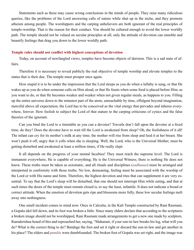Statements such as these may cause wrong conclusions in the minds of people. They raise many ridiculous queries, like the problems of the Lord answering calls of nature while shut up in the niche, and they promote atheism among people. The worshippers and the carping unbelievers are both ignorant of the real principles of temple-worship. That is the reason for their conduct. You should be cultured enough to avoid the lower worldly path. The temple should not be valued on secular principles at all; only the attitude of devotion can ennoble and beautify feelings that drag you down to the lower worldly path.

## **Temple rules should not conflict with highest conceptions of devotion**

Today, on account of newfangled views, temples have become objects of derision. This is a sad state of affairs.

Therefore it is necessary to reveal publicly the real objective of temple worship and elevate temples to the status that is their due. The temple must prosper once again.

How stupid it is to be under the impression that the Lord sleeps as you do when a lullaby is sung, or that He wakes up as you do when someone calls on Him aloud, or that He feasts when some food is placed before Him, as you want to do, or that He becomes weaker and weaker when not given regular meals, as happens to you. Filling up the entire universe down to the minutest part of the atom, unreachable by time, effulgent beyond imagination, merciful above all expectation, the Lord has to be conceived as the vital energy that pervades and inheres everywhere, forever. How foolish to subject the Lord of that stature to the carping criticisms of cynics and the false theories of the ignorant.

Can you bind the Lord to a timetable as you can a devotee? Travails don't fall upon the devotee at a fixed time, do they? Does the devotee have to wait till the Lord is awakened from sleep? Oh, the foolishness of it all! The infant can cry for its mother's milk at any time; the mother will rise from sleep and feed it at her breast. She won't push it off, angry that it yells when she is sleeping. Well, the Lord, who is the Universal Mother, must be getting disturbed and awakened at least a million times, if He really slept.

It all depends on the progress of your mental faculties! They must reach the supreme level. The Lord is immanent everywhere; He is capable of everything; He is the Universal Witness; there is nothing He does not know. These truths must be taken as axiomatic, and all rituals and disciplines (*[sadhana](#page-66-4)s*) must be arranged and interpreted in conformity with those truths. No low, demeaning, feeling must be associated with the worship of the Lord or with His name and form. Therefore, the highest devotion and rites that can supplement it are very essential. To say that the Lord's sleep will be disturbed, that one should not interrupt Him while eating, and that at such times the doors of the temple must remain closed is, to say the least, infantile. It does not indicate a broad or correct attitude. When the emotion of devotion gets ripe and blossoms more fully, these low secular feelings melt away into nothingness.

One small incident comes to mind now. Once in Calcutta, in the Kali Temple constructed by [Rani Rasmani](#page-66-5), a [Gopala](#page-59-6) idol fell down, and its foot was broken a little. Since many elders declare that according to the scriptures a broken image should not be worshipped, [Rani Rasmani](#page-66-5) made arrangements to get a new one made by sculptors. [Ramakrishna](#page-66-6) heard of this and reproached her, saying, "Maharani, if your son-in-law breaks his leg, what will you do? What is the correct thing to do? Bandage the foot and set it right or discard the son-in-law and get another in his place? The elders and *[pundits](#page-65-4)* were dumbfounded. The broken foot of [Gopala](#page-59-6) was set right, and the image was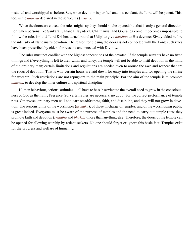installed and worshipped as before. See, when devotion is purified and is ascendant, the Lord will be patent. This, too, is the *[dharma](#page-58-0)* declared in the scriptures (*[sastras](#page-67-0)*).

When the doors are closed, the rules might say they should not be opened; but that is only a general direction. For, when persons like [Sankara,](#page-67-1) [Sananda,](#page-67-5) [Jayadeva](#page-60-5), [Chaithanya](#page-58-8), and [Gouranga](#page-59-5) come, it becomes impossible to follow the rule, isn't it? Lord [Krishna](#page-61-3) turned round at Udipi to give *darshan* to His devotee; [Siva](#page-68-4) yielded before the intensity of [Nandanar](#page-63-5)'s devotion. The reason for closing the doors is not connected with the Lord; such rules have been prescribed by elders for reasons unconnected with Divinity.

The rules must not conflict with the highest conceptions of the devotee. If the temple servants have no fixed timings and if everything is left to their whim and fancy, the temple will not be able to instil devotion in the mind of the ordinary man; certain limitations and regulations are needed even to arouse the awe and respect that are the roots of devotion. That is why certain hours are laid down for entry into temples and for opening the shrine for worship. Such restrictions are not repugnant to the main principle. For the aim of the temple is to promote *[dharma](#page-58-0)*, to develop the inner culture and spiritual discipline.

Human behaviour, actions, attitudes —all have to be subservient to the overall need to grow in the consciousness of God as the living Presence. So, certain rules are necessary, no doubt, for the correct performance of temple rites. Otherwise, ordinary men will not learn steadfastness, faith, and discipline, and they will not grow in devotion. The responsibility of the worshipper (*[archaka](#page-56-2)*), of those in charge of temples, and of the worshipping public is great indeed. Everyone must be aware of the purpose of temples and the need to carry out temple rites; they promote faith and devotion (*sraddha* and *[bhakthi](#page-57-7)*) more than anything else. Therefore, the doors of the temple can be opened for allowing worship by ardent seekers. No one should forget or ignore this basic fact: Temples exist for the progress and welfare of humanity.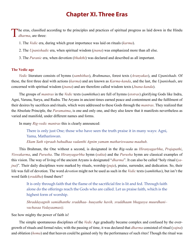## **Chapter XI. Three Eras**

The eras, classified according to the principles and practices of spiritual progress as laid down in the Hindu *[dharma](#page-58-0)*, are three:

1. The *[Vedic](#page-70-1)* era, during which great importance was laid on rituals (*[karma](#page-61-9)*).

2. The *[Upanishadic](#page-69-3)* era, when spiritual wisdom (*[jnana](#page-61-0)*) was emphasized more than all else.

3. The *[Puranic](#page-65-5)* era, when devotion (*[bhakthi](#page-57-7)*) was declared and described as all important.

### **The Vedic age**

*[Vedic](#page-70-1)* literature consists of hymns (*[samhithas](#page-67-6)*), *[Brahmanas](#page-57-10)*, forest texts (*[Aranyakas](#page-55-3)*), and *[Upanishads](#page-69-3)*. Of these, the first three deal with actions (*[karma](#page-61-9)*) and are known as *[Karma-kanda](#page-61-1)*, and the last, the *[Upanishads](#page-69-3)*, are concerned with spiritual wisdom (*[jnana](#page-61-0)*) and are therefore called wisdom texts (*[Jnana-kanda](#page-61-2)*).

The groups of *[mantras](#page-62-10)* in the *[Vedic](#page-70-1)* texts (*[samhithas](#page-67-6)*) are full of hymns (*stotras*) glorifying Gods like [Indra](#page-60-7), [Agni](#page-55-4), [Varuna,](#page-70-2) [Surya](#page-68-5), and [Rudra.](#page-66-7) The [Aryan](#page-56-3)s in ancient times earned peace and contentment and the fulfilment of their desires by sacrifices and rituals, which were addressed to these Gods through the *[mantras](#page-62-10)*. They realized that the Absolute Principle, the *[Paramatma](#page-64-4)*, is one and only one, and they also knew that it manifests nevertheless as varied and manifold, under different names and forms.

In many *Rig-vedic [mantras](#page-62-10)* this is clearly announced:

There is only just One; those who have seen the truth praise it in many ways: [Agni,](#page-55-4) [Yama](#page-71-5), [Mathariswan](#page-63-6). *Ekam Sath vipraah bahudhaa vadanthi Agnim yamam mathariswaana maahuh*.

This [Brahman](#page-57-0), the One without a second, is designated in the *[Rig-veda](#page-66-8)* as *[Hiranyagarbha](#page-60-8)*, *[Prajapathi](#page-65-6)*, *[Viswakarma](#page-71-6)*, and *[Purusha](#page-65-7)*. The *[Hiranyagarbha](#page-60-8)* hymn (*sukta*) and the *[Purusha](#page-65-7)* hymn are classical examples of this vision. The way of living of the ancient [Aryans](#page-56-3) is designated "*[dharma](#page-58-0)*". It can also be called "holy ritual (*yajna*)". Their daily disciplines were marked by rituals, worship (*[puja](#page-65-8)*), praise, surrender, and dedication. So, their life was full of devotion. The word *devotion* might not be used as such in the *[Vedic](#page-70-1)* texts (*[samhithas](#page-67-6)*), but isn't the word faith (*sraddha*) found there?

It is only through faith that the flame of the sacrificial fire is lit and fed. Through faith alone do the offerings reach the Gods who are called. Let us praise faith, which is the highest form of worship.

*Shraddayagnih samidhanthe sraddhaa- huuyathe havih, sraddhaam bhagasya muurdhani– vachasaa Vedayaamasi).*

See how mighty the power of faith is!

The simple spontaneous disciplines of the *[Vedic](#page-70-1)* Age gradually became complex and confused by the overgrowth of rituals and formal rules; with the passing of time, it was declared that *[dharma](#page-58-0)* consisted of ritual (*yajna*) and oblation (*[homa](#page-60-9)*) and that heaven could be gained only by the performance of such rites! Though the ritual was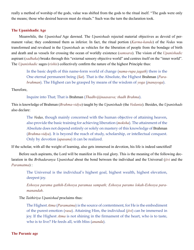really a method of worship of the gods, value was shifted from the gods to the ritual itself. "The gods were only the means; those who desired heaven must do rituals." Such was the turn the declaration took.

### **The Upanishadic Age**

Meanwhile, the *[Upanishad](#page-69-3)* Age dawned. The *[Upanishads](#page-69-3)* rejected material objectives as devoid of permanent value; they condemned them as inferior. In fact, the ritual portion (*[Karma-kanda](#page-61-1)*) of the *[Vedas](#page-70-0)* was transformed and revalued in the *[Upanishads](#page-69-3)* as vehicles for the liberation of people from the bondage of birth and death and as vessels for crossing the ocean of worldly existence (*[samsara](#page-67-7)*). The vision of the *[Upanishadic](#page-69-3)* aspirant (*[sadhaka](#page-66-9)*) breaks through this "external sensory objective world" and centres itself on the "inner world". The *Upanishadic* sages (*[rishis](#page-66-10)*) collectively confirm the nature of the highest Principle thus:

In the basic depth of this name-form world of change (*[nama-](#page-63-7)[rupa](#page-66-11) [jagath](#page-60-10)*) there is the One eternal permanent being (*[Sat](#page-67-8)*). That is the Absolute, the Highest [Brahman](#page-57-0) (*[Para](#page-64-5)[brahman](#page-64-5)*). The Highest can be grasped by means of the wisdom of *yoga* (*[jnanayoga](#page-61-10)*).

Therefore,

Inquire into That; That is [Brahman](#page-57-0) (*Thadhvijijnaasasva; thadh Brahma*).

This is knowledge of [Brahman](#page-57-0) (*[Brahma-vidya](#page-57-1)*) taught by the *[Upanishads](#page-69-3)* (the *[Vedanta](#page-70-3)*). Besides, the *[Upanishads](#page-69-3)* also declare:

The *[Vedas](#page-70-0)*, though mainly concerned with the human objective of attaining heaven, also provide the basic training for achieving liberation (*[moksha](#page-63-8)*). The attainment of the Absolute does not depend entirely or solely on mastery of this knowledge of [Brahman](#page-57-0) (*[Brahma-vidya](#page-57-1)*). It is beyond the reach of study, scholarship, or intellectual conquest. Only by devotion (*upasana*) it can be realized.

If the scholar, with all the weight of learning, also gets immersed in devotion, his life is indeed sanctified!

Before such aspirants, the Lord will be manifest in His real glory. This is the meaning of the following declaration in the *[Brihadaranya Upanishad](#page-57-6)* about the bond between the individual and the Universal (*[jivi](#page-61-6)* and the *[Paramatma](#page-64-4)*) :

The Universal is the individual's highest goal, highest wealth, highest elevation, deepest joy.

*Eshosya parama gathih-Eshosya paramaa sampath; Eshosya paramo lokah-Eshosya paramanandah*.

The *[Taithiriya Upanishad](#page-69-4)* proclaims thus:

The Highest *[Atma](#page-56-0)* (*[Paramatma](#page-64-4)*) is the source of contentment, for He is the embodiment of the purest emotion (*[rasa](#page-66-12)*). Attaining Him, the individual (*[jivi](#page-61-6)*) can be immersed in joy. If the Highest *[Atma](#page-56-0)* is not shining in the firmament of the heart, who is to taste, who is to live? He feeds all, with bliss (*[ananda](#page-55-5)*).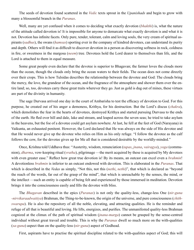The seeds of devotion found scattered in the *[Vedic](#page-70-1)* texts sprout in the *[Upanishads](#page-69-3)* and begin to grow with many a blossomful branch in the *[Puranas](#page-65-0)*.

Well, many are yet confused when it comes to deciding what exactly devotion (*[bhakthi](#page-57-7)*) is, what the nature of the attitude called devotion is! It is impossible for anyone to demarcate what exactly devotion is and what it is not. Devotion has infinite facets. Only pure, tender, tolerant, calm and loving souls, the very cream of spiritual aspirants (*[sadhus](#page-66-13)*), the swans (*[hamsas](#page-60-11)*) sporting ever in the company of kindred devotees, can understand its purity and depth. Others will find it as difficult to discover devotion in a person as discovering softness in rock, coldness in fire, or sweetness in the margosa (*[neem](#page-64-6)*) tree. Devotees hold the Lord dearer to themselves than life, and the Lord is attached to them in equal measure.

Some great people even declare that the devotee is superior to [Bhagavan;](#page-57-11) the farmer loves the clouds more than the ocean, though the clouds only bring the ocean waters to their fields. The ocean does not come directly over their crops. This is how [Tulsidas](#page-69-5) describes the relationship between the devotee and God: The clouds bring the mercy, the love, the grandeur of the ocean, and the fragrance of the atmosphere and shower them over the entire land; so, too, devotees carry these great traits wherever they go. Just as gold is dug out of mines, these virtues are part of the divinity in humanity.

The sage [Durvasa](#page-59-7) arrived one day in the court of [Ambarisha](#page-55-6) to test the efficacy of devotion to God. For this purpose, he created out of his anger a demoness, [Krithya](#page-61-11), for his destruction. But the Lord's discus (*[chakra](#page-58-9)*), which demolishes the fear in the hearts of devotees, destroyed [Krithya](#page-61-11) and started pursuing [Durvasa](#page-59-7) to the ends of the earth. He fled over hill and dale, lake and stream, and leaped across the seven seas; he tried to take asylum in the heavens, but the foe of a devotee could get asylum nowhere. At last, he fell at the feet of God ([Narayana\)](#page-64-3) in [Vaikunta,](#page-70-4) an exhausted penitent. However, the Lord declared that He was always on the side of His devotee and that He would never give up the devotee who relies on Him as his only refuge. "I follow the devotee as the calf follows the cow, for the devotee gives up for Me all that is considered desirable by the worldly-minded."

Once, [Krishna](#page-61-3) told [Uddhava](#page-69-6) thus: "Austerity, wisdom, renunciation (*tapas*, *[jnana](#page-61-0)*, *vairagya*), *yoga* (communion), *[dharma](#page-58-0)*, vow-keeping ritual (*vratha*), pilgrimage —the merit acquired by these is acquired by My devotees with even greater ease." Reflect how great true devotion is! By its means, an outcast can excel even a *[brahmin](#page-57-12)*! A devotionless *[brahmin](#page-57-12)* is inferior to an outcast endowed with devotion. This is elaborated in the *[Puranas](#page-65-0)*. That which is described in the *[Vedas](#page-70-0)* as simply, "Not this, not this *([nethi](#page-64-7), nethi)*", that which is declared as "beyond the reach of the words, far out of the grasp of the mind", that which is unreachable by the senses, the mind, or the intellect —such an entity is capable of being felt and experienced by those immersed in meditation. Devotion brings it into the consciousness easily and fills the devotee with bliss.

The *[Bhagavan](#page-57-11)* described in the epics (*[Puranas](#page-65-0)*) is not only the quality-less, change-less One (*[nir-guna](#page-64-8) -nirvikaraadwaitiya*) [Brahman,](#page-57-0) the Thing-to-be-known, the origin of the universe, and pure consciousness (*[chith](#page-58-10)[swarupa](#page-58-10)*). He is also the repository of all the noble, elevating, and attracting qualities. He is the reminder and refuge of all that is beautiful and loving. He lifts, energizes, and purifies. The unmanifested quality-less [Brahman](#page-57-0) cognized at the climax of the path of spiritual wisdom (*[jnana-marga](#page-61-12)*) cannot be grasped by the sense-centred individual without great travail and trouble. This is why the *[Puranas](#page-65-0)* dwell so much more on the with-qualities (*[sa-guna](#page-66-14)*) aspect than on the quality-less (*[nir-guna](#page-64-8)*) aspect of Godhead.

First, aspirants have to practise the spiritual discipline related to the with-qualities aspect of God; this will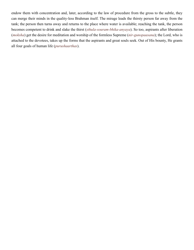endow them with concentration and, later, according to the law of procedure from the gross to the subtle, they can merge their minds in the quality-less [Brahman](#page-57-0) itself. The mirage leads the thirsty person far away from the tank; the person then turns away and returns to the place where water is available; reaching the tank, the person becomes competent to drink and slake the thirst (*sthula-souram-bhika-anyaya*). So too, aspirants after liberation (*[moksha](#page-63-8)*) get the desire for meditation and worship of the formless Supreme (*[nir-gunopaasana](#page-64-9)*); the Lord, who is attached to the devotees, takes up the forms that the aspirants and great souls seek. Out of His bounty, He grants all four goals of human life (*[purushaarthas](#page-65-9)*).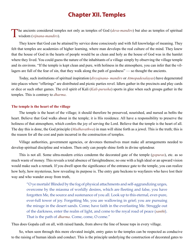## **Chapter XII. Temples**

The ancients considered temples not only as temples of God (*[deva-](#page-58-11)[mandirs](#page-62-6)*) but also as temples of spiritual wisdom (*vijnana-mandirs*).

They knew that God can be attained by service done consciously and with full knowledge of meaning. They felt that temples are academies of higher learning, where man develops the real culture of the mind. They knew that the house of God in the hearts of people would be as clean and holy as the house of God was in the hamlet where they lived. You could guess the nature of the inhabitants of a village simply by observing the village temple and its environs. "If the temple is kept clean and pure, with holiness in the atmosphere, you can infer that the villagers are full of the fear of sin, that they walk along the path of goodness" — so thought the ancients.

Today, such institutions of spiritual inspiration (*divyajnana- [mandirs](#page-62-6)* or *Atmopadesalayas*) have degenerated into places where "offerings" are distributed and picnic parties revel. Idlers gather in the precincts and play cards or dice or such other games. The evil spirit of Kali (*[Kali-purusha](#page-61-13)*) sports in glee when such groups gather in the temples. This is contrary to *[dharma](#page-58-0)*.

#### **The temple is the heart of the village**

The temple is the heart of the village; it should therefore be preserved, nourished, and nursed as befits the heart. Believe that God walks about in the temple; it is His residence. All have a responsibility to preserve the holiness of that atmosphere, which confers the joy of serving the Lord. Believe that the temple is the heart of all. The day this is done, the God principle (*[Madhavathwa](#page-62-7)*) in man will shine forth as a jewel. This is the truth; this is the reason for all the cost and pain incurred in the construction of temples.

Village authorities, government agencies, or devotees themselves must make all arrangements needed to develop spiritual discipline and wisdom. Then only can people shine forth in divine splendour.

This is not all. Some ultra-modern critics condemn the decorated gate of the temple (*[gopuras](#page-59-8)*), etc. as so much waste of money. This reveals a total absence of farsightedness; no one with a high ideal or an upward vision would make such a remark. If you dwell upon the significance of the entrance gate to the temple, you can realize how holy, how mysterious, how revealing its purpose is. The entry gate beckons to wayfarers who have lost their way and who wander away from truth,

"O ye mortals! Blinded by the fog of physical attachments and self-aggrandizing urges, overcome by the miasma of worldly desires, which are fleeting and false, you have forgotten Me, the source and sustenance of you all. Look up to this eternal, ever-pure, ever-full tower of joy. Forgetting Me, you are wallowing in grief; you are pursuing the mirage in the desert sands. Come; have faith in the everlasting Me. Struggle out of the darkness, enter the realm of light, and come to the royal road of peace (*[santhi](#page-67-4)*). That is the path of *[dharma](#page-58-0)*. Come, come, O come."

Thus does [Gopala](#page-59-6) call on all, with raised hands, from above the line of house tops in every village.

So, when seen through this more elevated insight, entry gates to the temples can be respected as conducive to the raising of human ideals and conduct. This is the principle underlying the construction of decorated gates to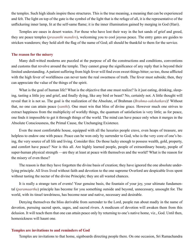the temples. Such high ideals inspire these structures. This is the true meaning, a meaning that can be experienced and felt. The light on top of the gate is the symbol of the light that is the refuge of all, it is the representative of the unflickering inner lamp, lit at the self-same flame; it is the inner illumination gained by merging in God [\(Hari\)](#page-60-12).

Temples are oases in desert wastes. For those who have lost their way in the hot sands of grief and greed, they are peace temples (*[prasanthi](#page-65-10) [mandirs](#page-62-6)*), welcoming you to cool joyous peace. The entry gates are guides to stricken wanderers; they hold aloft the flag of the name of God; all should be thankful to them for the service.

#### **The reason for the misery**

Many dull-witted moderns are puzzled at the purpose of all the constructions and conditions, conventions and customs that revolve around the temple. They cannot grasp the significance of any reply that is beyond their limited understanding. A patient suffering from high fever will find even sweet things bitter; so too, those afflicted with the high fever of worldliness can never taste the real sweetness of truth. The fever must subside; then, they can appreciate the value of the things of the spirit.

What is the goal of human life? What is the objective that one must realize? Is it just eating, drinking, sleeping, tasting a little joy and grief, and finally dying, like any bird or beast? No, certainly not. A little thought will reveal that it is not so. The goal is the realization of the Absolute, of [Brahman](#page-57-0) (*[Brahma-](#page-57-2)[sakshatkara](#page-66-15)*)! Without that, no one can attain peace (*[santhi](#page-67-4)*). One must win that bliss of divine grace. However much one strives to extract happiness from the multiplicity of worldly things, the quantum of satisfaction is very little; as for peace, one finds it impossible to get it through things of the world. The mind can have peace only when it merges in the Absolute Consciousness, the Primal Cause, the Unchanging Existence.

Even the most comfortable house, equipped with all the luxuries people crave, even heaps of treasure, are helpless to endow one with peace. Peace can be won only by surrender to God, who is the very core of one's being, the very source of all life and living. Consider this: Do those lucky enough to possess wealth, gold, property, and comfort have peace? Nor is this all. Are highly learned people, people of extraordinary beauty, people of super-human physical strength —are they at least at peace with themselves and the world? What is the reason for the misery of even these?

The reason is that they have forgotten the divine basis of creation; they have ignored the one absolute underlying principle. All lives lived without faith and devotion to the one supreme Overlord are despicable lives spent without tasting the nectar of the divine Principle; they are all wasted chances.

It is really a strange turn of events! Your genuine basis, the fountain of your joy, your ultimate fundamental (*[paramaartha](#page-64-10)*) principle has become for you something outside and beyond, unnecessary, unsought for. The world, with its tinsel tawdriness, has become near and native, necessary and desirable.

Denying themselves the bliss derivable from surrender to the Lord, people run about madly in the name of devotion, pursuing sacred spots, sages, and sacred rivers. A modicum of devotion will awaken them from this delusion. It will teach them that one can attain peace only by returning to one's native home, viz., God. Until then, homesickness will haunt one.

#### **Temples are invitations to and reminders of God**

Temples are invitations to that home, signboards directing people there. On one occasion, Sri [Ramachandra](#page-66-16)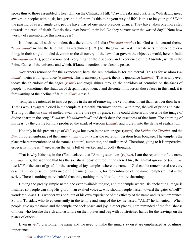spoke thus to those assembled to hear Him on the Chitrakuta Hill: "Dawn breaks and dusk falls. With dawn, greed awakes in people; with dusk, lust gets hold of them. Is this to be your way of life? Is this to be your goal? With the passing of every single day, people have wasted one more precious chance. They have taken one more step towards the cave of death. But do they ever bewail their lot? Do they sorrow over the wasted day?" Note how worthy of remembrance this message is!

It is because of such reminders that the culture of India (*[Bharatha-varsha](#page-57-13)*) has God as its central theme. "*Bha-ra-tha*" means the land that has attachment (*[rathi](#page-66-17)*) to [Bhagavan](#page-57-11) or God. If westerners renounced everything, in their single-minded devotion to the discovery of the laws that govern the objective world, here in India (*[Bharatha-varsha](#page-57-13)*), people renounced everything for the discovery and experience of the Absolute, which is the Prime Cause of the universe and which, if known, confers unshakeable peace.

Westerners renounce for the evanescent; here, the renunciation is for the eternal. This is for wisdom (*vijnana*); theirs is for ignorance (*[a-jnana](#page-55-7)*). This is austerity (*tapas*); theirs is ignorance (*thamas*). That is why even today, the splendour of the sages (*[rishis](#page-66-10)*) and yogis shines through the corridors of centuries on the faces of people; if sometimes the shadows of despair, despondency and discontent flit across those faces in this land, it is forewarning of the decline of faith in *[dharma](#page-58-0)* itself.

Temples are intended to instruct people in the art of removing the veil of attachment that lies over their heart. That is why [Thyagaraja](#page-69-2) cried in the temple at Tirupathi, "Remove the veil within me, the veil of pride and hate." The fog of illusion (*[maya](#page-63-2)*) melted away before the rays of grace, so he could discern and describe the image of divine charm in the song "*Sivudavo Maadhavudavo*" and drink deep the sweetness of that form. The churning of his heart by the divine formula produced the spark of wisdom (*[jnana](#page-61-0)*), and it grew into the flame of realization.

Not only in this present age of *[Kali-yuga](#page-61-5)* but even in the earlier ages (*yugas*), the *[Kritha](#page-61-4)*, the *[Thretha](#page-69-0)*, and the *[Dwapara](#page-59-2)*, remembrance of the name (*[namasmarana](#page-63-9)*) was the secret of liberation from bondage. The temple is the place where remembrance of the name is natural, automatic, and undisturbed. Therefore, going to it is imperative, especially in the *[Kali](#page-61-5)* age, when the air is full of wicked and ungodly thoughts.

That is why [Krishna,](#page-61-3) in the *[Gita](#page-57-5)*, declared that "Among sacrifices (*yajnas*), I am the repetition of the name (*[namayajna](#page-63-10)*), the sacrifice that has the sacrificial beast offered in the sacred fire, the animal ignorance (*[a-jnana](#page-55-7)*) itself." For the cure of grief, for the earning of joy, temples where the name of God can be remembered are very essential. "For bliss, remembrance of the name (*[smarana](#page-68-6)*); for remembrance of the name, temples." That is the series. There is nothing more fruitful than this, nothing more blissful or more charming. "

Having the greatly simple name, the ever available tongue, and the temple where His enchanting image is installed so people can sing His glory in an exalted voice ... why should people hasten toward the gates of hell?" wondered [Vyasa](#page-71-7). His wonder was born out of his own experience of the efficacy of the name and its remembrance. So too, [Tulsidas,](#page-69-5) who lived constantly in the temple and sang of the joy he tasted. "Alas!" he lamented, "When people give up the name and the temple and seek peace and joy in other places, I am reminded of the foolishness of those who forsake the rich and tasty fare on their plates and beg with outstretched hands for the leavings on the plates of others."

Even in *[Vedic](#page-70-1)* discipline, the name and the need to make the mind stay on it are emphasized as of utmost importance:

*[Om](#page-64-11)* —that One Word is [Brahman](#page-57-0)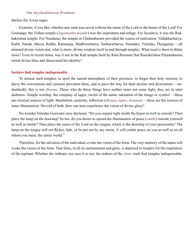#### *Om ithyekaaksharam Brahmam*

declare the [Aryan](#page-56-3) sages.

Examine, if you like, whether any saint was saved without the name of the Lord or the house of the Lord! For [Gouranga](#page-59-5), the [Vishnu](#page-71-0) temple (*Jagannatha mandir*) was the inspiration and refuge. For [Jayadeva,](#page-60-5) it was the Radhakrishna temple. For [Nandanar](#page-63-5), the temple at Chidambaram provided the source of realization. [Vallabhacharya](#page-70-5), [Kabir,](#page-61-14) [Nanak,](#page-63-11) [Meera](#page-63-4), [Radha,](#page-65-3) [Ramanuja](#page-66-1), [Madhwac](#page-62-5)harya, [Sankaracharya](#page-67-1), [Namadev](#page-63-12), [Tulsidas,](#page-69-5) [Thyagaraja](#page-69-2) —all attained divine vision and, what is more, divine wisdom itself in and through temples. What need is there to dilate more? Even in recent times, was it not in the Kali temple built by [Rani Rasmani](#page-66-5) that [Ramakrishna Paramahamsa](#page-66-6) tasted divine bliss and discovered his identity?

#### **Seekers find temples indispensable**

To misuse such temples, to spoil the sacred atmosphere of their precincts, to forget their holy mission, to decry the conventions and customs prevalent there, and to pave the way for their decline and desecration —undoubtedly, this is not *[dharma](#page-58-0)*. Those who do these things have neither inner nor outer light; they are in utter darkness. Temple worship, the company of sages, recital of the name, adoration of the image or symbol —these are external sources of light. Meditation, austerity, reflection (*[dhyana](#page-59-9)*, *tapas*, *[manana](#page-62-11)*) —these are the sources of inner illumination. Devoid of both, how can men experience the vision of divine glory?

No wonder [Tulsidas](#page-69-5) Goswami once declared, "Do you require light inside the house as well as outside? Then place the lamp on the doorstep! So too, do you desire to spread the illumination of peace (*[santhi](#page-67-4)*) outside yourself as well as inside? Then place the name of the Lord on the tongue, which is the doorstep of your personality! The lamp on the tongue will not flicker, fade, or be put out by any storm. It will confer peace on you as well as on all whom you meet, the entire world."

Therefore, for the salvation of the individual, evoke the vision of the form. The very memory of the name will evoke the vision of the form. That form, in all its enchantment and glory, is depicted in temples for the inspiration of the aspirant. Whether the ordinary eye sees it or not, the seekers of the *[Atmic](#page-56-4)* truth find temples indispensable.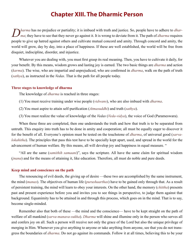## **Chapter XIII. The Dharmic Person**

 $D_{\text{max}}$  harma has no prejudice or partiality; it is imbued with truth and justice. So, people have to adhere to *[dharma](#page-58-0)*; they have to see that they never go against it. It is wrong to deviate from it. The path of *dhar* people to give up hatred against others and cultivate mutual concord and amity. Through concord and amity, the world will grow, day by day, into a place of happiness. If these are well established, the world will be free from disquiet, indiscipline, disorder, and injustice.

Whatever you are dealing with, you must first grasp its real meaning. Then, you have to cultivate it daily, for your benefit. By this means, wisdom grows and lasting joy is earned. The two basic things are *[dharma](#page-58-0)* and action (*[karma](#page-61-9)*). The wise, who are impartial and unprejudiced, who are confirmed in *[dharma](#page-58-0)*, walk on the path of truth (*[sathya](#page-67-3)*), as instructed in the *[Vedas](#page-70-0)*. That is the path for all people today.

#### **Three stages to knowledge of dharma**

The knowledge of *[dharma](#page-58-0)* is reached in three stages:

- (1) You must receive training under wise people (*vidwans*), who are also imbued with *[dharma](#page-58-0)*.
- (2) You must aspire to attain self-purification (*[Atmasuddhi](#page-56-5)*) and truth (*[sathya](#page-67-3)*).
- (3) You must realize the value of knowledge of the *[Vedas](#page-70-0)* (*[Veda-vidya](#page-70-6)*), the voice of God ([Parameswara\)](#page-64-0).

When these three are completed, then one understands the truth and how that truth is to be separated from untruth. This enquiry into truth has to be done in amity and cooperation; all must be equally eager to discover it for the benefit of all. Everyone's opinion must be tested on the touchstone of *[dharma](#page-58-0)*, of universal good (*[sarva](#page-67-9)[lokahitha](#page-67-9)*). The principles that pass this test have to be specially kept apart, used, and spread in the world for the advancement of human welfare. By this means, all will develop joy and happiness in equal measure. "

"All are the same (*samithih samaani*)", says the scripture. All have the same claim for spiritual wisdom (*[jnana](#page-61-0)*) and for the means of attaining it, like education. Therefore, all must do noble and pure deeds.

#### **Keep mind and conscience on the path**

The renouncing of evil deeds, the giving up of desire —these two are accomplished by the same instrument, the mind (*[manas](#page-62-12)*). The objectives of human life (*[purushaarthas](#page-65-9)*) have to be gained only through that. As a result of persistent training, the mind will learn to obey your interests. On the other hand, the memory (*[chittha](#page-58-12)*) presents past and present experience before you and invites you to see things in perspective, to judge them against that background. Equanimity has to be attained in and through this process, which goes on in the mind. That is to say, become single-minded.

Remember also that both of these —the mind and the conscience— have to be kept straight on the path of welfare of all mankind (*sarva-manava-sukha*). *[Dharma](#page-58-0)* will shine and illumine only in the person who serves all and confers joy on all. Such a person will receive not only the grace of the Lord but also the unique privilege of merging in Him. Whenever you give anything to anyone or take anything from anyone, see that you do not transgress the boundaries of *[dharma](#page-58-0)*. Do not go against its commands. Follow it at all times, believing this to be your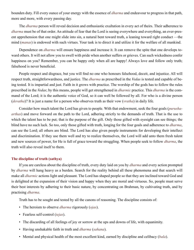bounden duty. Fill every ounce of your energy with the essence of *[dharma](#page-58-0)* and endeavour to progress in that path, more and more, with every passing day.

The *[dharma](#page-58-0)* person will reveal decision and enthusiastic exultation in every act of theirs. Their adherence to *[dharma](#page-58-0)* must be of that order. An attitude of fear that the Lord is seeing everywhere and everything, an ever-present apprehension that one might slide into sin, a natural bent toward truth, a leaning toward right conduct —the mind (*[manas](#page-62-12)*) is endowed with such virtues. Your task is to direct it and utilize it for the welfare of all mankind.

Dependence on *[dharma](#page-58-0)* will ensure happiness and increase it. It can remove the spite that one develops toward others. It will not allow you to swell with pride when another suffers or grieves. Can such wickedness confer happiness on you? Remember, you can be happy only when all are happy! Always love and follow only truth; falsehood is never beneficial.

People respect and disgrace, but you will find no one who honours falsehood, deceit, and injustice. All will respect truth, straightforwardness, and justice. The *[dharma](#page-58-0)* as prescribed in the *[Vedas](#page-70-0)* is tested and capable of being tested. It is impartial and just. Faith in it grows with practice. The worship of the gods has to follow the rules prescribed in the *[Vedas](#page-70-0)*; by this means, people will get strengthened in *[dharmic](#page-59-10)* practice. This *[dharma](#page-58-0)* is the command of the Lord; it is the authentic voice of God, so it can well be followed by all. For who is a divine person (*[devatha](#page-58-13)*)? It is just a name for a person who observes truth as their vow (*vratha*) in daily life.

Consider how much talent the Lord has given to people. With that endowment, seek the four goals (*[purusha](#page-65-9)[arthas](#page-65-9)*) and move forward on the path to the Lord, adhering strictly to the demands of truth. That is the use to which the talent has to be put; that is the purpose of the gift. Only those gifted with eyesight can see things; the blind have no such luck. So too, only those gifted with truth, longing for the four goals and adherence to *[dharma](#page-58-0)*, can see the Lord; all others are blind. The Lord has also given people instruments for developing their intellect and discrimination. If they use them well and try to realize themselves, the Lord will add unto them fresh talent and new sources of power, for He is full of grace toward the struggling. When people seek to follow *[dharma](#page-58-0)*, the truth will also reveal itself to them.

### **The discipline of truth (sathya)**

If you are careless about the discipline of truth, every duty laid on you by *[dharma](#page-58-0)* and every action prompted by *[dharma](#page-58-0)* will hang heavy as a burden. Search for the reality behind all these phenomena and that search will make all *[dharmic](#page-59-10)* actions light and pleasant. The Lord has shaped people so that they are inclined toward God and is delighted at the expansion of their vision and happy when they are moral and virtuous. So, people must serve their best interests by adhering to their basic nature, by concentrating on [Brahman,](#page-57-0) by cultivating truth, and by practising *[dharma](#page-58-0)*.

Truth has to be sought and tested by all the canons of reasoning. The discipline consists of:

- The heroism to observe *[dharma](#page-58-0)* rigorously (*[ojas](#page-64-12)*).
- Fearless self-control (*tejas*).
- The discarding of all feelings of joy or sorrow at the ups and downs of life, with equanimity.
- Having unshakable faith in truth and *[dharma](#page-58-0)* (*[sahana](#page-66-18)*).
- Mental and physical health of the most excellent kind, earned by discipline and celibacy (*[bala](#page-56-6)*).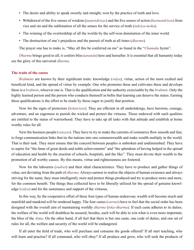- The desire and ability to speak sweetly and straight, won by the practice of truth and love.
- Withdrawal of the five senses of wisdom (*[jnanendriyas](#page-61-15)*) and the five senses of action (*[karmendriyas](#page-61-16)*) from vice and sin and the sublimation of all the senses for the service of truth (*[indriya-moha](#page-60-13)*).
- The winning of the overlordship of all the worlds by the self-won domination of the inner world.
- The destruction of one's prejudices and the pursuit of truth at all times (*[dharma](#page-58-0)*).

The prayer one has to make is, "May all this be conferred on me" as found in the "*[Chamaka](#page-58-14)* hymn".

*[Dharma](#page-58-0)* brings good to all; it confers bliss (*[ananda](#page-55-5)*) here and hereafter. It is essential that all humanity today see the glory of this universal *[dharma](#page-58-0)*.

### **The traits of the castes**

*[Brahmins](#page-57-12)* are known by their significant traits: knowledge (*vidya*), virtue, action of the most exalted and beneficial kind, and the spread of virtue by example. One who promotes these and cultivates these and develops these is a *[brahmin](#page-57-12)*, whoever one is. That is the qualification and the authority exercisable by the *[brahmin](#page-57-12)*. Only the highly learned person and the person who conducts themself as befits that learning can deserve the status. Earning these qualifications is the effort to be made by those eager to justify that position.

Now for the signs of protectors (*[kshatriyas](#page-61-17)*). They are efficient in all undertakings, have heroism, courage, adventure, and an eagerness to punish the wicked and protect the virtuous. Those endowed with such qualities are entitled to the status of warriorhood. They have to take up all tasks with that attitude and establish at home worthy rules for all.

Next the business people (*vaisyas*). They have to try to make the currents of commerce flow smooth and fast, to forge communication links that tie the nations into one commonwealth and make wealth multiply in the world. That is their task. They must ensure that the concord between peoples is unbroken and undiminished. They have to aspire for "the fame of great deeds and noble achievements" and "the splendour of having helped in the spread of education and health by the erection of schools, hospitals, and the like". They must devote their wealth to the promotion of all worthy causes. By this means, virtue and righteousness are fostered.

Now for the labourers (*sudras*) and their ideal characteristics: They have to produce and gather things of value, not deviating from the path of *[dharma](#page-58-0)*. Always earnest to realize the objects of human existence and always striving for the same, they must intelligently store and protect things produced and try to produce more and more, for the common benefit. The things thus collected have to be liberally utilized for the spread of genuine knowledge (*vidya*) and for the sustenance and support of the virtuous.

In this way, by the cooperative effort of these four types of human endeavour, wealth will become much and manifold and mankind will be rendered happy. The four [castes](#page-58-15) (*varnas*) have to feel that the social order has been designed with the overall aim of maintaining worldly *[dharma](#page-58-0)* (*[loka-dharma](#page-62-13)*). If each [caste](#page-58-15) adheres to its duties, the welfare of the world will doubtless be assured; besides, each will be able to win what is even more important, the bliss of the *[Atma](#page-56-0)*. On the other hand, if all feel that there is but one [caste,](#page-58-15) one code of duties, and one set of rules for all, the welfare and security of the world will be endangered.

If all enter the field of trade, who will purchase and consume the goods offered? If all start teaching, who will learn and practise? If all command, who will obey? If all produce and grow, who will seek the products of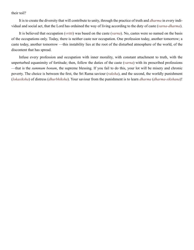their toil?

It is to create the diversity that will contribute to unity, through the practice of truth and *[dharma](#page-58-0)* in every individual and social act, that the Lord has ordained the way of living according to the duty of [caste](#page-58-15) (*varna-dharma*).

It is believed that occupation (*vritti*) was based on the [caste](#page-58-15) (*varna*). No, [castes](#page-58-15) were so named on the basis of the occupations only. Today, there is neither [caste](#page-58-15) nor occupation. One profession today, another tomorrow; a [caste](#page-58-15) today, another tomorrow —this instability lies at the root of the disturbed atmosphere of the world, of the discontent that has spread.

Infuse every profession and occupation with inner morality, with constant attachment to truth, with the unperturbed equanimity of fortitude; then, follow the duties of the [caste](#page-58-15) (*varna*) with its prescribed professions —that is the *summum bonum*, the supreme blessing. If you fail to do this, your lot will be misery and chronic poverty. The choice is between the first, the Sri Rama saviour (*[raksha](#page-65-11)*), and the second, the worldly punishment (*[lokasiksha](#page-62-14)*) of distress (*[dhurbhiksha](#page-59-11)*). Your saviour from the punishment is to learn *[dharma](#page-58-0)* (*[dharma-sikshana](#page-59-12)*)!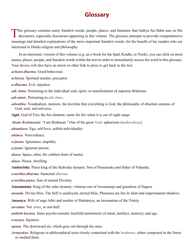# **Glossary**

This glossary contains many Sanskrit words, people, places, and literature that Sathya Sai Baba uses in His discourses, especially discourses appearing in this volume. The glossary attempts to provide comprehensive meanings and detailed explanations of the more important Sanskrit words, for the benefit of lay readers who are interested in Hindu religion and philosophy.

In an electronic version of this volume (e.g. an e-book for the Ipad, Kindle, or Nook), you can click on most names, places, people, and Sanskrit words within the text in order to immediately access the word in this glossary. Your device will also have an arrow or other link to press to get back to the text.

*achara-dharma*. Good behaviour.

<span id="page-55-1"></span>*acharya*. Spiritual teacher, preceptor.

*a-dharma*. Evil, injustice.

<span id="page-55-8"></span>*adi-Atma*. Pertaining to the individual soul, spirit, or manifestation of supreme [Brahman.](#page-57-0)

*adi-atmic*. Pertaining to *[adi-Atma](#page-55-8)*.

<span id="page-55-11"></span>*adwaitha*. Nondualism, monism, the doctrine that everything is God, the philosophy of absolute oneness of God, soul, and universe.

<span id="page-55-4"></span>**Agni**. God of Fire; the fire element; name for fire when it is out of sight range.

*Aham Brahmasmi*. "I am [Brahman.](#page-57-0)" One of the great *[Vedic](#page-70-1)* aphorisms (*[mahavakyas](#page-62-15)*).

*ahamkara*. Ego, self-love, selfish individuality.

*ahimsa*. Nonviolence.

<span id="page-55-7"></span>*a-jnana*. Ignorance, stupidity.

<span id="page-55-0"></span>*a-jnani*. Ignorant person.

*akasa*. Space, ether, the subtlest form of matter.

<span id="page-55-2"></span>*alaya*. House, dwelling.

<span id="page-55-6"></span>**Ambarisha**. Pious king of the Ikshvaku dynasty. Son of Prasusruka and father of Nahusha.

*a-mritha-dharma*. Immortal *dharma*.

*a-mritha-putra*. Son of eternal Divinity.

**Amsumanta**. King of the solar dynasty; virtuous son of [Aswamanja](#page-56-7) and grandson of [Sagara](#page-66-19).

<span id="page-55-5"></span>*ananda*. Divine bliss. The Self is unalloyed, eternal bliss. Pleasures are but its faint and impermanent shadows.

<span id="page-55-9"></span>**Anasuya**. Wife of sage [Athri](#page-56-8) and mother of [Dattatreya](#page-58-16); an incarnation of the Trinity.

*an-atma*. Not *[Atma](#page-56-0)*, or not-Self.

*anthah-karana*. Inner psycho-somatic fourfold instruments of mind, intellect, memory, and ego.

*a-nyaya*. Injustice.

<span id="page-55-10"></span>*apana*. The downward air, which goes out through the anus.

<span id="page-55-3"></span>*Aranyakas*. Religious or philosophical texts closely connected with the *[brahmins](#page-57-12)*, either composed in the forest or studied there.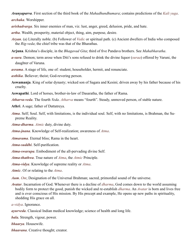<span id="page-56-2"></span>*Aranyaparva*. First section of the third book of the *Mahadhundhumara*; contains predictions of the *Kali yuga*. *archaka*. Worshipper.

*arishadvarga*. Six inner enemies of man, viz. lust, anger, greed, delusion, pride, and hate.

<span id="page-56-11"></span>*artha*. Wealth, prosperity, material object, thing, aim, purpose, desire.

<span id="page-56-3"></span>*Aryan*. (a) Literally noble. (b) Follower of *[Vedic](#page-70-1)* or spiritual path. (c) Ancient dwellers of India who composed the *[Rig-veda](#page-66-8)*; the chief tribe was that of the Bharathas.

<span id="page-56-9"></span>**Arjuna**. [Krishna](#page-61-3)'s disciple, in the *[Bhagavad Gita](#page-57-5)*; third of five [Pandava](#page-64-13) brothers. See *[Mahabharatha](#page-62-16)*.

- *a-sura*. Demon; term arose when Diti's sons refused to drink the divine liquor (*suraa*) offered by Varuni, the daughter of Varuna.
- *asrama*. A stage of life, one of: student, householder, hermit, and renunciate.

*asthika*. Believer; theist; God-revering person.

<span id="page-56-7"></span>**Aswamanja**. King of solar dynasty; wicked son of [Sagara](#page-66-19) and [Kesini](#page-61-18); driven away by his father because of his cruelty.

**Aswapathi**. Lord of horses, brother-in-law of [Dasaratha,](#page-58-17) the father of [Rama](#page-65-1).

<span id="page-56-12"></span>*Atharva-veda*. The fourth *[Veda](#page-70-7)*. *Atharva* means "fourth". Steady, unmoved person, of stable nature.

<span id="page-56-8"></span>**Athri**. A sage; father of [Dattatreya.](#page-58-16)

<span id="page-56-0"></span>*Atma*. Self; Soul. Self, with limitations, is the individual soul. Self, with no limitations, is [Brahman,](#page-57-0) the Supreme Reality.

*Atma-dharma*. *[Atmic](#page-56-4)* duty, divine duty.

<span id="page-56-1"></span>*Atma-jnana*. Knowledge of Self-realization; awareness of *[Atma](#page-56-0)*.

*Atmarama*. Eternal bliss; [Rama](#page-65-1) in the heart.

<span id="page-56-5"></span>*Atma-suddhi*. Self-purification.

*Atma-swarupa*. Embodiment of the all-pervading divine Self.

*Atma-thathwa*. True nature of *[Atma](#page-56-0)*, the *[Atmic](#page-56-4)* Principle.

*Atma-vidya*. Knowledge of supreme reality or *[Atma](#page-56-0)*.

<span id="page-56-4"></span>*Atmic*. Of or relating to the *[Atma](#page-56-0)*.

<span id="page-56-13"></span>*Aum*. *[Om](#page-64-11)*; Designation of the Universal [Brahman;](#page-57-0) sacred, primordial sound of the universe.

<span id="page-56-10"></span>*Avatar*. Incarnation of God. Whenever there is a decline of *[dharma](#page-58-0)*, God comes down to the world assuming bodily form to protect the good, punish the wicked and re-establish *[dharma](#page-58-0)*. An *Avatar* is born and lives free and is ever conscious of His mission. By His precept and example, He opens up new paths in spirituality, shedding His grace on all.

*a-vidya*. Ignorance.

*ayurveda*. Classical Indian medical knowledge; science of health and long life.

<span id="page-56-6"></span>*bala.* Strength, vigour, power.

*bhaarya*. Housewife.

*bhaavana*. Creative thought; creator.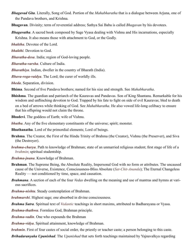- <span id="page-57-5"></span>*Bhagavad Gita*. Literally, Song of God. Portion of the *[Mahabharatha](#page-62-16)* that is a dialogue between [Arjuna](#page-56-9), one of the [Pandava](#page-64-13) brothers, and [Krishna.](#page-61-3)
- <span id="page-57-11"></span>**Bhagavan**. Divinity; term of reverential address; Sathya Sai Baba is called *Bhagavan* by his devotees.
- *Bhagavatha*. A sacred book composed by Sage [Vyasa](#page-71-7) dealing with [Vishnu](#page-71-0) and His incarnations, especially [Krishna.](#page-61-3) It also means those with attachment to God, or the Godly.
- *bhaktha*. Devotee of the Lord.
- <span id="page-57-7"></span>*bhakthi*. Devotion to God.
- *Bharatha-desa*. India; region of God-loving people.
- <span id="page-57-13"></span>*Bharatha-varsha*. Culture of India.
- *Bharathiya*. Indian, dweller in the country of Bharath (India).
- *Bhava-roga-vaidya*. The Lord; the curer of worldly ills.
- *bheda*. Separation, division.
- <span id="page-57-14"></span>**Bhima**. Second of five [Pandava](#page-64-13) brothers; named for his size and strength. See *[Mahabharatha](#page-62-16)*.
- **Bhishma**. The guardian and patriarch of the [Kauravas](#page-61-19) and [Pandavas](#page-64-13). Son of King [Shantanu.](#page-68-7) Remarkable for his wisdom and unflinching devotion to God. Trapped by his fate to fight on side of evil [Kauravas](#page-61-19); bled to death on a bed of arrows while thinking of God. See *[Mahabharatha](#page-62-16)*. He also vowed life-long celibacy to ensure that his offspring would not claim the throne.
- <span id="page-57-4"></span>**Bhudevi**. The goddess of Earth; wife of [Vishnu](#page-71-0).
- <span id="page-57-8"></span>*bhutha*. Any of the five elementary constituents of the universe; spirit; monster.
- <span id="page-57-9"></span>**Bhuthanatha**. Lord of the primordial elements; Lord of beings.
- <span id="page-57-2"></span>**Brahma**. The Creator, the First of the Hindu Trinity of Brahma (the Creator), [Vishnu](#page-71-0) (the Preserver), and [Siva](#page-68-4)  (the Destroyer).
- *brahma-charya*. Path to knowledge of [Brahman;](#page-57-0) state of an unmarried religious student; first stage of life of a *[brahmin](#page-57-12)*; spiritual studentship.
- <span id="page-57-3"></span>*Brahma-jnana*. Knowledge of [Brahman.](#page-57-0)
- <span id="page-57-0"></span>**Brahman**. The Supreme Being, the Absolute Reality, Impersonal God with no form or attributes. The uncaused cause of the Universe, Existence, Consciousness-Bliss Absolute (*Sat-Chit-Ananda*); The Eternal Changeless Reality — not conditioned by time, space, and causation.
- <span id="page-57-10"></span>*Brahmana*. A section of each of the four *[Vedas](#page-70-0)* dwelling on the meaning and use of mantras and hymns at various sacrifices.
- *Brahma-nishta*. Steady contemplation of [Brahman.](#page-57-0)
- *brahmarshi*. Highest sage; one absorbed in divine consciousness.
- <span id="page-57-15"></span>*Brahma Sutra*. Spiritual text of *Vedantic* teachings in short maxims, attributed to Badharayana or [Vyasa.](#page-71-7)
- *Brahma-thathwa*. Formless God, [Brahman](#page-57-0) principle.
- *Brahma-vadin*. One who expounds the Brahman
- <span id="page-57-1"></span>*Brahma-vidya*. Spiritual attainment, knowledge of [Brahman](#page-57-0).
- <span id="page-57-12"></span>*brahmin*. First of four [castes](#page-58-15) of social order, the priestly or teacher [caste](#page-58-15); a person belonging to this [caste.](#page-58-15)
- <span id="page-57-6"></span>*Brihadaranyaka Upanishad*. The *[Upanishad](#page-69-3)* that sets forth teachings maintained by [Yajnavalkya](#page-71-2) regarding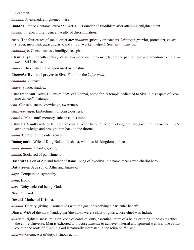[Brahman.](#page-57-0)

<span id="page-58-5"></span>*buddha*. Awakened, enlightened, wise.

<span id="page-58-4"></span>**Buddha**. Prince Gautama, circa 556–480 BC. Founder of Buddhism after attaining enlightenment.

<span id="page-58-19"></span>*buddhi*. Intellect, intelligence, faculty of discrimination.

<span id="page-58-15"></span>**caste**. The four castes of social order are: *[brahmin](#page-57-12)* (priestly or teacher), *[kshatriya](#page-61-17)* (warrior, protector), *vaisya* (trader, merchant, agriculturist), and *sudra* (worker, helper). See *[varna dharma](#page-58-15)*.

*chaithanya*. Consciousness, intelligence, spirit.

<span id="page-58-8"></span>**Chaithanya**. Fifteenth century [Vaishnava](#page-70-8) mendicant reformer; taught the path of love and devotion to the *Avatar* of Sri [Krishna](#page-61-3).

<span id="page-58-9"></span>*chakra*. Disk; wheel; a weapon used by [Krishna](#page-61-3).

<span id="page-58-14"></span>*Chamaka* **Hymn of prayer to Siva**. Found in the *[Yajur-veda](#page-71-8)*.

*chandala*. Outcast.

*chaya*. Shade, shadow.

<span id="page-58-21"></span>**Chidambaram**. Town 122 miles SSW of Chennai, noted for its temple dedicated to [Siva](#page-68-4) in his aspect of "cosmic dancer", Nataraja.

*chit*. Consciousness, knowledge, awareness.

<span id="page-58-10"></span>*chith-swarupa*. Embodiment of consciousness.

<span id="page-58-12"></span>*chittha*. Mind stuff, memory, subconscious mind.

<span id="page-58-3"></span>**Chudala**. Saintly wife of King Shikhidwaja. When he renounced his kingdom, she gave him instruction in *[At](#page-56-4)[mic](#page-56-4)* knowledge and brought him back to the throne.

<span id="page-58-1"></span>*dama*. Control of the outer senses.

<span id="page-58-20"></span>**Damayanthi**. Wife of King Nala of Nishada, who lost his kingdom at dice.

<span id="page-58-7"></span>*dana*, *danam*. Charity, giving.

*danda*. Stick, rod of punishment.

<span id="page-58-17"></span>**Dasaratha**. Son of Aja and father of [Rama;](#page-65-1) King of Ayodhya; the name means "ten chariot hero".

<span id="page-58-16"></span>**Dattatreya**. Sage son of [Athri](#page-56-8) and [Anasuya](#page-55-9).

<span id="page-58-6"></span>*daya*. Compassion, sympathy.

*deha*. Body.

<span id="page-58-11"></span>*deva*. Deity, celestial being, God.

<span id="page-58-13"></span>*Devatha*. God.

<span id="page-58-18"></span>**Devaki**. Mother of [Krishna](#page-61-3).

*dhaana*. Charity, giving —sometimes with the goal of receiving a particular benefit.

<span id="page-58-2"></span>**Dhara**. Wife of the *vasu* Nandagopa (the *vasus* were a class of gods whose chief was [Indra\)](#page-60-7).

<span id="page-58-0"></span>*dharma*. Righteousness, religion, code of conduct, duty, essential nature of a being or thing. It holds together the entire Universe. Man is exhorted to practise *dharma* to achieve material and spiritual welfare. The *[Vedas](#page-70-0)* contain the roots of *dharma*. God is naturally interested in the reign of *dharma*.

*dharma-karma*. Act of duty, virtuous action.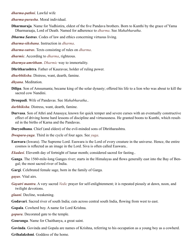### *dharma-pathni*. Lawful wife

*dharma-purusha*. Moral individual.

- <span id="page-59-3"></span>**Dharmaraja**. Name for [Yudhistira,](#page-71-9) eldest of the five [Pandava](#page-64-13) brothers. Born to [Kunthi](#page-61-20) by the grace of [Yama](#page-71-5)  [Dharmaraaja,](#page-71-5) Lord of Death. Named for adherence to *[dharma](#page-58-0)*. See *[Mahabharatha](#page-62-16)*.
- <span id="page-59-1"></span>*Dharma Sastras*. Codes of law and ethics concerning virtuous living.
- <span id="page-59-12"></span>*dharma-sikshana*. Instruction in *[dharma](#page-58-0)*.
- *dharma-sutras*. Texts consisting of rules on *[dharma](#page-58-0)*.
- <span id="page-59-10"></span>*dharmic*. According to *[dharma](#page-59-10)*, righteous.
- *dharmya-amritham*. *[Dharmic](#page-59-10)* way to immortality.
- <span id="page-59-13"></span>**Dhritharashtra**. Father of [Kauravas;](#page-61-19) holder of ruling power.
- <span id="page-59-11"></span>*dhurbhiksha*. Distress, want, dearth, famine.
- <span id="page-59-9"></span>*dhyana*. Meditation.
- **Dilipa**. Son of Amsumanta; became king of the solar dynasty; offered his life to a lion who was about to kill the sacred cow Nandini.
- <span id="page-59-14"></span>**Droupadi**. Wife of [Pandavas.](#page-64-13) See *[Mahabharatha](#page-62-16)*..
- *durbhiksha*. Distress, want, dearth, famine.
- <span id="page-59-7"></span>**Durvasa**. Son of [Athri](#page-56-8) and [Anasuya](#page-55-9); known for quick temper and severe curses with an eventually constructive effect of driving home hard lessons of discipline and virtuousness. He granted boons to [Kunthi,](#page-61-20) which resulted in the births of [Karna](#page-61-21) and the [Pandavas](#page-64-13).
- <span id="page-59-4"></span>**Duryodhana**. Chief (and eldest) of the evil-minded sons of [Dhritharashtra.](#page-59-13)
- <span id="page-59-2"></span>*Dwapara-yuga*. Third in the cycle of four ages. See *yuga*.
- **Easwara** (Iswara). The Supreme Lord. Easwara is the Lord of every creature in the universe. Hence, the entire cosmos is reflected as an image in the Lord. [Siva](#page-68-4) is often called Easwara..
- *Ekadasi*. Eleventh day of fortnight of lunar month; considered sacred for fasting..
- <span id="page-59-15"></span>**Ganga**. The 1560-mile-long Ganges river; starts in the Himalayas and flows generally east into the Bay of Bengal; the most sacred river of India.
- <span id="page-59-0"></span>**Gargi**. Celebrated female sage, born in the family of Garga.
- *gayas*. Vital airs.
- <span id="page-59-16"></span>*Gayatri mantra*. A very sacred *[Vedic](#page-70-1)* prayer for self-enlightenment; it is repeated piously at dawn, noon, and twilight devotions.
- *glaani*. Decline, weakening.
- **Godavari**. Sacred river of south India; cuts across central south India, flowing from west to east.
- <span id="page-59-6"></span>**Gopala**. Cowherd boy. A name for Lord [Krishna](#page-61-3).
- <span id="page-59-8"></span>*gopura*. Decorated gate to the temple.
- <span id="page-59-5"></span>**Gouranga**. Name for [Chaithanya](#page-58-8), a great saint.

**Govinda**. Govinda and [Gopala](#page-59-6) are names of Krishna, referring to his occupation as a young boy as a cowherd. **Grihalakshmi**. Goddess of the home.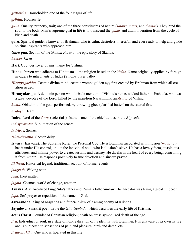*grihastha*. Householder, one of the four stages of life.

*grihini*. Housewife.

- <span id="page-60-14"></span>*guna*. Quality, property, trait; one of the three constituents of nature (*[sathwa](#page-67-10)*, *[rajas](#page-65-12)*, and *thamas*). They bind the soul to the body. Man's supreme goal in life is to transcend the *gunas* and attain liberation from the cycle of birth and death.
- **guru**. Spiritual guide; a knower of [Brahman](#page-57-0), who is calm, desireless, merciful, and ever ready to help and guide spiritual aspirants who approach him.

<span id="page-60-0"></span>*Guru-gita*. Section of the *[Skanda Purana](#page-68-8)*, the epic story of [Skanda](#page-68-9).

<span id="page-60-11"></span>*hamsa*. Swan.

<span id="page-60-12"></span>**Hari**. God; destroyer of sins; name for [Vishnu](#page-71-0).

- **Hindu**. Person who adheres to Hinduism —the religion based on the *[Vedas](#page-70-0)*. Name originally applied by foreign invaders to inhabitants of Indus (Sindhu) river valley.
- <span id="page-60-8"></span>*Hiranyagarbha*. Cosmic divine mind; cosmic womb; golden egg first created by [Brahman](#page-57-0) from which all creation issued.
- <span id="page-60-3"></span>**Hiranyakasipu**. A demonic person who forbade mention of [Vishnu'](#page-71-0)s name, wicked father of [Prahlada](#page-65-2), who was a great devotee of the Lord; killed by the man-lion [Narashimha](#page-64-14), an *[Avatar](#page-56-10)* of [Vishnu](#page-71-0).

<span id="page-60-9"></span>*homa*. Oblation to the gods performed, by throwing ghee (clarified butter) on the sacred fire.

*hridaya*. Heart.

<span id="page-60-7"></span>**Indra**. Lord of the *[devas](#page-58-11)* (celestials). Indra is one of the chief deities in the *[Rig veda](#page-70-0)*.

<span id="page-60-13"></span>*indriya-moha*. Sublimation of the senses.

*indriyas*. Senses.

<span id="page-60-6"></span>*Ishta-devatha*. Chosen deity.

<span id="page-60-1"></span>**Iswara** (Easwara). The Supreme Ruler, the Personal God. He is [Brahman](#page-57-0) associated with illusion (*[maya](#page-63-2)*) but has it under His control, unlike the individual soul, who is illusion's slave. He has a lovely form, auspicious attributes, and infinite power to create, sustain, and destroy. He dwells in the heart of every being, controlling it from within. He responds positively to true devotion and sincere prayer.

<span id="page-60-15"></span>*ithihasa*. Historical legend, traditional account of former events.

*jaagrath*. Waking state.

*jada*. Inert matter.

<span id="page-60-10"></span>*jagath*. Cosmos, world of change, creation.

<span id="page-60-16"></span>**Janaka**. A self-realized king; [Sita](#page-68-3)'s father and [Rama'](#page-65-1)s father-in-law. His ancestor was Nimi, a great emperor.

*japa*. Soft prayer or repetition of the name of God.

<span id="page-60-4"></span>**Jarasandha**. King of Magadha and father-in-law of [Kamsa;](#page-61-7) enemy of [Krishna](#page-61-3).

<span id="page-60-5"></span>**Jayadeva**. Sanskrit poet; wrote the *Gita Govinda*, which describes the early life of [Krishna.](#page-61-3)

<span id="page-60-2"></span>**Jesus Christ**. Founder of Christian religion; death on cross symbolized death of the ego.

*jiva*. Individual or soul, in a state of non-realisation of its identity with [Brahman](#page-57-0). It is unaware of its own nature and is subjected to sensations of pain and pleasure, birth and death, etc.

*jivan-muktha*. One who is liberated in this life.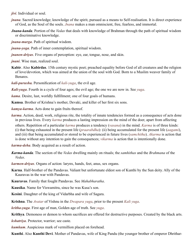<span id="page-61-6"></span>*jivi*. Individual or soul.

- <span id="page-61-0"></span>*jnana*. Sacred knowledge; knowledge of the spirit, pursued as a means to Self-realisation. It is direct experience of God, as the Soul of the souls. *Jnana* makes a man omniscient, free, fearless, and immortal.
- <span id="page-61-2"></span>*Jnana-kanda*. Portion of the *[Vedas](#page-70-0)* that deals with knowledge of [Brahman](#page-57-0) through the path of spiritual wisdom or discriminative knowledge.
- <span id="page-61-12"></span>*jnana-marga*. Path of spiritual wisdom.
- <span id="page-61-10"></span>*jnana-yoga*. Path of inner contemplation, spiritual wisdom.
- <span id="page-61-15"></span>*jnanen-driyas*. Five organs of perception: eye, ear, tongue, nose, and skin.
- *jnani*. Wise man, realized soul.
- <span id="page-61-14"></span>**Kabir**. Also **Kabirdas**. 15th century mystic poet; preached equality before God of all creatures and the religion of love/devotion, which was aimed at the union of the soul with God. Born to a Muslim weaver family of Benares.
- <span id="page-61-13"></span>*kali-purusha.* Personification of *[kali-yuga](#page-61-5)*, the evil age.
- <span id="page-61-5"></span>*Kali-yuga*. Fourth in a cycle of four ages; the evil age; the one we are now in. See *yuga*.
- <span id="page-61-22"></span>*kama*. Desire, lust, worldly fulfillment; one of four goals of humans.
- <span id="page-61-7"></span>**Kamsa**. Brother of [Krishna'](#page-61-3)s mother, [Devaki,](#page-58-18) and killer of her first six sons.
- *kamya-karma*. Acts done to gain fruits thereof.
- <span id="page-61-9"></span>*karma*. Action, deed, work, religious rite, the totality of innate tendencies formed as a consequence of acts done in previous lives. Every *karma* produces a lasting impression on the mind of the doer, apart from affecting
	- others. Repetition of a particular *karma* produces a tendency (*vasana*) in the mind. *Karma* is of three kinds: (i) that being exhausted in the present life (*praarabdha*): (ii) being accumulated for the present life (*aagami*), and (iii) that being accumulated or stored to be experienced in future lives (*samchitha*). *Akarma* is action that is done without any intention to gain the consequences; *vikarma* is action that is intentionally done.
- *karma-deha*. Body acquired as a result of action.
- <span id="page-61-1"></span>*Karma-kanda*. The section of the *[Vedas](#page-70-0)* dwelling mainly on rituals; the *[samhithas](#page-67-6)* and the *[Brahmana](#page-57-10)* of the *[Vedas](#page-70-0)*.
- <span id="page-61-16"></span>*karmen-driyas*. Organs of action: larynx, hands, feet, anus, sex organs.
- <span id="page-61-21"></span>**Karna**. Half-brother of the Pandavas. Valiant but unfortunate eldest son of Kunthi by the Sun deity. Ally of the Kauravas in the war with Pandavas.
- <span id="page-61-19"></span>**Kauravas**. Family that fought [Pandavas.](#page-64-13) See *[Mahabharatha](#page-62-16)*.
- <span id="page-61-23"></span>**Kausika**. Name for [Viswamitra](#page-71-10), since he was Kusa's son.
- <span id="page-61-18"></span>**Kesini**. Daughter of the king of [Vidarbha](#page-70-9) and wife of [Sagara](#page-66-19).
- <span id="page-61-3"></span>**Krishna**. The *[Avatar](#page-56-10)* of [Vishnu](#page-71-0) in the *Dwapara yuga*, prior to the present *Kali yuga*.
- <span id="page-61-4"></span>*kritha-yuga*. First age of man, Golden age of truth. See *yuga*.
- <span id="page-61-11"></span>**Krithya**. Demoness or demon to whom sacrifices are offered for destructive purposes. Created by the black arts.
- <span id="page-61-17"></span>*kshatriya*. Protector, warrior; see c[aste](#page-58-15).
- <span id="page-61-8"></span>*kumkum*. Auspicious mark of vermillion placed on forehead.
- <span id="page-61-20"></span>**Kunthi**. Also **Kunthi Devi**. Mother of [Pandavas](#page-64-13), wife of King Pandu (the younger brother of emperor Dhrithar-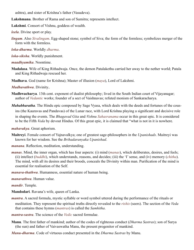ashtra), and sister of [Krishna](#page-61-3)'s father [\(Vasudeva](#page-70-10)).

**Lakshmana**. Brother of [Rama](#page-65-1) and son of [Sumitra](#page-68-10); represents intellect.

<span id="page-62-4"></span>**Lakshmi**. Consort of [Vishnu](#page-71-0), goddess of wealth.

*leela*. Divine sport or play.

*lingam*. Also *Sivalingam*. Egg-shaped stone; symbol of [Siva;](#page-68-4) the form of the formless; symbolizes merger of the form with the formless.

<span id="page-62-13"></span>*loka-dharma*. Worldly *[dharma](#page-58-0)*.

<span id="page-62-14"></span>*loka-siksha*. Worldly punishment.

*maadhyamika*. Noontime.

<span id="page-62-2"></span>**Madalasa**. Wife of King Rithadwaja. Once, the demon Patalakethu carried her away to the nether world; Patala and King Rithadwaja rescued her.

<span id="page-62-9"></span>**Madhava**. God (name for [Krishna](#page-61-3)); Master of illusion (*[maya](#page-63-2)*), Lord of [Lakshmi](#page-62-4).

<span id="page-62-7"></span>*Madhavathwa*. Divinity..

- <span id="page-62-5"></span>**Madhwacharya**. 13th cent. exponent of dualist philosophy; lived in the South Indian court of Vijayanagar; author of *[Vedantic](#page-70-3)* works; founder of a sect of [Vaishnavas;](#page-70-8) refuted monism of [Sankaracharya](#page-67-1).
- <span id="page-62-16"></span>*Mahabharatha*. The Hindu epic composed by Sage [Vyasa,](#page-71-7) which deals with the deeds and fortunes of the cousins (the [Kauravas](#page-61-19) and [Pandavas\)](#page-64-13) of the Lunar race, with Lord [Krishna](#page-61-3) playing a significant and decisive role in shaping the events. The *[Bhagavad Gita](#page-57-5)* and *Vishnu [Sahasranama](#page-66-20)* occur in this great epic. It is considered to be the Fifth *[Veda](#page-70-0)* by devout Hindus. Of this great epic, it is claimed that "what is not in it is nowhere.

<span id="page-62-15"></span>*mahavakya*. Great aphorism.

<span id="page-62-1"></span>**Maitreyi**. Female consort of [Yajnavalkya](#page-71-2); one of greatest sage-philosophers in the *[Upanishads](#page-69-3)*. Maitreyi was known for her wisdom. See the *[Brihadaranyaka Upanishad](#page-57-6)*.

<span id="page-62-11"></span>*manana*. Reflection, meditation, understanding.

<span id="page-62-12"></span>*manas*. Mind, the inner organ, which has four aspects: (i) mind (*manas*), which deliberates, desires, and feels; (ii) intellect (*[buddhi](#page-58-19)*), which understands, reasons, and decides; (iii) the 'I' sense, and (iv) memory (*[chitha](#page-58-12)*). The mind, with all its desires and their broods, conceals the Divinity within man. Purification of the mind is essential for realisation of the Self.

*manava-thathwa*. Humanness, essential nature of human being.

<span id="page-62-8"></span>*manavathwa*. Human value.

<span id="page-62-6"></span>*mandir*. Temple.

**Mandodari**. [Ravana'](#page-66-21)s wife, queen of Lanka.

<span id="page-62-10"></span>*mantra*. A sacred formula, mystic syllable or word symbol uttered during the performance of the rituals or meditation. They represent the spiritual truths directly revealed to the *[rishis](#page-66-10)* (seers). The section of the *[Veda](#page-70-0)* that contains these hymns (*mantras*) is called the *[Samhitha](#page-67-6)*.

<span id="page-62-0"></span>*mantra-sastra*. The science of the *[Vedic](#page-70-1)* sacred formulae.

<span id="page-62-3"></span>**Manu**. The first father of mankind; author of the codes of righteous conduct (*[Dharma Sastras](#page-59-1)*); son of [Surya](#page-68-5)  (the sun) and father of Vaivaswatha Manu, the present progenitor of mankind.

*Manu-dharma*. Code of virtuous conduct presented in the *[Dharma Sastras](#page-59-1)* by [Manu.](#page-62-3)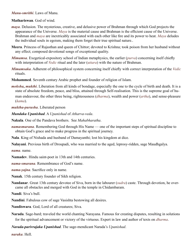## <span id="page-63-0"></span>*Manu-smrithi*. Laws of [Manu](#page-62-3).

## <span id="page-63-6"></span>**Mathariswan**. God of wind.

- <span id="page-63-2"></span>*maya*. Delusion. The mysterious, creative, and delusive power of [Brahman](#page-57-0) through which God projects the appearance of the Universe. *Maya* is the material cause and [Brahman](#page-57-0) is the efficient cause of the Universe. [Brahman](#page-57-0) and *maya* are inextricably associated with each other like fire and its power to heat. *Maya* deludes the individual souls in egoism, making them forget their true spiritual nature..
- <span id="page-63-4"></span>**Meera**. Princess of Rajasthan and queen of Chittor; devoted to [Krishna](#page-61-3); took poison from her husband without any effect; composed devotional songs of exceptional quality.
- <span id="page-63-15"></span>*Mimamsa*. Exegetical-expository school of Indian metaphysics, the earlier (*purva*) concerning itself chiefly with interpretation of *Vedic* ritual and the later (*[uttara](#page-69-7)*) with the nature of [Brahman.](#page-57-0)
- *Mimamsaka*. Adherent of philosophical system concerning itself chiefly with correct interpretation of the *[Vedic](#page-70-1)* rituals.
- <span id="page-63-1"></span>**Mohammed**. Seventh century Arabic prophet and founder of religion of Islam.
- <span id="page-63-8"></span>*moksha*, *mukthi*. Liberation from all kinds of bondage, especially the one to the cycle of birth and death. It is a state of absolute freedom, peace, and bliss, attained through Self-realisation. This is the supreme goal of human endeavour, the other three being, righteousness (*[dharma](#page-58-0)*), wealth and power (*[artha](#page-56-11)*), and sense-pleasure (*[kama](#page-61-22)*).
- *muktha-purusha*. Liberated person
- <span id="page-63-3"></span>*Mundaka Upanishad*. A *[Upanishad](#page-69-3)* of *[Atharva-veda](#page-56-12)*.
- **Nakula**. One of the [Pandava](#page-64-13) brothers. See *[Mahabharatha](#page-62-16)*.
- <span id="page-63-9"></span>*namasmarana*. Remembering God through His Name — one of the important steps of spiritual discipline to obtain God's grace and to make progress in the spiritual journey.
- **Nala**. King of Nishada and husband of [Damayanthi](#page-58-20); lost his kingdom at dice.
- **Nalayani**. Previous birth of [Droupadi](#page-59-14), who was married to the aged, leprosy-ridden, sage Maudhgalya.

<span id="page-63-7"></span>*nama*. name.

- <span id="page-63-12"></span>**Namadev**. Hindu saint-poet in 13th and 14th centuries.
- *nama-smarana*. Remembrance of God's name.
- <span id="page-63-10"></span>*nama-yajna*. Sacrifice only in name.
- <span id="page-63-11"></span>**Nanak**. 15th century founder of Sikh religion.
- <span id="page-63-5"></span>**Nandanar**. Great 13th century devotee of [Siva,](#page-68-4) born in the labourer (*sudra*) caste. Through devotion, he overcame all obstacles and merged with God in the temple in [Chidambaram](#page-58-21).

**Nandi**. [Siva's](#page-68-4) bull.

- **Nandini**. Fabulous cow of sage [Vasishta](#page-70-11) bestowing all desires.
- **Nandiswara**. God, Lord of all creatures; Siva.
- <span id="page-63-13"></span>**Narada**. Sage-bard; traveled the world chanting [Narayana](#page-64-3). Famous for creating disputes, resulting in solutions for the spiritual advancement or victory of the virtuous. Expert in law and author of texts on *[dharma](#page-58-0)*.

<span id="page-63-14"></span>*Narada-parivrajaka Upanishad*. The sage-mendicant [Narada](#page-63-13)'s *[Upanishad](#page-69-3)*.

*naraka*. Hell.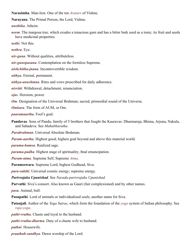<span id="page-64-14"></span>**Narasimha**. Man-lion. One of the ten *[Avatars](#page-56-10)* of [Vishnu](#page-71-0).

<span id="page-64-3"></span>**Narayana**. The Primal Person, the Lord, [Vishnu](#page-71-0).

*nasthika*. Atheist.

<span id="page-64-6"></span>*neem*. The margosa tree, which exudes a tenacious gum and has a bitter bark used as a tonic; its fruit and seeds have medicinal properties.

<span id="page-64-7"></span>*nethi*. Not this.

*nethra*. Eye.

<span id="page-64-8"></span>*nir-guna*. Without qualities, attributeless.

<span id="page-64-9"></span>*nir-gunopasana*. Contemplation on the formless Supreme.

*nishchitha-jnana*. Incontrovertible wisdom.

<span id="page-64-2"></span>*nithya*. Eternal, permanent.

*nithya-anushtana*. Rites and vows prescribed for daily adherence.

*nivritti*. Withdrawal, detachment, renunciation.

<span id="page-64-12"></span>*ojas*. Heroism, power.

<span id="page-64-11"></span>*Om*. Designation of the Universal [Brahman](#page-57-0); sacred, primordial sound of the Universe.

*Omkara*. The form of [AUM,](#page-56-13) or [Om.](#page-64-11)

*paaramaartha*. Fool's goal.

- <span id="page-64-13"></span>**Pandavas**. Sons of Pandu; family of 5 brothers that fought the [Kauravas:](#page-61-19) [Dharmaraja,](#page-71-9) [Bhima,](#page-57-14) [Arjuna,](#page-56-9) Nakula, and Sahadeva. See *[Mahabharatha](#page-62-16)*.
- <span id="page-64-5"></span>*Parabrahman*. Universal Absolute Brahman.

<span id="page-64-10"></span>*Param-aartha*. Highest good; highest goal beyond and above this material world.

*parama-hamsa*. Realized sage.

*parama-padha*. Highest stage of spirituality; final emancipation.

<span id="page-64-4"></span>*Param-atma*. Supreme Self, Supreme *[Atma](#page-56-0)*.

<span id="page-64-0"></span>**Parameswara**. Supreme Lord, highest Godhead, [Siva.](#page-68-4)

*para-sakthi*. Universal cosmic energy; supreme energy.

*Parivrajaka Upanishad*. See *[Narada-parivrajaka Upanishad](#page-63-14)*.

<span id="page-64-1"></span>**Parvathi**. [Siva'](#page-68-4)s consort. Also known as Gauri (fair complexioned) and by other names.

*pasu*. Animal, bull.

**Pasupathi**. Lord of animals or individualized souls; another name for [Siva.](#page-68-4)

<span id="page-64-15"></span>**Patanjali**. Author of the *[Yoga Sutras](#page-71-11)*, which form the foundation of the *yoga* system of Indian philosophy. See *[raja-yoga](#page-65-13)*.

*pathi-vratha*. Chaste and loyal to the husband.

*pathi-vratha-dharma*. Duty of a chaste wife to husband.

*pathni*. Housewife.

*praathah-sandhya*. Dawn worship of the Lord.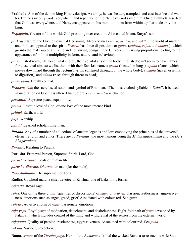- <span id="page-65-2"></span>**Prahlada**. Son of the demon king [Hiranyakasipu.](#page-60-3) As a boy, he was beaten, trampled, and cast into fire and water. But he saw only God everywhere, and repetition of the Name of God saved him. Once, [Prahlada](#page-65-2) asserted that God was everywhere, and [Narayana](#page-64-3) appeared in his [man-lion form](#page-64-14) from within a pillar to destroy the king.
- <span id="page-65-6"></span>*Prajapathi*. Creator of this world; God presiding over creation. Also called [Manu](#page-62-3), [Surya](#page-68-5)'s son.
- <span id="page-65-15"></span>*prakriti*. Nature, the Divine Power of Becoming. Also known as *[maya](#page-63-2)*, *avidya*, and *[sakthi](#page-66-22)*; the world of matter and mind as opposed to the spirit. *Prakriti* has three dispositions or *[gunas](#page-60-14)* (*[sathwa](#page-67-10)*, *[rajas](#page-65-12)*, and *thamas*), which go into the make-up of all living and non-living beings in the Universe, in varying proportions leading to the appearance of infinite multiplicity in form, nature, and behaviour.
- <span id="page-65-14"></span>*prana*. Life-breath, life force, vital energy, the five vital airs of the body. English doesn't seem to have names for these vital airs, so we list them with their Sanskrit names: *[prana](#page-65-14)* (located in lungs), *[apana](#page-55-10)* (flatus, which moves downward through the rectum), *vyana* (diffused throughout the whole body), *[samana](#page-67-11)* (navel; essential to digestion), and *udana* (rises through throat to head).

*pranayama*. Breath control.

- *Pranava*. *[Om](#page-64-11)*; the sacred seed-sound and symbol of [Brahman.](#page-57-0) "The most exalted syllable in *[Vedas](#page-70-0)*". It is used in meditation on God. It is uttered first before a *[Vedic](#page-70-1) mantra* is chanted.
- <span id="page-65-10"></span>*prasanthi*. Supreme peace, equanimity.
- *prema*. Ecstatic love of God; divine love of the most intense kind.

*prithvi*. Earth, world.

<span id="page-65-8"></span>*puja*. Worship.

- <span id="page-65-4"></span>*pundit*. Learned scholar, wise man.
- <span id="page-65-0"></span>*Purana*. Any of a number of collections of ancient legends and lore embodying the principles of the universal, eternal religion and ethics. There are 18 *Puranas*, the most famous being the *Mahabhagavatham* and the *Devi Bhagavatham*.
- <span id="page-65-5"></span>*Puranic*. Relating to [Purana](#page-65-0).
- <span id="page-65-7"></span>**Purusha**. Primeval Person, Supreme Spirit, Lord, God.

<span id="page-65-9"></span>*purusha-arthas*. Goals of human life.

*purusha-dharma*. *[Dharma](#page-58-0)* for man (for the male).

*Purushothama*. The supreme Lord of all.

<span id="page-65-3"></span>**Radha**. Cowherd maid, a chief devotee of [Krishna;](#page-61-3) one of [Lakshmi](#page-62-4)'s forms.

*rajarshi*. Royal sage.

<span id="page-65-12"></span>*rajas*. One of the three *[gunas](#page-60-14)* (qualities or dispositions) of *[maya](#page-63-2)* or *[prakriti](#page-65-15)*. Passion, restlessness, aggressiveness, emotions such as anger, greed, grief. Associated with colour red. See *[guna](#page-60-14)*.

*rajasic*. Adjective form of *[rajas](#page-65-12)*, passionate, emotional.

<span id="page-65-13"></span>*raja-yoga*. Royal *yoga* of meditation, detachment, and desirelessness. Eight-fold path of *yoga* developed by [Patanjali](#page-64-15), which includes control of the mind and withdrawal of the senses from the external world.

*rajoguna*. Quality of passion, restlessness, aggressiveness. Associated with colour red. See *[guna](#page-60-14).*

<span id="page-65-11"></span>*raksha*. Saviour, protection.

<span id="page-65-1"></span>**Rama**. *[Avatar](#page-56-10)* of the *Thretha yuga*. Hero of the *[Ramayana](#page-66-23)*; killed the wicked [Ravana](#page-66-21) to rescue his wife [Sita](#page-68-3),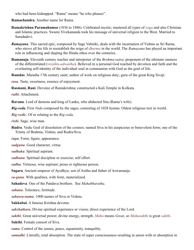who had been kidnapped. "Rama" means "he who pleases".

<span id="page-66-16"></span>**Ramachandra**. Another name for [Rama.](#page-65-1)

- <span id="page-66-6"></span>**Ramakrishna Paramahamsa** (1836 to 1886). Celebrated mystic; mastered all types of *yoga* and also Christian and Islamic practices. Swami [Vivekananda](#page-71-12) took his message of universal religion to the West. Married to Saradadevi.
- <span id="page-66-23"></span>*Ramayana*. This sacred epic, composed by Sage [Valmiki,](#page-70-12) deals with the incarnation of [Vishnu](#page-71-0) as Sri [Rama](#page-65-1), who strove all his life to reestablish the reign of *[dharma](#page-58-0)* in the world. The *Ramayana* has played an important role in influencing and shaping the Hindu ethos over the centuries.
- <span id="page-66-1"></span>**Ramanuja**. Eleventh century teacher and interpreter of the *[Brahma-sutra](#page-57-15)*; proponent of the ultimate oneness of the differentiated (*visishta-adwaitha*). Believed in a personal God reached by devotion and faith and the everlasting self-identity of the individual soul in communion with God as the goal of life.
- <span id="page-66-2"></span>**Ramdas**. Maratha 17th century saint; author of work on religious duty; guru of the great King Sivaji.

<span id="page-66-12"></span>*rasa*. Taste, sweetness, essence of enjoyment.

<span id="page-66-5"></span>**Rasmani, Rani**. Devotee of [Ramakrishna](#page-66-6); constructed a Kali Temple in Kolkata.

<span id="page-66-17"></span>*rathi*. Attachment.

<span id="page-66-21"></span>**Ravana**. Lord of demons and king of Lanka, who abducted [Sita](#page-68-3) [\(Rama](#page-65-1)'s wife).

<span id="page-66-8"></span>*Rig-veda*. First *[Veda](#page-70-0)* composed by the sages, consisting of 1028 hymns. Oldest religious text in world.

*Rig-vedic*. Of or relating to the *[Rig-veda](#page-66-8)*.

<span id="page-66-10"></span>*rishi*. Sage, wise man.

<span id="page-66-7"></span>**Rudra**. [Vedic](#page-70-1) God of dissolution of the cosmos; named [Siva](#page-68-4) in his auspicious or benevolent form; one of the Trinity of [Brahma,](#page-57-2) [Vishnu,](#page-71-0) and Rudra/[Siva.](#page-68-4)

<span id="page-66-11"></span>*rupa*. Form, figure, appearance.

*sadguna*. Good character, virtue.

<span id="page-66-9"></span>*sadhaka*. Spiritual aspirant.

<span id="page-66-4"></span>*sadhana*. Spiritual discipline or exercise; self effort.

<span id="page-66-13"></span>*sadhu*. Virtuous, wise aspirant; pious or righteous person.

<span id="page-66-19"></span>**Sagara**. Ancient emperor of Ayodhya; son of Asitha and father of [Aswamanja](#page-56-7).

<span id="page-66-14"></span>*sa-guna*. With qualities, with form, materialized.

**Sahadeva**. One of the [Pandava](#page-64-13) brothers. See *[Mahabharatha](#page-62-16)*.

<span id="page-66-18"></span>*sahana*. Tolerance, fortitude.

<span id="page-66-20"></span>*sahasra-nama*. 1000 names of [Siva](#page-68-4) or [Vishnu](#page-71-0).

<span id="page-66-3"></span>**Sakkubai**. A famous Krishna devotee.

<span id="page-66-15"></span>*sakshatkara*. Divine spiritual experience or vision; direct experience of the Lord.

<span id="page-66-22"></span>*sakthi*. Great universal power, divine energy, strength. *Maha* means *Great*, so *Mahasakthi* is great *sakthi*.

**Sakthi**. Female consort of [Siva](#page-68-4).

<span id="page-66-0"></span>*sama*. Control of the senses, peace, equanimity, tranquility.

*samadhi*. Literally, total absorption. The state of super consciousness resulting in union with or absorption in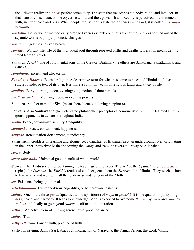the ultimate reality, the *[Atma](#page-56-0)*; perfect equanimity. The state that transcends the body, mind, and intellect. In that state of consciousness, the objective world and the ego vanish and Reality is perceived or communed with, in utter peace and bliss. When people realise in this state their oneness with God, it is called *nirvikalpa samadhi*.

- <span id="page-67-6"></span>*samhitha*. Collection of methodically arranged verses or text; continous text of the *[Vedas](#page-70-0)* as formed out of the separate words by proper phonetic changes.
- <span id="page-67-11"></span>*samana*. Digestive air; even breath.
- <span id="page-67-7"></span>*samsara*. Worldly life; life of the individual soul through repeated births and deaths. Liberation means getting freed from this cycle.
- <span id="page-67-5"></span>**Sananda**. A *[rishi](#page-66-10)*, one of four mental sons of the Creator, [Brahma](#page-57-2), (the others are Sanathana, Sanatkumara, and Sanaka).

*sanathana*. Ancient and also eternal.

- *Sanathana Dharma*. Eternal religion. A descriptive term for what has come to be called Hinduism. It has no single founder or text of its own. It is more a commonwealth of religious faiths and a way of life.
- *sandhya*. Early morning, noon, evening; conjunction of time periods.

*sandhya-vandana*. Morning, noon, or evening prayers.

**Sankara**. Another name for [Siva](#page-68-4) (means beneficent, conferring happiness).

- <span id="page-67-1"></span>**Sankara**. Also **Sankaracharya**. Celebrated philosopher, preceptor of non-dualistic *[Vedanta](#page-70-3)*. Defeated all religious opponents in debates throughout India.
- <span id="page-67-4"></span>*santhi*. Peace, equanimity, serenity, tranquility.
- *santhosha*. Peace, contentment, happiness.
- *sanyasa*. Renunciation-detachment, mendicancy.
- <span id="page-67-2"></span>**Saraswathi**. Goddess of learning and eloquence, a daughter of [Brahma](#page-57-2). Also, an underground river, originating in the upper Indus river basin and joining the [Ganga](#page-59-15) and Yamuna rivers at Prayag or Allahabad.

*sarira*. Body.

- <span id="page-67-9"></span>*sarva-loka-hitha*. Universal good; benefit of whole world.
- <span id="page-67-0"></span>*Sastras*. The Hindu scriptures containing the teachings of the sages. The *[Vedas](#page-70-0)*, the *[Upanishads](#page-69-3)*, the *[ithihasas](#page-60-15)* (epics), the *[Puranas](#page-65-0)*, the *Smrithis* (codes of conduct), etc., form the *Sastras* of the Hindus. They teach us how to live wisely and well with all the tenderness and concern of the Mother.

<span id="page-67-8"></span>*sat*. Existence, being, good, real.

*sat-chit-ananda*. Existence-knowledge-bliss, or being-awareness-bliss.

<span id="page-67-10"></span>*sathwa*. One of the three *[gunas](#page-60-14)* (qualities and dispositions) of *[maya](#page-63-2)* or *[prakriti](#page-65-15)*. It is the quality of purity, brightness, peace, and harmony. It leads to knowledge. Man is exhorted to overcome *thamas* by *[rajas](#page-65-12)* and *rajas* by *sathwa* and finally to go beyond *sathwa* itself to attain liberation.

*sathwic*. Adjective form of *[sathwa](#page-67-3)*; serene, pure, good, balanced.

<span id="page-67-3"></span>*sathya*. Truth.

*sathya-dharma*. Law of truth, practice of truth.

**Sathyanarayana**. Sathya Sai Baba, as an incarnation of [Narayana,](#page-64-3) the Primal Person, the Lord, [Vishnu.](#page-71-0)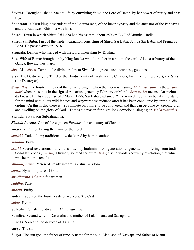- <span id="page-68-12"></span>**Savithri**. Brought husband back to life by outwitting [Yama](#page-71-5), the Lord of Death, by her power of purity and chastity.
- <span id="page-68-7"></span>**Shantanu**. A Kuru king, descendant of the Bharata race, of the lunar dynasty and the ancestor of the Pandavas and the Kauravas. Bhishma was his son.
- **Shirdi**. Town in which [Shirdi Sai Baba](#page-68-11) had his ashram, about 250 km ENE of Mumbai, India.
- <span id="page-68-11"></span>**Shirdi Sai Baba**. First of the triple incarnation consisting of Shirdi Sai Baba, Sathya Sai Baba, and Prema Sai Baba. He passed away in 1918.
- <span id="page-68-1"></span>**Sisupala**. Demon who merged with the Lord when slain by [Krishna](#page-61-3).
- <span id="page-68-3"></span>**Sita**. Wife of [Rama](#page-65-1); brought up by King [Janaka](#page-60-16) who found her in a box in the earth. Also, a tributary of the [Ganga](#page-59-15), flowing westward.
- *siva*. Also *sivam*. Temple, the divine; refers to Siva. Also, grace, auspiciousness, goodness.
- <span id="page-68-4"></span>**Siva**. The Destroyer, the Third of the Hindu Trinity of Brahma (the Creator), [Vishnu](#page-71-0) (the Preserver), and Siva (the Destroyer).
- *Sivarathri*. The fourteenth day of the lunar fortnight, when the moon is waning. *Mahasivarathri* is the *Sivarathri* when the sun is in the sign of Aquarius, generally February or March. *Siva-rathri* means "Auspicious darkness". In His discourse of 7 March 1978, Sai Baba explained, "The waned moon may be taken to stand for the mind with all its wild fancies and waywardness reduced after it has been conquered by spiritual discipline. On this night, there is just a minute part more to be conquered, and that can be done by keeping vigil and dwelling on the glory of God." That is the reason for night-long devotional singing on *[Mahasivarathri](#page-68-12)*.
- <span id="page-68-9"></span>**Skanda**. [Siva](#page-68-4)'s son Subrahmanya.
- <span id="page-68-8"></span>*Skanda Purana*. One of the eighteen *[Puranas](#page-65-0)*, the epic story of [Skanda.](#page-68-9)
- <span id="page-68-6"></span>**smarana**. Remembering the name of the Lord.
- *smrithi*. Code of law; traditional law delivered by human authors.
- *sraddha*. Faith.
- *sruthi*. Sacred revelations orally transmitted by [brahmins](#page-57-12) from generation to generation, differing from traditional law codes (*smrithi*). Divinely sourced scripture; *[Veda](#page-70-7)*; divine words known by revelation; that which was heard or listened to.
- *sthitha-prajna*. Person of steady integral spiritual wisdom.
- *stotra*. Hymn of praise of God.
- *stri-dharma*. *[Dharma](#page-58-0)* for women.
- *suddha*. Pure.
- *suddhi*. Purity.
- **sudra**. Labourer, the fourth caste of workers. See [Caste](#page-58-15).
- *sukta*. Hymn.
- <span id="page-68-0"></span>**Sulabha**. Female mendicant in *[Mahabharatha](#page-62-16)*.
- <span id="page-68-10"></span>**Sumitra**. Second wife of Dasaratha and mother of Lakshmana and Satrughna.
- <span id="page-68-2"></span>**Surdas**. A great blind devotee of [Krishna](#page-61-3).
- **surya**. The sun.
- <span id="page-68-5"></span>**Surya**. The sun god, the father of time. A name for the sun. Also, son of Kasyapa and father of [Manu.](#page-62-3)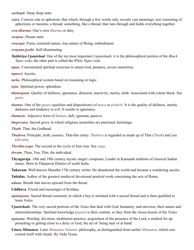*sushupti*. Deep sleep state.

- *sutra*. Concise rule or aphorism; that which, through a few words only, reveals vast meanings; text consisting of aphorisms or maxims; a thread; something, like a thread, that runs through and holds everything together.
- *swa-dharma*. One's own *[dharma](#page-58-0)* or duty.
- *swapna*. Dream state.
- *swarupa*. Form, essential nature, true nature of Being, embodiment.
- *swayam-jyothi*. Self-illuminating.
- <span id="page-69-4"></span>*Taithiriya Upanishad*. One of the ten most important *[Upanishads](#page-69-3)*; it is the philosophical portion of the *Black Yajur-veda*; the other part is called the *White Yajur-veda*.
- *tapas*. Concentrated spiritual exercises to attain God, penance, severe austerities.
- *tapasvi*. Ascetic.
- *tarka*. Philosophical system based on reasoning or logic.
- *tejas*. Spiritual power, splendour.
- *thamoguna*. Quality of dullness, ignorance, delusion, inactivity, inertia, sloth. Associated with colour black. See *[guna](#page-60-14)*.
- *thamas*. One of the *[gunas](#page-60-14)* (qualities and dispositions) of *[maya](#page-63-2)* or *[prakriti](#page-65-15)*. It is the quality of dullness, inertia, darkness and tendency to evil. It results in ignorance.
- *thamasic*. Adjective form of *thamas*, dull, ignorant, passive.
- *thapovana*. Sacred grove in which religious austerities are practised, hermitage.
- <span id="page-69-8"></span>*Thath*. That, the Godhead.
- *Thathwa*. Principle, truth, essence. That-this entity. *Thathwa* is regarded as made up of That (*[Thath](#page-69-8)*) and you (*thwam*).
- <span id="page-69-0"></span>*Thretha-yuga*. The second in the cycle of four eras. See *yuga*.
- *thwam*. Thou, You, This, the individual.
- <span id="page-69-2"></span>**Thyagaraja**. 18th and 19th century mystic singer/ composer. Leader in Karnatak tradition of classical Indian music. Born in Thanjavur District of south India.
- <span id="page-69-1"></span>**Tukaram**. Well-known Maratha 17th century writer. He abandoned the world and became a wandering ascetic.
- <span id="page-69-5"></span>**Tulsidas**. Author of the greatest medieval devotional poetical work concerning the acts of [Rama](#page-65-1).
- *udana*. Breath that moves upward from the throat.
- <span id="page-69-6"></span>**Uddhava**. Friend and messenger of [Krishna.](#page-61-3)
- *upanayana*. Sacred thread ceremony in which a boy is initiated with a sacred thread and is then qualified to learn *[Vedas](#page-70-0)*.
- <span id="page-69-3"></span>*Upanishads*. The very sacred portions of the *[Vedas](#page-70-0)* that deal with God, humanity, and universe, their nature and interrelationships. Spiritual knowledge (*[jnana](#page-61-0)*) is their content, so they form the *[Jnana-kanda](#page-61-2)* of the *[Vedas](#page-70-0)*.
- *upasana*. Worship, devotion, meditation practice, acquisition of the presence of the Lord, a method for approaching or getting close to a deity or God, the act of being near or at hand.
- <span id="page-69-7"></span>*Uttara Mimamsa*. Later *[Mimamsa](#page-63-15) [Vedantic](#page-70-3)* philosophy, as distinguished from earlier *[Mimamsa](#page-63-15)*, which concerned itself with rituals. By [Veda Vyasa.](#page-71-7)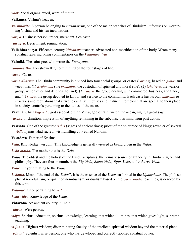*vaak*. Vocal organs, word, word of mouth.

<span id="page-70-4"></span>**Vaikunta**. [Vishnu'](#page-71-0)s heaven.

- <span id="page-70-8"></span>*Vaishnavite*. A person belonging to *Vaishnavism*, one of the major branches of Hinduism. It focuses on worhiping [Vishnu](#page-71-0) and his ten incarnations.
- *vaisya*. Business person, trader, merchant. See [caste.](#page-58-15)
- *vairagya*. Detachment, renunciation.
- <span id="page-70-5"></span>**Vallabhacharya**. Fifteenth century *Vaishnava* teacher; advocated non-mortification of the body. Wrote many spiritual texts including commentaries on the *[Vedanta](#page-70-3)*-*sutras*.
- <span id="page-70-12"></span>**Valmiki**. The saint-poet who wrote the *[Ramayana](#page-66-23)*.
- *vanaprastha*. Forest-dweller, hermit; third of the four stages of life.
- *varna*. [Caste](#page-58-15).
- *varna dharma*. The Hindu community is divided into four social groups, or [castes](#page-58-15) (*varnas*), based on *[gunas](#page-60-14)* and vocations: (1) *Brahmana* (the *[brahmin](#page-57-12)s*, the custodian of spiritual and moral role), (2) *[kshatriya](#page-61-17)*, the warrior group, which rules and defends the land), (3) *vaisya*, the group dealing with commerce, business, and trade, and (4) *sudra*, the group devoted to labour and service to the community. Each caste has its own *[dharmic](#page-59-10)* restrictions and regulations that strive to canalise impulses and instinct into fields that are special to their place in society, controls pertaining to the duties of the caste.
- <span id="page-70-2"></span>**Varuna**. Chief *Rig-vedic* god associated with Mitra; god of rain, water, the ocean, night; a great sage.
- *vasana*. Inclination, impression of anything remaining in the subconscious mind from past action.
- <span id="page-70-11"></span>**Vasishta**. One of the greatest *[rishis](#page-66-10)* (sages) of ancient times; priest of the solar race of kings; revealer of several *[Vedic](#page-70-1)* hymns. Had sacred, wishfulfilling cow called Nandini.
- <span id="page-70-10"></span>**Vasudeva**. Father of Krishna.
- <span id="page-70-7"></span>*Veda*. Knowledge, wisdom. This knowledge is generally viewed as being given in the *Vedas*.
- *Veda-matha*. The mother that is the *[Veda](#page-70-7)*.
- <span id="page-70-0"></span>*Vedas*. The oldest and the holiest of the Hindu scriptures, the primary source of authority in Hindu religion and philosophy. They are four in number: the *[Rig-Veda](#page-66-8)*, *Sama-Veda*, *Yajur-Veda*, and *Atharva-Veda*.
- <span id="page-70-1"></span>*Vedic*. Of your relating to the *[Vedas](#page-70-0)*.
- <span id="page-70-3"></span>*Vedanta*. Means "the end of the *[Vedas](#page-70-0)*". It is the essence of the *[Vedas](#page-70-0)* enshrined in the *[Upanishads](#page-69-3)*. The philosophy of non-dualism, or qualified non-dualism, or dualism based on the *[Upanishadic](#page-69-3)* teachings, is denoted by this term.
- *Vedantic*. Of or pertaining to *[Vedanta](#page-70-3)*.
- <span id="page-70-6"></span>*Veda-vidya*. Knowledge of the *[Vedas.](#page-70-0)*
- <span id="page-70-9"></span>**Vidarbha**. An ancient country in India.
- *vidwan*. Wise person.
- *vidya*. Spiritual education, spiritual knowledge, learning, that which illumines, that which gives light, supreme teaching.

*vi-jnana*. Highest wisdom; discriminating faculty of the intellect; spiritual wisdom beyond the material plane.

*vi-jnani*. Scientist; wise person; one who has developed and correctly applied spiritual power.